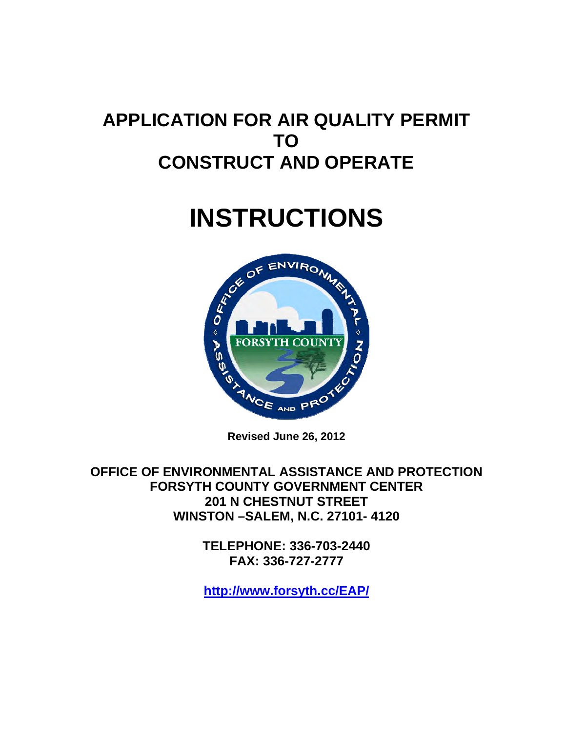## **APPLICATION FOR AIR QUALITY PERMIT TO CONSTRUCT AND OPERATE**

# **INSTRUCTIONS**



**Revised June 26, 2012** 

**OFFICE OF ENVIRONMENTAL ASSISTANCE AND PROTECTION FORSYTH COUNTY GOVERNMENT CENTER 201 N CHESTNUT STREET WINSTON –SALEM, N.C. 27101- 4120** 

> **TELEPHONE: 336-703-2440 FAX: 336-727-2777**

> **<http://www.forsyth.cc/EAP/>**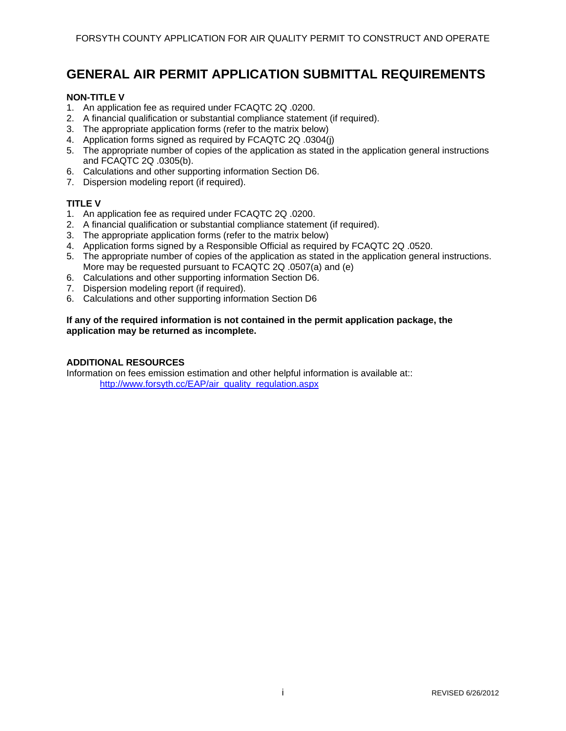### **GENERAL AIR PERMIT APPLICATION SUBMITTAL REQUIREMENTS**

### **NON-TITLE V**

- 1. An application fee as required under FCAQTC 2Q .0200.
- 2. A financial qualification or substantial compliance statement (if required).
- 3. The appropriate application forms (refer to the matrix below)
- 4. Application forms signed as required by FCAQTC 2Q .0304(j)
- 5. The appropriate number of copies of the application as stated in the application general instructions and FCAQTC 2Q .0305(b).
- 6. Calculations and other supporting information Section D6.
- 7. Dispersion modeling report (if required).

### **TITLE V**

- 1. An application fee as required under FCAQTC 2Q .0200.
- 2. A financial qualification or substantial compliance statement (if required).
- 3. The appropriate application forms (refer to the matrix below)
- 4. Application forms signed by a Responsible Official as required by FCAQTC 2Q .0520.
- 5. The appropriate number of copies of the application as stated in the application general instructions. More may be requested pursuant to FCAQTC 2Q .0507(a) and (e)
- 6. Calculations and other supporting information Section D6.
- 7. Dispersion modeling report (if required).
- 6. Calculations and other supporting information Section D6

#### **If any of the required information is not contained in the permit application package, the application may be returned as incomplete.**

#### **ADDITIONAL RESOURCES**

Information on fees emission estimation and other helpful information is available at:: [http://www.forsyth.cc/EAP/air\\_quality\\_regulation.aspx](http://www.forsyth.cc/EAP/air_quality_regulation.aspx)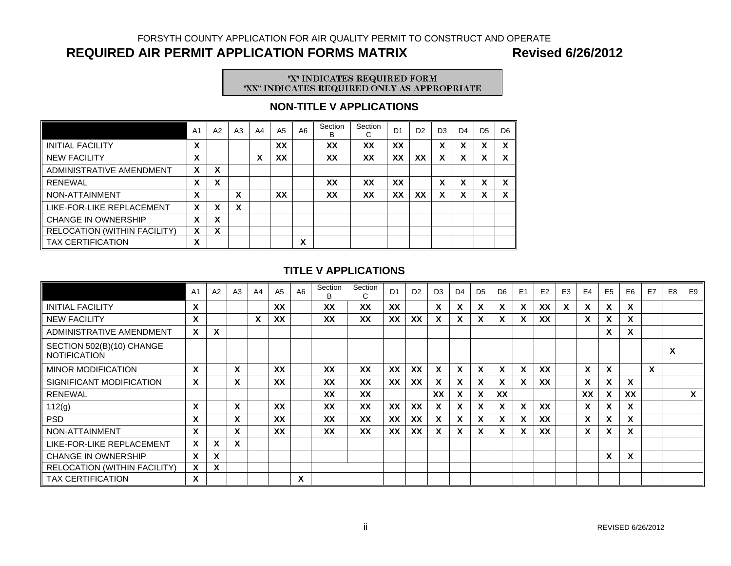FORSYTH COUNTY APPLICATION FOR AIR QUALITY PERMIT TO CONSTRUCT AND OPERATE

### **REQUIRED AIR PERMIT APPLICATION FORMS MATRIX Revised 6/26/2012**

# "X" INDICATES REQUIRED FORM<br>"XX" INDICATES REQUIRED ONLY AS APPROPRIATE

### **NON-TITLE V APPLICATIONS**

|                                     | A <sub>1</sub>            | A2 | A <sub>3</sub>                | A4 | A <sub>5</sub> | A6 | Section<br>B | Section<br>С | D <sub>1</sub> | D <sub>2</sub> | D <sub>3</sub>                 | D <sub>4</sub> | D <sub>5</sub> | D <sub>6</sub>                 |
|-------------------------------------|---------------------------|----|-------------------------------|----|----------------|----|--------------|--------------|----------------|----------------|--------------------------------|----------------|----------------|--------------------------------|
| <b>INITIAL FACILITY</b>             | X                         |    |                               |    | XX             |    | XX           | XX           | XX             |                | v<br>$\boldsymbol{\mathsf{A}}$ | X              | x              | v<br>$\lambda$                 |
| <b>NEW FACILITY</b>                 | X                         |    |                               | X  | XX             |    | XX           | XX           | XX             | XX             | x                              | X              | х              | X                              |
| ADMINISTRATIVE AMENDMENT            | X                         | X  |                               |    |                |    |              |              |                |                |                                |                |                |                                |
| <b>RENEWAL</b>                      | X                         | X  |                               |    |                |    | XX           | XX           | XX             |                | $\checkmark$<br>ᄉ              | X              | v<br>ᄉ         | v<br>Λ                         |
| NON-ATTAINMENT                      | X                         |    | v<br>$\overline{\phantom{a}}$ |    | XX             |    | XX           | XX           | XX             | XX             | x                              | X              | х              | v<br>$\boldsymbol{\mathsf{A}}$ |
| LIKE-FOR-LIKE REPLACEMENT           | X                         | X  | v<br>$\bm{\lambda}$           |    |                |    |              |              |                |                |                                |                |                |                                |
| <b>CHANGE IN OWNERSHIP</b>          | X                         | X  |                               |    |                |    |              |              |                |                |                                |                |                |                                |
| <b>RELOCATION (WITHIN FACILITY)</b> | $\boldsymbol{\mathsf{x}}$ | X  |                               |    |                |    |              |              |                |                |                                |                |                |                                |
| <b>TAX CERTIFICATION</b>            | X                         |    |                               |    |                | X  |              |              |                |                |                                |                |                |                                |

### **TITLE V APPLICATIONS**

|                                                  | A <sub>1</sub>            | A2       | A3                          | A <sub>4</sub>            | A <sub>5</sub> | A6 | Section<br>B | Section<br>С | D <sub>1</sub> | D <sub>2</sub> | D <sub>3</sub> | D <sub>4</sub> | D <sub>5</sub>            | D <sub>6</sub> | E1 | E2        | E <sub>3</sub> | E <sub>4</sub>            | E <sub>5</sub>               | E <sub>6</sub>            | E7 | E <sub>8</sub> | E <sub>9</sub> |
|--------------------------------------------------|---------------------------|----------|-----------------------------|---------------------------|----------------|----|--------------|--------------|----------------|----------------|----------------|----------------|---------------------------|----------------|----|-----------|----------------|---------------------------|------------------------------|---------------------------|----|----------------|----------------|
| <b>INITIAL FACILITY</b>                          | X                         |          |                             |                           | XX             |    | XX           | XX           | XX             |                | <b>X</b>       | X              | X                         | $\mathsf{x}$   | X  | XX        | X              | X                         | $\mathsf{x}$                 | X                         |    |                |                |
| <b>NEW FACILITY</b>                              | $\boldsymbol{\mathsf{x}}$ |          |                             | $\boldsymbol{\mathsf{x}}$ | XX             |    | XX           | XX           | XX             | XX             | $\mathsf{x}$   | X              | $\boldsymbol{\mathsf{x}}$ | X              | X  | <b>XX</b> |                | $\boldsymbol{\mathsf{x}}$ | X                            | X                         |    |                |                |
| ADMINISTRATIVE AMENDMENT                         | X                         | <b>X</b> |                             |                           |                |    |              |              |                |                |                |                |                           |                |    |           |                |                           | $\mathsf{x}$                 | X                         |    |                |                |
| SECTION 502(B)(10) CHANGE<br><b>NOTIFICATION</b> |                           |          |                             |                           |                |    |              |              |                |                |                |                |                           |                |    |           |                |                           |                              |                           |    | X              |                |
| <b>MINOR MODIFICATION</b>                        | X                         |          | $\mathbf v$<br>$\mathbf{v}$ |                           | XX             |    | XX           | XX           | XX             | XX             | <b>X</b>       | X              | X                         | X              | X  | XX        |                | $\boldsymbol{\mathsf{x}}$ | $\mathbf{v}$<br>$\mathbf{x}$ |                           | X  |                |                |
| SIGNIFICANT MODIFICATION                         | X                         |          | X                           |                           | XX             |    | XX           | XX           | <b>XX</b>      | XX             | x.             | X              | $\boldsymbol{\mathsf{x}}$ | X              | X  | XX        |                | $\boldsymbol{\mathsf{x}}$ | X                            | X                         |    |                |                |
| <b>RENEWAL</b>                                   |                           |          |                             |                           |                |    | XX           | XX           |                |                | <b>XX</b>      | X              | $\boldsymbol{\mathsf{x}}$ | XX             |    |           |                | XX                        | $\lambda$                    | XX                        |    |                | X              |
| 112(g)                                           | X                         |          | X                           |                           | <b>XX</b>      |    | <b>XX</b>    | XX           | XX             | <b>XX</b>      | <b>X</b>       | $\mathbf{x}$   | $\boldsymbol{\mathsf{x}}$ | X              | X  | <b>XX</b> |                | $\boldsymbol{\mathsf{x}}$ | X                            | $\boldsymbol{\mathsf{x}}$ |    |                |                |
| <b>PSD</b>                                       | X                         |          | X                           |                           | XX             |    | XX           | XX           | XX             | XX             | x.             | X              | X                         | X              | X  | XX        |                | $\boldsymbol{\mathsf{x}}$ | X                            | $\boldsymbol{\mathsf{x}}$ |    |                |                |
| NON-ATTAINMENT                                   | X                         |          | X                           |                           | <b>XX</b>      |    | XX           | XX           | <b>XX</b>      | <b>XX</b>      | <b>X</b>       | <b>X</b>       | $\boldsymbol{\mathsf{x}}$ | X              | X  | XX        |                | $\boldsymbol{\mathsf{x}}$ | X                            | $\boldsymbol{\mathsf{x}}$ |    |                |                |
| LIKE-FOR-LIKE REPLACEMENT                        | $\mathbf x$               | X        | X                           |                           |                |    |              |              |                |                |                |                |                           |                |    |           |                |                           |                              |                           |    |                |                |
| <b>CHANGE IN OWNERSHIP</b>                       | X                         | <b>X</b> |                             |                           |                |    |              |              |                |                |                |                |                           |                |    |           |                |                           | X                            | X                         |    |                |                |
| RELOCATION (WITHIN FACILITY)                     | X                         | <b>X</b> |                             |                           |                |    |              |              |                |                |                |                |                           |                |    |           |                |                           |                              |                           |    |                |                |
| <b>TAX CERTIFICATION</b>                         | $\boldsymbol{\mathsf{x}}$ |          |                             |                           |                | X  |              |              |                |                |                |                |                           |                |    |           |                |                           |                              |                           |    |                |                |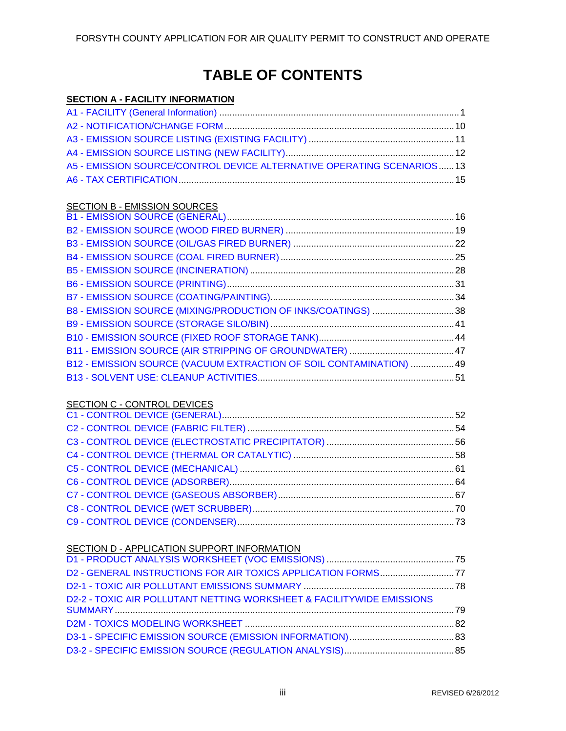### **TABLE OF CONTENTS**

### **SECTION A - FACILITY INFORMATION**

| A5 - EMISSION SOURCE/CONTROL DEVICE ALTERNATIVE OPERATING SCENARIOS 13 |  |
|------------------------------------------------------------------------|--|
|                                                                        |  |

### **SECTION B - EMISSION SOURCES**

|  | B8 - EMISSION SOURCE (MIXING/PRODUCTION OF INKS/COATINGS) 38        |  |
|--|---------------------------------------------------------------------|--|
|  |                                                                     |  |
|  |                                                                     |  |
|  |                                                                     |  |
|  | B12 - EMISSION SOURCE (VACUUM EXTRACTION OF SOIL CONTAMINATION)  49 |  |
|  |                                                                     |  |
|  |                                                                     |  |

### SECTION C - CONTROL DEVICES

### SECTION D - APPLICATION SUPPORT INFORMATION

| D2 - GENERAL INSTRUCTIONS FOR AIR TOXICS APPLICATION FORMS77          |  |
|-----------------------------------------------------------------------|--|
|                                                                       |  |
| D2-2 - TOXIC AIR POLLUTANT NETTING WORKSHEET & FACILITYWIDE EMISSIONS |  |
|                                                                       |  |
|                                                                       |  |
|                                                                       |  |
|                                                                       |  |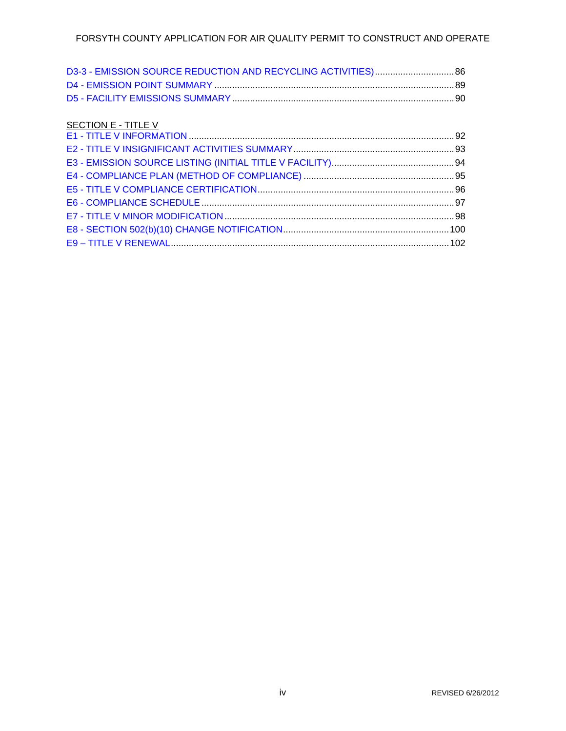### SECTION E - TITLE V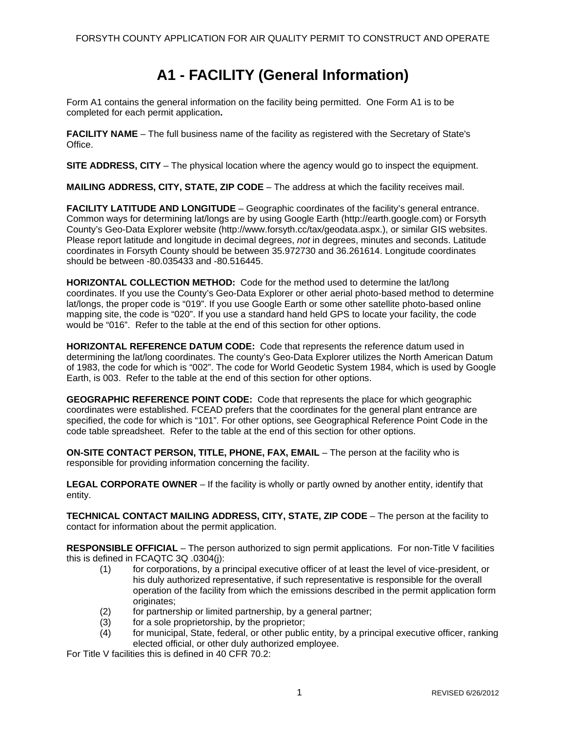### **A1 - FACILITY (General Information)**

<span id="page-5-0"></span>Form A1 contains the general information on the facility being permitted. One Form A1 is to be completed for each permit application**.** 

**FACILITY NAME** – The full business name of the facility as registered with the Secretary of State's Office.

**SITE ADDRESS, CITY** – The physical location where the agency would go to inspect the equipment.

**MAILING ADDRESS, CITY, STATE, ZIP CODE** – The address at which the facility receives mail.

**FACILITY LATITUDE AND LONGITUDE** – Geographic coordinates of the facility's general entrance. Common ways for determining lat/longs are by using Google Earth (http://earth.google.com) or Forsyth County's Geo-Data Explorer website (http://www.forsyth.cc/tax/geodata.aspx.), or similar GIS websites. Please report latitude and longitude in decimal degrees, *not* in degrees, minutes and seconds. Latitude coordinates in Forsyth County should be between 35.972730 and 36.261614. Longitude coordinates should be between -80.035433 and -80.516445.

**HORIZONTAL COLLECTION METHOD:** Code for the method used to determine the lat/long coordinates. If you use the County's Geo-Data Explorer or other aerial photo-based method to determine lat/longs, the proper code is "019". If you use Google Earth or some other satellite photo-based online mapping site, the code is "020". If you use a standard hand held GPS to locate your facility, the code would be "016". Refer to the table at the end of this section for other options.

**HORIZONTAL REFERENCE DATUM CODE:** Code that represents the reference datum used in determining the lat/long coordinates. The county's Geo-Data Explorer utilizes the North American Datum of 1983, the code for which is "002". The code for World Geodetic System 1984, which is used by Google Earth, is 003. Refer to the table at the end of this section for other options.

**GEOGRAPHIC REFERENCE POINT CODE:** Code that represents the place for which geographic coordinates were established. FCEAD prefers that the coordinates for the general plant entrance are specified, the code for which is "101". For other options, see Geographical Reference Point Code in the code table spreadsheet. Refer to the table at the end of this section for other options.

**ON-SITE CONTACT PERSON, TITLE, PHONE, FAX, EMAIL** – The person at the facility who is responsible for providing information concerning the facility.

**LEGAL CORPORATE OWNER** – If the facility is wholly or partly owned by another entity, identify that entity.

**TECHNICAL CONTACT MAILING ADDRESS, CITY, STATE, ZIP CODE** – The person at the facility to contact for information about the permit application.

**RESPONSIBLE OFFICIAL** – The person authorized to sign permit applications. For non-Title V facilities this is defined in FCAQTC 3Q .0304(j):

- (1) for corporations, by a principal executive officer of at least the level of vice-president, or his duly authorized representative, if such representative is responsible for the overall operation of the facility from which the emissions described in the permit application form originates:
- (2) for partnership or limited partnership, by a general partner;
- (3) for a sole proprietorship, by the proprietor;
- (4) for municipal, State, federal, or other public entity, by a principal executive officer, ranking elected official, or other duly authorized employee.

For Title V facilities this is defined in 40 CFR 70.2: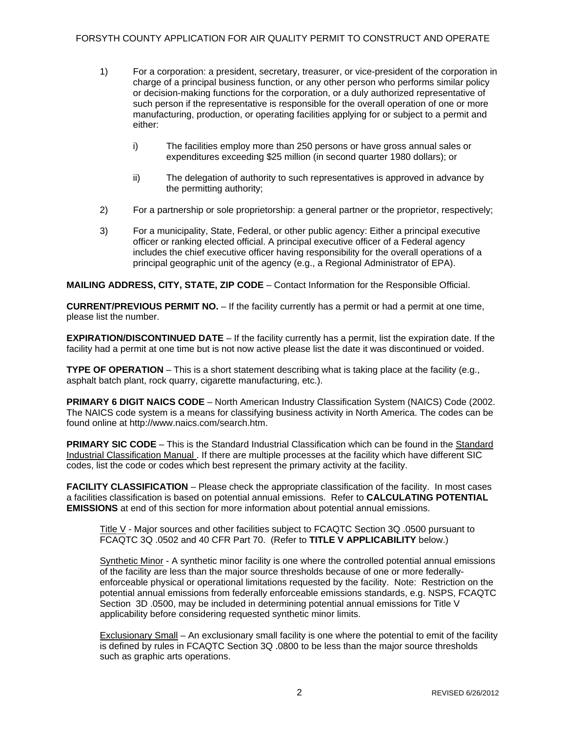- 1) For a corporation: a president, secretary, treasurer, or vice-president of the corporation in charge of a principal business function, or any other person who performs similar policy or decision-making functions for the corporation, or a duly authorized representative of such person if the representative is responsible for the overall operation of one or more manufacturing, production, or operating facilities applying for or subject to a permit and either:
	- i) The facilities employ more than 250 persons or have gross annual sales or expenditures exceeding \$25 million (in second quarter 1980 dollars); or
	- ii) The delegation of authority to such representatives is approved in advance by the permitting authority;
- 2) For a partnership or sole proprietorship: a general partner or the proprietor, respectively;
- 3) For a municipality, State, Federal, or other public agency: Either a principal executive officer or ranking elected official. A principal executive officer of a Federal agency includes the chief executive officer having responsibility for the overall operations of a principal geographic unit of the agency (e.g., a Regional Administrator of EPA).

**MAILING ADDRESS, CITY, STATE, ZIP CODE** – Contact Information for the Responsible Official.

**CURRENT/PREVIOUS PERMIT NO.** – If the facility currently has a permit or had a permit at one time, please list the number.

**EXPIRATION/DISCONTINUED DATE** – If the facility currently has a permit, list the expiration date. If the facility had a permit at one time but is not now active please list the date it was discontinued or voided.

**TYPE OF OPERATION** – This is a short statement describing what is taking place at the facility (e.g., asphalt batch plant, rock quarry, cigarette manufacturing, etc.).

**PRIMARY 6 DIGIT NAICS CODE** – North American Industry Classification System (NAICS) Code (2002. The NAICS code system is a means for classifying business activity in North America. The codes can be found online at http://www.naics.com/search.htm.

**PRIMARY SIC CODE** – This is the Standard Industrial Classification which can be found in the Standard Industrial Classification Manual . If there are multiple processes at the facility which have different SIC codes, list the code or codes which best represent the primary activity at the facility.

**FACILITY CLASSIFICATION** – Please check the appropriate classification of the facility. In most cases a facilities classification is based on potential annual emissions. Refer to **CALCULATING POTENTIAL EMISSIONS** at end of this section for more information about potential annual emissions.

Title V - Major sources and other facilities subject to FCAQTC Section 3Q .0500 pursuant to FCAQTC 3Q .0502 and 40 CFR Part 70. (Refer to **TITLE V APPLICABILITY** below.)

Synthetic Minor - A synthetic minor facility is one where the controlled potential annual emissions of the facility are less than the major source thresholds because of one or more federallyenforceable physical or operational limitations requested by the facility. Note: Restriction on the potential annual emissions from federally enforceable emissions standards, e.g. NSPS, FCAQTC Section 3D .0500, may be included in determining potential annual emissions for Title V applicability before considering requested synthetic minor limits.

Exclusionary Small – An exclusionary small facility is one where the potential to emit of the facility is defined by rules in FCAQTC Section 3Q .0800 to be less than the major source thresholds such as graphic arts operations.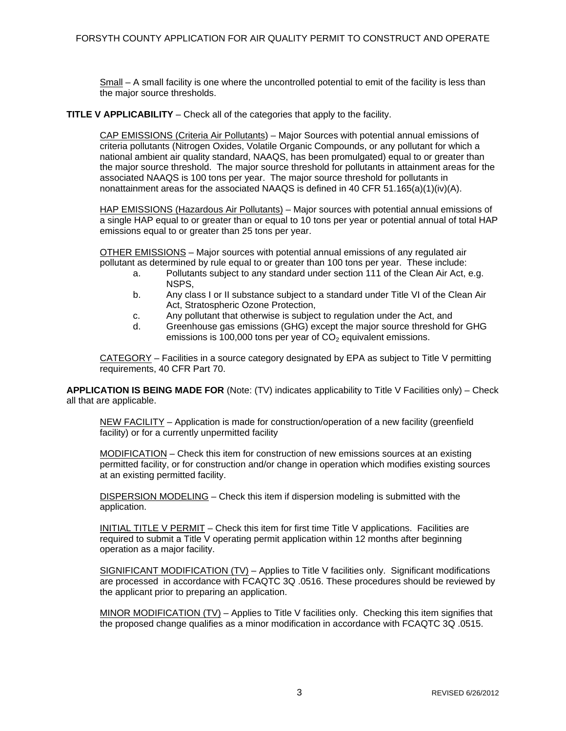Small – A small facility is one where the uncontrolled potential to emit of the facility is less than the major source thresholds.

**TITLE V APPLICABILITY** – Check all of the categories that apply to the facility.

CAP EMISSIONS (Criteria Air Pollutants) – Major Sources with potential annual emissions of criteria pollutants (Nitrogen Oxides, Volatile Organic Compounds, or any pollutant for which a national ambient air quality standard, NAAQS, has been promulgated) equal to or greater than the major source threshold. The major source threshold for pollutants in attainment areas for the associated NAAQS is 100 tons per year. The major source threshold for pollutants in nonattainment areas for the associated NAAQS is defined in 40 CFR 51.165(a)(1)(iv)(A).

HAP EMISSIONS (Hazardous Air Pollutants) – Major sources with potential annual emissions of a single HAP equal to or greater than or equal to 10 tons per year or potential annual of total HAP emissions equal to or greater than 25 tons per year.

OTHER EMISSIONS – Major sources with potential annual emissions of any regulated air pollutant as determined by rule equal to or greater than 100 tons per year. These include:

- a. Pollutants subject to any standard under section 111 of the Clean Air Act, e.g. NSPS,
- b. Any class I or II substance subject to a standard under Title VI of the Clean Air Act, Stratospheric Ozone Protection,
- c. Any pollutant that otherwise is subject to regulation under the Act, and
- d. Greenhouse gas emissions (GHG) except the major source threshold for GHG emissions is 100,000 tons per year of  $CO<sub>2</sub>$  equivalent emissions.

CATEGORY – Facilities in a source category designated by EPA as subject to Title V permitting requirements, 40 CFR Part 70.

**APPLICATION IS BEING MADE FOR** (Note: (TV) indicates applicability to Title V Facilities only) – Check all that are applicable.

NEW FACILITY – Application is made for construction/operation of a new facility (greenfield facility) or for a currently unpermitted facility

MODIFICATION – Check this item for construction of new emissions sources at an existing permitted facility, or for construction and/or change in operation which modifies existing sources at an existing permitted facility.

DISPERSION MODELING – Check this item if dispersion modeling is submitted with the application.

INITIAL TITLE V PERMIT – Check this item for first time Title V applications. Facilities are required to submit a Title V operating permit application within 12 months after beginning operation as a major facility.

SIGNIFICANT MODIFICATION (TV) – Applies to Title V facilities only. Significant modifications are processed in accordance with FCAQTC 3Q .0516. These procedures should be reviewed by the applicant prior to preparing an application.

MINOR MODIFICATION  $(TV)$  – Applies to Title V facilities only. Checking this item signifies that the proposed change qualifies as a minor modification in accordance with FCAQTC 3Q .0515.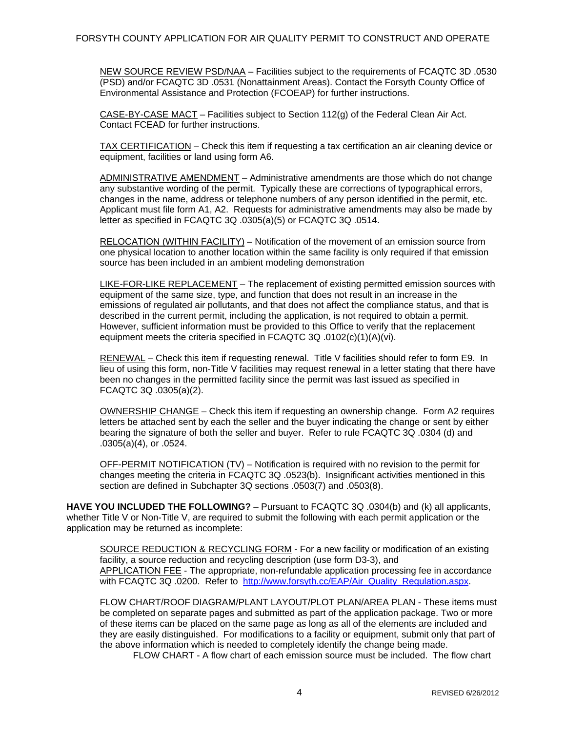NEW SOURCE REVIEW PSD/NAA – Facilities subject to the requirements of FCAQTC 3D .0530 (PSD) and/or FCAQTC 3D .0531 (Nonattainment Areas). Contact the Forsyth County Office of Environmental Assistance and Protection (FCOEAP) for further instructions.

CASE-BY-CASE MACT – Facilities subject to Section 112(g) of the Federal Clean Air Act. Contact FCEAD for further instructions.

TAX CERTIFICATION – Check this item if requesting a tax certification an air cleaning device or equipment, facilities or land using form A6.

ADMINISTRATIVE AMENDMENT – Administrative amendments are those which do not change any substantive wording of the permit. Typically these are corrections of typographical errors, changes in the name, address or telephone numbers of any person identified in the permit, etc. Applicant must file form A1, A2. Requests for administrative amendments may also be made by letter as specified in FCAQTC 3Q .0305(a)(5) or FCAQTC 3Q .0514.

RELOCATION (WITHIN FACILITY) – Notification of the movement of an emission source from one physical location to another location within the same facility is only required if that emission source has been included in an ambient modeling demonstration

LIKE-FOR-LIKE REPLACEMENT – The replacement of existing permitted emission sources with equipment of the same size, type, and function that does not result in an increase in the emissions of regulated air pollutants, and that does not affect the compliance status, and that is described in the current permit, including the application, is not required to obtain a permit. However, sufficient information must be provided to this Office to verify that the replacement equipment meets the criteria specified in FCAQTC 3Q .0102(c)(1)(A)(vi).

RENEWAL – Check this item if requesting renewal. Title V facilities should refer to form E9. In lieu of using this form, non-Title V facilities may request renewal in a letter stating that there have been no changes in the permitted facility since the permit was last issued as specified in FCAQTC 3Q .0305(a)(2).

OWNERSHIP CHANGE – Check this item if requesting an ownership change. Form A2 requires letters be attached sent by each the seller and the buyer indicating the change or sent by either bearing the signature of both the seller and buyer. Refer to rule FCAQTC 3Q .0304 (d) and .0305(a)(4), or .0524.

OFF-PERMIT NOTIFICATION (TV) – Notification is required with no revision to the permit for changes meeting the criteria in FCAQTC 3Q .0523(b). Insignificant activities mentioned in this section are defined in Subchapter 3Q sections .0503(7) and .0503(8).

**HAVE YOU INCLUDED THE FOLLOWING?** – Pursuant to FCAQTC 3Q .0304(b) and (k) all applicants, whether Title V or Non-Title V, are required to submit the following with each permit application or the application may be returned as incomplete:

SOURCE REDUCTION & RECYCLING FORM - For a new facility or modification of an existing facility, a source reduction and recycling description (use form D3-3), and APPLICATION FEE - The appropriate, non-refundable application processing fee in accordance with FCAQTC 3Q .0200. Refer to [http://www.forsyth.cc/EAP/Air\\_Quality\\_Regulation.aspx.](http://www.forsyth.cc/EAP/Air_Quality_Regulation.aspx)

FLOW CHART/ROOF DIAGRAM/PLANT LAYOUT/PLOT PLAN/AREA PLAN - These items must be completed on separate pages and submitted as part of the application package. Two or more of these items can be placed on the same page as long as all of the elements are included and they are easily distinguished. For modifications to a facility or equipment, submit only that part of the above information which is needed to completely identify the change being made.

FLOW CHART - A flow chart of each emission source must be included. The flow chart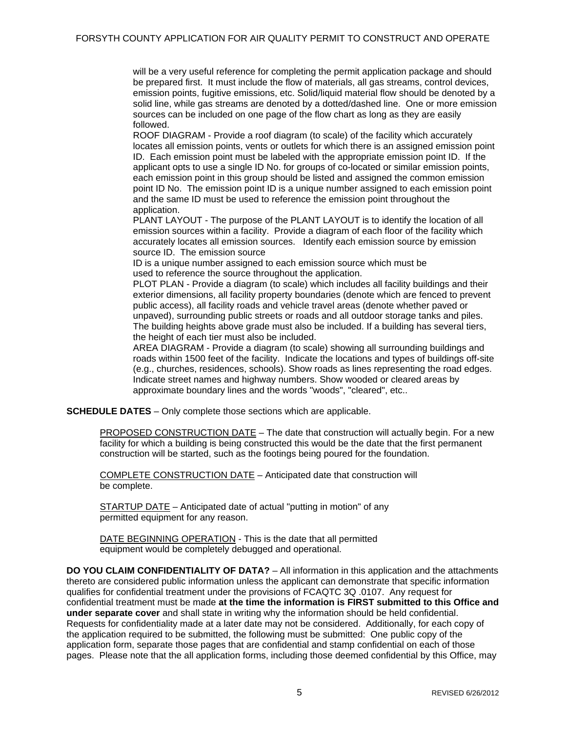will be a very useful reference for completing the permit application package and should be prepared first. It must include the flow of materials, all gas streams, control devices, emission points, fugitive emissions, etc. Solid/liquid material flow should be denoted by a solid line, while gas streams are denoted by a dotted/dashed line. One or more emission sources can be included on one page of the flow chart as long as they are easily followed.

ROOF DIAGRAM - Provide a roof diagram (to scale) of the facility which accurately locates all emission points, vents or outlets for which there is an assigned emission point ID. Each emission point must be labeled with the appropriate emission point ID. If the applicant opts to use a single ID No. for groups of co-located or similar emission points, each emission point in this group should be listed and assigned the common emission point ID No. The emission point ID is a unique number assigned to each emission point and the same ID must be used to reference the emission point throughout the application.

PLANT LAYOUT - The purpose of the PLANT LAYOUT is to identify the location of all emission sources within a facility. Provide a diagram of each floor of the facility which accurately locates all emission sources. Identify each emission source by emission source ID. The emission source

ID is a unique number assigned to each emission source which must be used to reference the source throughout the application.

PLOT PLAN - Provide a diagram (to scale) which includes all facility buildings and their exterior dimensions, all facility property boundaries (denote which are fenced to prevent public access), all facility roads and vehicle travel areas (denote whether paved or unpaved), surrounding public streets or roads and all outdoor storage tanks and piles. The building heights above grade must also be included. If a building has several tiers, the height of each tier must also be included.

AREA DIAGRAM - Provide a diagram (to scale) showing all surrounding buildings and roads within 1500 feet of the facility. Indicate the locations and types of buildings off-site (e.g., churches, residences, schools). Show roads as lines representing the road edges. Indicate street names and highway numbers. Show wooded or cleared areas by approximate boundary lines and the words "woods", "cleared", etc..

**SCHEDULE DATES** – Only complete those sections which are applicable.

PROPOSED CONSTRUCTION DATE – The date that construction will actually begin. For a new facility for which a building is being constructed this would be the date that the first permanent construction will be started, such as the footings being poured for the foundation.

COMPLETE CONSTRUCTION DATE – Anticipated date that construction will be complete.

STARTUP DATE – Anticipated date of actual "putting in motion" of any permitted equipment for any reason.

DATE BEGINNING OPERATION - This is the date that all permitted equipment would be completely debugged and operational.

**DO YOU CLAIM CONFIDENTIALITY OF DATA?** – All information in this application and the attachments thereto are considered public information unless the applicant can demonstrate that specific information qualifies for confidential treatment under the provisions of FCAQTC 3Q .0107. Any request for confidential treatment must be made **at the time the information is FIRST submitted to this Office and under separate cover** and shall state in writing why the information should be held confidential. Requests for confidentiality made at a later date may not be considered. Additionally, for each copy of the application required to be submitted, the following must be submitted: One public copy of the application form, separate those pages that are confidential and stamp confidential on each of those pages. Please note that the all application forms, including those deemed confidential by this Office, may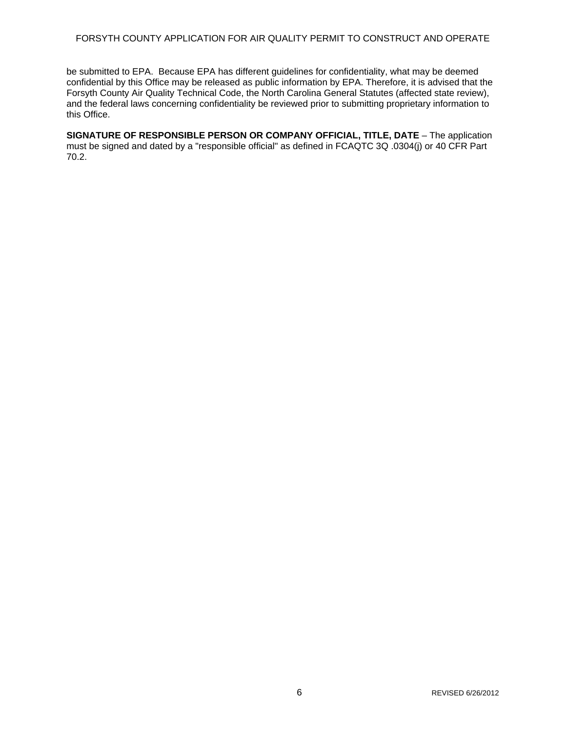#### FORSYTH COUNTY APPLICATION FOR AIR QUALITY PERMIT TO CONSTRUCT AND OPERATE

be submitted to EPA. Because EPA has different guidelines for confidentiality, what may be deemed confidential by this Office may be released as public information by EPA. Therefore, it is advised that the Forsyth County Air Quality Technical Code, the North Carolina General Statutes (affected state review), and the federal laws concerning confidentiality be reviewed prior to submitting proprietary information to this Office.

**SIGNATURE OF RESPONSIBLE PERSON OR COMPANY OFFICIAL, TITLE, DATE** – The application must be signed and dated by a "responsible official" as defined in FCAQTC 3Q .0304(j) or 40 CFR Part 70.2.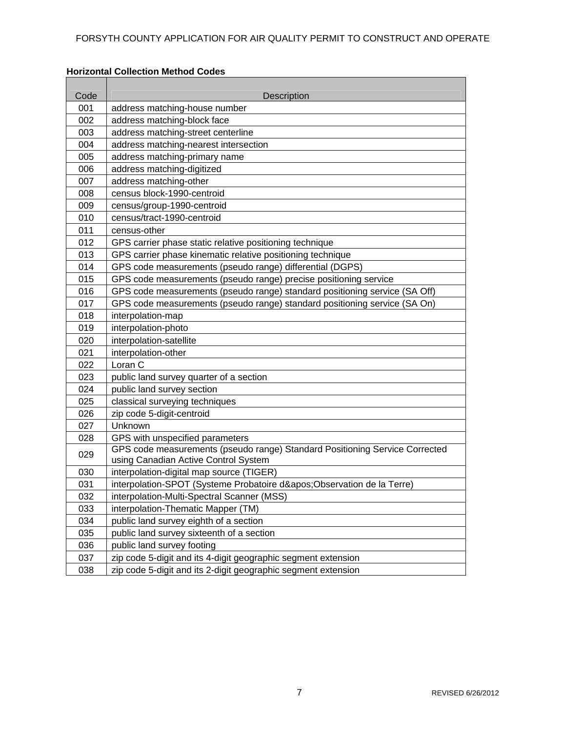### **Horizontal Collection Method Codes**

| 001<br>address matching-house number<br>002<br>address matching-block face<br>003<br>address matching-street centerline<br>004<br>address matching-nearest intersection<br>address matching-primary name<br>005<br>address matching-digitized<br>006<br>007<br>address matching-other<br>census block-1990-centroid<br>008<br>009<br>census/group-1990-centroid<br>010<br>census/tract-1990-centroid<br>census-other<br>011<br>012<br>GPS carrier phase static relative positioning technique<br>013<br>GPS carrier phase kinematic relative positioning technique<br>014<br>GPS code measurements (pseudo range) differential (DGPS)<br>GPS code measurements (pseudo range) precise positioning service<br>015<br>016<br>GPS code measurements (pseudo range) standard positioning service (SA Off)<br>017<br>GPS code measurements (pseudo range) standard positioning service (SA On)<br>018<br>interpolation-map<br>019<br>interpolation-photo<br>020<br>interpolation-satellite<br>021<br>interpolation-other<br>Loran C<br>022<br>023<br>public land survey quarter of a section<br>024<br>public land survey section<br>classical surveying techniques<br>025 |
|-----------------------------------------------------------------------------------------------------------------------------------------------------------------------------------------------------------------------------------------------------------------------------------------------------------------------------------------------------------------------------------------------------------------------------------------------------------------------------------------------------------------------------------------------------------------------------------------------------------------------------------------------------------------------------------------------------------------------------------------------------------------------------------------------------------------------------------------------------------------------------------------------------------------------------------------------------------------------------------------------------------------------------------------------------------------------------------------------------------------------------------------------------------------------|
|                                                                                                                                                                                                                                                                                                                                                                                                                                                                                                                                                                                                                                                                                                                                                                                                                                                                                                                                                                                                                                                                                                                                                                       |
|                                                                                                                                                                                                                                                                                                                                                                                                                                                                                                                                                                                                                                                                                                                                                                                                                                                                                                                                                                                                                                                                                                                                                                       |
|                                                                                                                                                                                                                                                                                                                                                                                                                                                                                                                                                                                                                                                                                                                                                                                                                                                                                                                                                                                                                                                                                                                                                                       |
|                                                                                                                                                                                                                                                                                                                                                                                                                                                                                                                                                                                                                                                                                                                                                                                                                                                                                                                                                                                                                                                                                                                                                                       |
|                                                                                                                                                                                                                                                                                                                                                                                                                                                                                                                                                                                                                                                                                                                                                                                                                                                                                                                                                                                                                                                                                                                                                                       |
|                                                                                                                                                                                                                                                                                                                                                                                                                                                                                                                                                                                                                                                                                                                                                                                                                                                                                                                                                                                                                                                                                                                                                                       |
|                                                                                                                                                                                                                                                                                                                                                                                                                                                                                                                                                                                                                                                                                                                                                                                                                                                                                                                                                                                                                                                                                                                                                                       |
|                                                                                                                                                                                                                                                                                                                                                                                                                                                                                                                                                                                                                                                                                                                                                                                                                                                                                                                                                                                                                                                                                                                                                                       |
|                                                                                                                                                                                                                                                                                                                                                                                                                                                                                                                                                                                                                                                                                                                                                                                                                                                                                                                                                                                                                                                                                                                                                                       |
|                                                                                                                                                                                                                                                                                                                                                                                                                                                                                                                                                                                                                                                                                                                                                                                                                                                                                                                                                                                                                                                                                                                                                                       |
|                                                                                                                                                                                                                                                                                                                                                                                                                                                                                                                                                                                                                                                                                                                                                                                                                                                                                                                                                                                                                                                                                                                                                                       |
|                                                                                                                                                                                                                                                                                                                                                                                                                                                                                                                                                                                                                                                                                                                                                                                                                                                                                                                                                                                                                                                                                                                                                                       |
|                                                                                                                                                                                                                                                                                                                                                                                                                                                                                                                                                                                                                                                                                                                                                                                                                                                                                                                                                                                                                                                                                                                                                                       |
|                                                                                                                                                                                                                                                                                                                                                                                                                                                                                                                                                                                                                                                                                                                                                                                                                                                                                                                                                                                                                                                                                                                                                                       |
|                                                                                                                                                                                                                                                                                                                                                                                                                                                                                                                                                                                                                                                                                                                                                                                                                                                                                                                                                                                                                                                                                                                                                                       |
|                                                                                                                                                                                                                                                                                                                                                                                                                                                                                                                                                                                                                                                                                                                                                                                                                                                                                                                                                                                                                                                                                                                                                                       |
|                                                                                                                                                                                                                                                                                                                                                                                                                                                                                                                                                                                                                                                                                                                                                                                                                                                                                                                                                                                                                                                                                                                                                                       |
|                                                                                                                                                                                                                                                                                                                                                                                                                                                                                                                                                                                                                                                                                                                                                                                                                                                                                                                                                                                                                                                                                                                                                                       |
|                                                                                                                                                                                                                                                                                                                                                                                                                                                                                                                                                                                                                                                                                                                                                                                                                                                                                                                                                                                                                                                                                                                                                                       |
|                                                                                                                                                                                                                                                                                                                                                                                                                                                                                                                                                                                                                                                                                                                                                                                                                                                                                                                                                                                                                                                                                                                                                                       |
|                                                                                                                                                                                                                                                                                                                                                                                                                                                                                                                                                                                                                                                                                                                                                                                                                                                                                                                                                                                                                                                                                                                                                                       |
|                                                                                                                                                                                                                                                                                                                                                                                                                                                                                                                                                                                                                                                                                                                                                                                                                                                                                                                                                                                                                                                                                                                                                                       |
|                                                                                                                                                                                                                                                                                                                                                                                                                                                                                                                                                                                                                                                                                                                                                                                                                                                                                                                                                                                                                                                                                                                                                                       |
|                                                                                                                                                                                                                                                                                                                                                                                                                                                                                                                                                                                                                                                                                                                                                                                                                                                                                                                                                                                                                                                                                                                                                                       |
|                                                                                                                                                                                                                                                                                                                                                                                                                                                                                                                                                                                                                                                                                                                                                                                                                                                                                                                                                                                                                                                                                                                                                                       |
| 026<br>zip code 5-digit-centroid                                                                                                                                                                                                                                                                                                                                                                                                                                                                                                                                                                                                                                                                                                                                                                                                                                                                                                                                                                                                                                                                                                                                      |
| 027<br>Unknown                                                                                                                                                                                                                                                                                                                                                                                                                                                                                                                                                                                                                                                                                                                                                                                                                                                                                                                                                                                                                                                                                                                                                        |
| GPS with unspecified parameters<br>028                                                                                                                                                                                                                                                                                                                                                                                                                                                                                                                                                                                                                                                                                                                                                                                                                                                                                                                                                                                                                                                                                                                                |
| GPS code measurements (pseudo range) Standard Positioning Service Corrected<br>029<br>using Canadian Active Control System                                                                                                                                                                                                                                                                                                                                                                                                                                                                                                                                                                                                                                                                                                                                                                                                                                                                                                                                                                                                                                            |
| 030<br>interpolation-digital map source (TIGER)                                                                                                                                                                                                                                                                                                                                                                                                                                                                                                                                                                                                                                                                                                                                                                                                                                                                                                                                                                                                                                                                                                                       |
| interpolation-SPOT (Systeme Probatoire d'Observation de la Terre)<br>031                                                                                                                                                                                                                                                                                                                                                                                                                                                                                                                                                                                                                                                                                                                                                                                                                                                                                                                                                                                                                                                                                              |
| interpolation-Multi-Spectral Scanner (MSS)<br>032                                                                                                                                                                                                                                                                                                                                                                                                                                                                                                                                                                                                                                                                                                                                                                                                                                                                                                                                                                                                                                                                                                                     |
| interpolation-Thematic Mapper (TM)<br>033                                                                                                                                                                                                                                                                                                                                                                                                                                                                                                                                                                                                                                                                                                                                                                                                                                                                                                                                                                                                                                                                                                                             |
| 034<br>public land survey eighth of a section                                                                                                                                                                                                                                                                                                                                                                                                                                                                                                                                                                                                                                                                                                                                                                                                                                                                                                                                                                                                                                                                                                                         |
| 035<br>public land survey sixteenth of a section                                                                                                                                                                                                                                                                                                                                                                                                                                                                                                                                                                                                                                                                                                                                                                                                                                                                                                                                                                                                                                                                                                                      |
| 036<br>public land survey footing                                                                                                                                                                                                                                                                                                                                                                                                                                                                                                                                                                                                                                                                                                                                                                                                                                                                                                                                                                                                                                                                                                                                     |
| 037<br>zip code 5-digit and its 4-digit geographic segment extension                                                                                                                                                                                                                                                                                                                                                                                                                                                                                                                                                                                                                                                                                                                                                                                                                                                                                                                                                                                                                                                                                                  |
| zip code 5-digit and its 2-digit geographic segment extension<br>038                                                                                                                                                                                                                                                                                                                                                                                                                                                                                                                                                                                                                                                                                                                                                                                                                                                                                                                                                                                                                                                                                                  |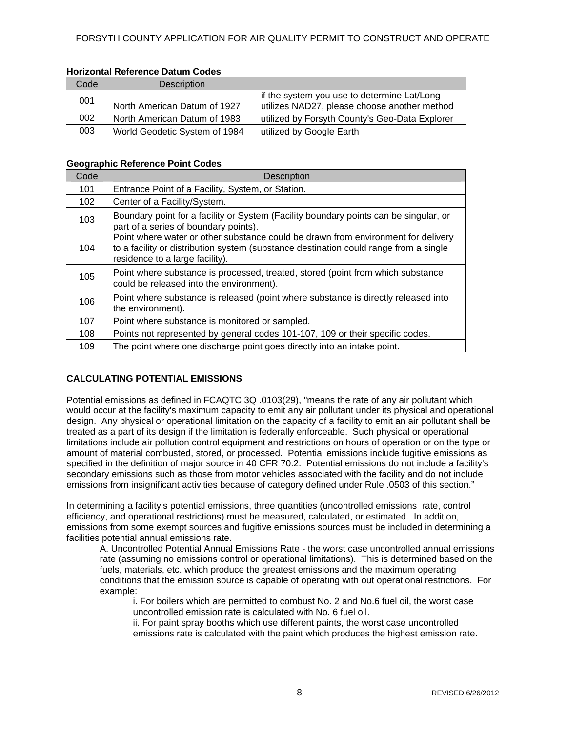| Code | Description                   |                                                                                             |
|------|-------------------------------|---------------------------------------------------------------------------------------------|
| 001  | North American Datum of 1927  | if the system you use to determine Lat/Long<br>utilizes NAD27, please choose another method |
| 002  | North American Datum of 1983  | utilized by Forsyth County's Geo-Data Explorer                                              |
| 003  | World Geodetic System of 1984 | utilized by Google Earth                                                                    |

#### **Geographic Reference Point Codes**

| Code | <b>Description</b>                                                                                                                                                                                            |
|------|---------------------------------------------------------------------------------------------------------------------------------------------------------------------------------------------------------------|
| 101  | Entrance Point of a Facility, System, or Station.                                                                                                                                                             |
| 102  | Center of a Facility/System.                                                                                                                                                                                  |
| 103  | Boundary point for a facility or System (Facility boundary points can be singular, or<br>part of a series of boundary points).                                                                                |
| 104  | Point where water or other substance could be drawn from environment for delivery<br>to a facility or distribution system (substance destination could range from a single<br>residence to a large facility). |
| 105  | Point where substance is processed, treated, stored (point from which substance<br>could be released into the environment).                                                                                   |
| 106  | Point where substance is released (point where substance is directly released into<br>the environment).                                                                                                       |
| 107  | Point where substance is monitored or sampled.                                                                                                                                                                |
| 108  | Points not represented by general codes 101-107, 109 or their specific codes.                                                                                                                                 |
| 109  | The point where one discharge point goes directly into an intake point.                                                                                                                                       |

### **CALCULATING POTENTIAL EMISSIONS**

Potential emissions as defined in FCAQTC 3Q .0103(29), "means the rate of any air pollutant which would occur at the facility's maximum capacity to emit any air pollutant under its physical and operational design. Any physical or operational limitation on the capacity of a facility to emit an air pollutant shall be treated as a part of its design if the limitation is federally enforceable. Such physical or operational limitations include air pollution control equipment and restrictions on hours of operation or on the type or amount of material combusted, stored, or processed. Potential emissions include fugitive emissions as specified in the definition of major source in 40 CFR 70.2. Potential emissions do not include a facility's secondary emissions such as those from motor vehicles associated with the facility and do not include emissions from insignificant activities because of category defined under Rule .0503 of this section."

In determining a facility's potential emissions, three quantities (uncontrolled emissions rate, control efficiency, and operational restrictions) must be measured, calculated, or estimated. In addition, emissions from some exempt sources and fugitive emissions sources must be included in determining a facilities potential annual emissions rate.

A. Uncontrolled Potential Annual Emissions Rate - the worst case uncontrolled annual emissions rate (assuming no emissions control or operational limitations). This is determined based on the fuels, materials, etc. which produce the greatest emissions and the maximum operating conditions that the emission source is capable of operating with out operational restrictions. For example:

i. For boilers which are permitted to combust No. 2 and No.6 fuel oil, the worst case uncontrolled emission rate is calculated with No. 6 fuel oil.

ii. For paint spray booths which use different paints, the worst case uncontrolled emissions rate is calculated with the paint which produces the highest emission rate.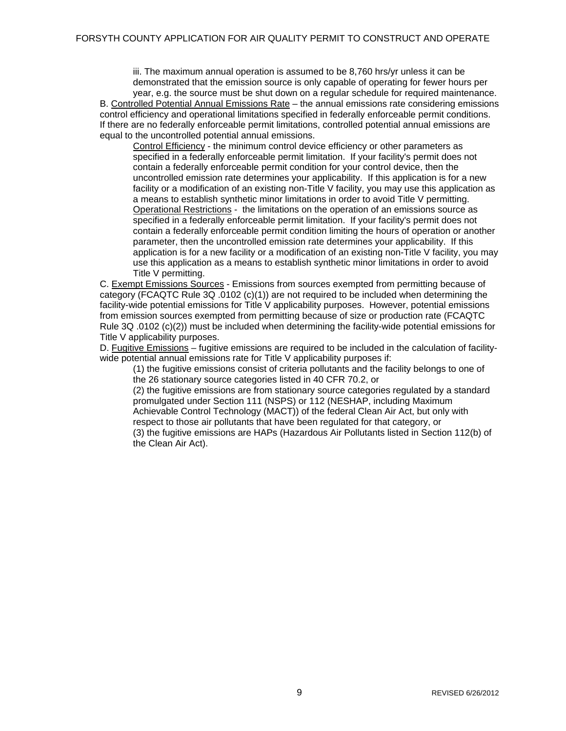iii. The maximum annual operation is assumed to be 8,760 hrs/yr unless it can be demonstrated that the emission source is only capable of operating for fewer hours per year, e.g. the source must be shut down on a regular schedule for required maintenance. B. Controlled Potential Annual Emissions Rate – the annual emissions rate considering emissions control efficiency and operational limitations specified in federally enforceable permit conditions. If there are no federally enforceable permit limitations, controlled potential annual emissions are equal to the uncontrolled potential annual emissions.

Control Efficiency - the minimum control device efficiency or other parameters as specified in a federally enforceable permit limitation. If your facility's permit does not contain a federally enforceable permit condition for your control device, then the uncontrolled emission rate determines your applicability. If this application is for a new facility or a modification of an existing non-Title V facility, you may use this application as a means to establish synthetic minor limitations in order to avoid Title V permitting. Operational Restrictions - the limitations on the operation of an emissions source as specified in a federally enforceable permit limitation. If your facility's permit does not contain a federally enforceable permit condition limiting the hours of operation or another parameter, then the uncontrolled emission rate determines your applicability. If this application is for a new facility or a modification of an existing non-Title V facility, you may use this application as a means to establish synthetic minor limitations in order to avoid Title V permitting.

C. Exempt Emissions Sources - Emissions from sources exempted from permitting because of category (FCAQTC Rule 3Q .0102 (c)(1)) are not required to be included when determining the facility-wide potential emissions for Title V applicability purposes. However, potential emissions from emission sources exempted from permitting because of size or production rate (FCAQTC Rule 3Q .0102 (c)(2)) must be included when determining the facility-wide potential emissions for Title V applicability purposes.

D. Fugitive Emissions – fugitive emissions are required to be included in the calculation of facilitywide potential annual emissions rate for Title V applicability purposes if:

(1) the fugitive emissions consist of criteria pollutants and the facility belongs to one of the 26 stationary source categories listed in 40 CFR 70.2, or

(2) the fugitive emissions are from stationary source categories regulated by a standard promulgated under Section 111 (NSPS) or 112 (NESHAP, including Maximum Achievable Control Technology (MACT)) of the federal Clean Air Act, but only with

respect to those air pollutants that have been regulated for that category, or

(3) the fugitive emissions are HAPs (Hazardous Air Pollutants listed in Section 112(b) of the Clean Air Act).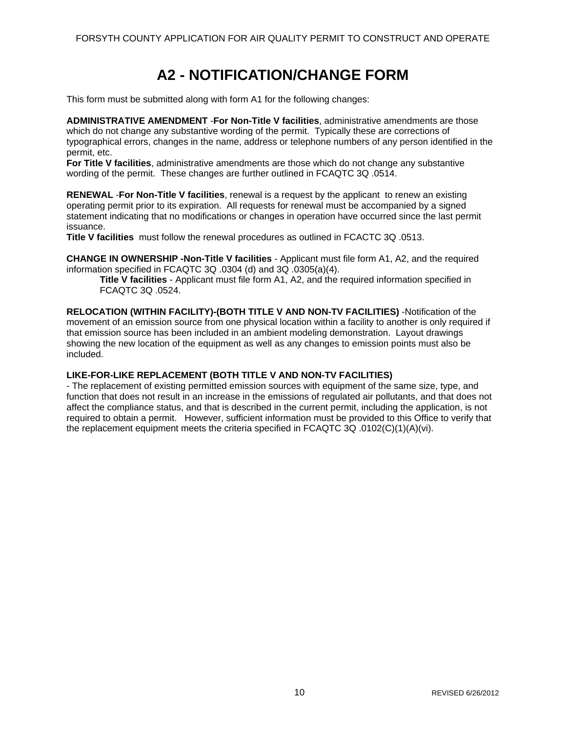### **A2 - NOTIFICATION/CHANGE FORM**

<span id="page-14-0"></span>This form must be submitted along with form A1 for the following changes:

**ADMINISTRATIVE AMENDMENT** -**For Non-Title V facilities**, administrative amendments are those which do not change any substantive wording of the permit. Typically these are corrections of typographical errors, changes in the name, address or telephone numbers of any person identified in the permit, etc.

**For Title V facilities**, administrative amendments are those which do not change any substantive wording of the permit. These changes are further outlined in FCAQTC 3Q .0514.

**RENEWAL** -**For Non-Title V facilities**, renewal is a request by the applicant to renew an existing operating permit prior to its expiration. All requests for renewal must be accompanied by a signed statement indicating that no modifications or changes in operation have occurred since the last permit issuance.

**Title V facilities** must follow the renewal procedures as outlined in FCACTC 3Q .0513.

**CHANGE IN OWNERSHIP -Non-Title V facilities** - Applicant must file form A1, A2, and the required information specified in FCAQTC 3Q .0304 (d) and 3Q .0305(a)(4).

**Title V facilities** - Applicant must file form A1, A2, and the required information specified in FCAQTC 3Q .0524.

**RELOCATION (WITHIN FACILITY)-(BOTH TITLE V AND NON-TV FACILITIES)** -Notification of the movement of an emission source from one physical location within a facility to another is only required if that emission source has been included in an ambient modeling demonstration. Layout drawings showing the new location of the equipment as well as any changes to emission points must also be included.

### **LIKE-FOR-LIKE REPLACEMENT (BOTH TITLE V AND NON-TV FACILITIES)**

- The replacement of existing permitted emission sources with equipment of the same size, type, and function that does not result in an increase in the emissions of regulated air pollutants, and that does not affect the compliance status, and that is described in the current permit, including the application, is not required to obtain a permit. However, sufficient information must be provided to this Office to verify that the replacement equipment meets the criteria specified in FCAQTC 3Q .0102(C)(1)(A)(vi).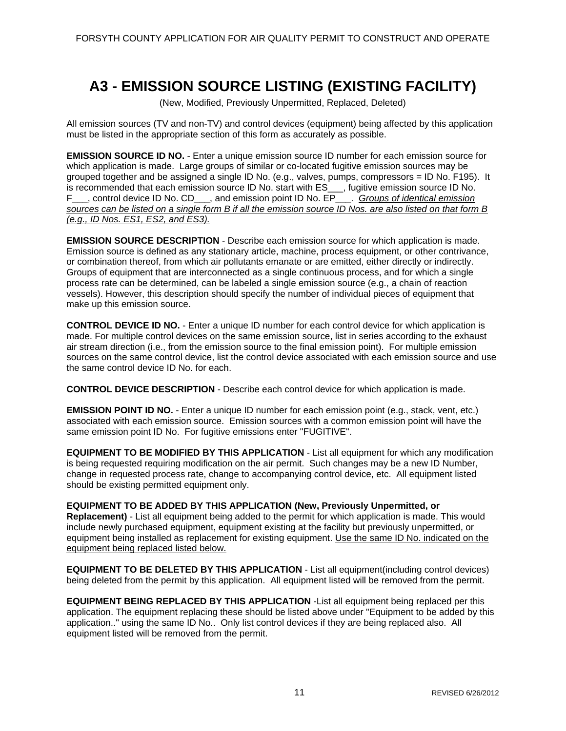### **A3 - EMISSION SOURCE LISTING (EXISTING FACILITY)**

(New, Modified, Previously Unpermitted, Replaced, Deleted)

<span id="page-15-0"></span>All emission sources (TV and non-TV) and control devices (equipment) being affected by this application must be listed in the appropriate section of this form as accurately as possible.

**EMISSION SOURCE ID NO.** - Enter a unique emission source ID number for each emission source for which application is made. Large groups of similar or co-located fugitive emission sources may be grouped together and be assigned a single ID No. (e.g., valves, pumps, compressors = ID No. F195). It is recommended that each emission source ID No. start with ES\_\_\_, fugitive emission source ID No. F\_\_\_, control device ID No. CD\_\_\_, and emission point ID No. EP\_\_\_. *Groups of identical emission sources can be listed on a single form B if all the emission source ID Nos. are also listed on that form B (e.g., ID Nos. ES1, ES2, and ES3).* 

**EMISSION SOURCE DESCRIPTION** - Describe each emission source for which application is made. Emission source is defined as any stationary article, machine, process equipment, or other contrivance, or combination thereof, from which air pollutants emanate or are emitted, either directly or indirectly. Groups of equipment that are interconnected as a single continuous process, and for which a single process rate can be determined, can be labeled a single emission source (e.g., a chain of reaction vessels). However, this description should specify the number of individual pieces of equipment that make up this emission source.

**CONTROL DEVICE ID NO.** - Enter a unique ID number for each control device for which application is made. For multiple control devices on the same emission source, list in series according to the exhaust air stream direction (i.e., from the emission source to the final emission point). For multiple emission sources on the same control device, list the control device associated with each emission source and use the same control device ID No. for each.

**CONTROL DEVICE DESCRIPTION** - Describe each control device for which application is made.

**EMISSION POINT ID NO.** - Enter a unique ID number for each emission point (e.g., stack, vent, etc.) associated with each emission source. Emission sources with a common emission point will have the same emission point ID No. For fugitive emissions enter "FUGITIVE".

**EQUIPMENT TO BE MODIFIED BY THIS APPLICATION** - List all equipment for which any modification is being requested requiring modification on the air permit. Such changes may be a new ID Number. change in requested process rate, change to accompanying control device, etc. All equipment listed should be existing permitted equipment only.

**EQUIPMENT TO BE ADDED BY THIS APPLICATION (New, Previously Unpermitted, or Replacement)** - List all equipment being added to the permit for which application is made. This would include newly purchased equipment, equipment existing at the facility but previously unpermitted, or equipment being installed as replacement for existing equipment. Use the same ID No. indicated on the equipment being replaced listed below.

**EQUIPMENT TO BE DELETED BY THIS APPLICATION** - List all equipment(including control devices) being deleted from the permit by this application. All equipment listed will be removed from the permit.

**EQUIPMENT BEING REPLACED BY THIS APPLICATION** -List all equipment being replaced per this application. The equipment replacing these should be listed above under "Equipment to be added by this application.." using the same ID No.. Only list control devices if they are being replaced also. All equipment listed will be removed from the permit.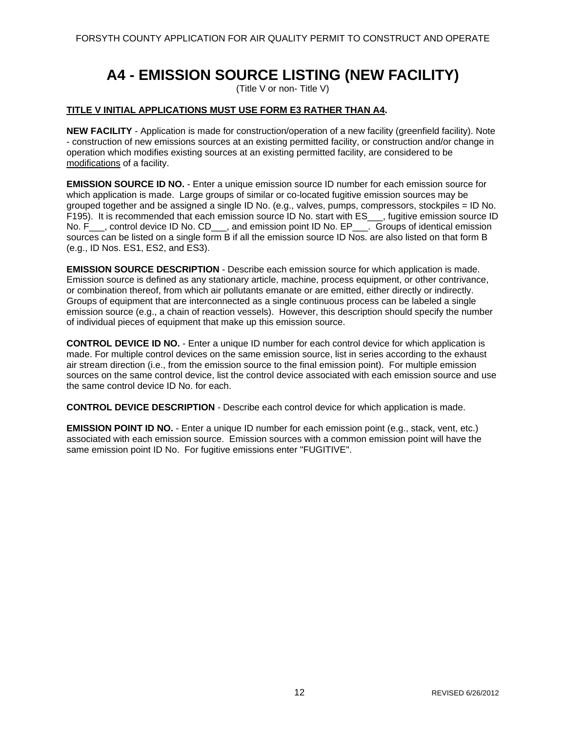### **A4 - EMISSION SOURCE LISTING (NEW FACILITY)**

(Title V or non- Title V)

### <span id="page-16-0"></span>**TITLE V INITIAL APPLICATIONS MUST USE FORM E3 RATHER THAN A4.**

**NEW FACILITY** - Application is made for construction/operation of a new facility (greenfield facility). Note - construction of new emissions sources at an existing permitted facility, or construction and/or change in operation which modifies existing sources at an existing permitted facility, are considered to be modifications of a facility.

**EMISSION SOURCE ID NO.** - Enter a unique emission source ID number for each emission source for which application is made. Large groups of similar or co-located fugitive emission sources may be grouped together and be assigned a single ID No. (e.g., valves, pumps, compressors, stockpiles = ID No. F195). It is recommended that each emission source ID No. start with ES \_\_, fugitive emission source ID No. F<sub>\_\_\_</sub>, control device ID No. CD\_\_\_, and emission point ID No. EP\_\_\_. Groups of identical emission sources can be listed on a single form B if all the emission source ID Nos. are also listed on that form B (e.g., ID Nos. ES1, ES2, and ES3).

**EMISSION SOURCE DESCRIPTION** - Describe each emission source for which application is made. Emission source is defined as any stationary article, machine, process equipment, or other contrivance, or combination thereof, from which air pollutants emanate or are emitted, either directly or indirectly. Groups of equipment that are interconnected as a single continuous process can be labeled a single emission source (e.g., a chain of reaction vessels). However, this description should specify the number of individual pieces of equipment that make up this emission source.

**CONTROL DEVICE ID NO.** - Enter a unique ID number for each control device for which application is made. For multiple control devices on the same emission source, list in series according to the exhaust air stream direction (i.e., from the emission source to the final emission point). For multiple emission sources on the same control device, list the control device associated with each emission source and use the same control device ID No. for each.

**CONTROL DEVICE DESCRIPTION** - Describe each control device for which application is made.

**EMISSION POINT ID NO.** - Enter a unique ID number for each emission point (e.g., stack, vent, etc.) associated with each emission source. Emission sources with a common emission point will have the same emission point ID No. For fugitive emissions enter "FUGITIVE".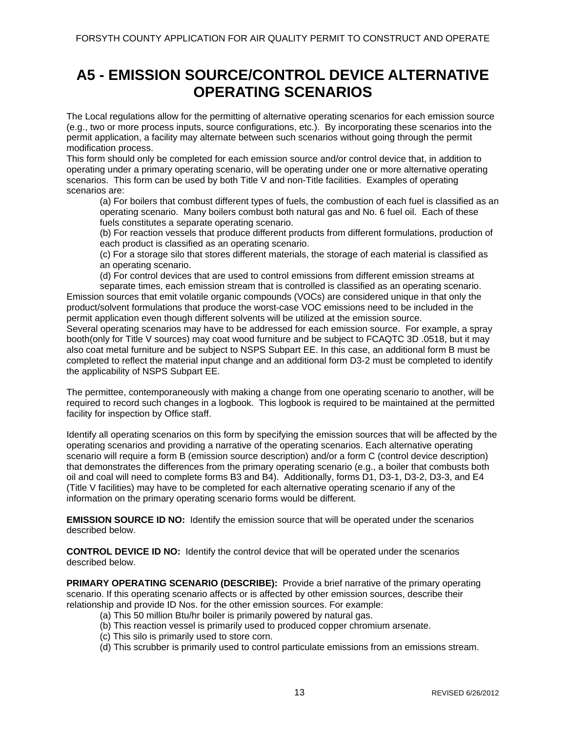### <span id="page-17-0"></span>**A5 - EMISSION SOURCE/CONTROL DEVICE ALTERNATIVE OPERATING SCENARIOS**

The Local regulations allow for the permitting of alternative operating scenarios for each emission source (e.g., two or more process inputs, source configurations, etc.). By incorporating these scenarios into the permit application, a facility may alternate between such scenarios without going through the permit modification process.

This form should only be completed for each emission source and/or control device that, in addition to operating under a primary operating scenario, will be operating under one or more alternative operating scenarios. This form can be used by both Title V and non-Title facilities. Examples of operating scenarios are:

(a) For boilers that combust different types of fuels, the combustion of each fuel is classified as an operating scenario. Many boilers combust both natural gas and No. 6 fuel oil. Each of these fuels constitutes a separate operating scenario.

(b) For reaction vessels that produce different products from different formulations, production of each product is classified as an operating scenario.

(c) For a storage silo that stores different materials, the storage of each material is classified as an operating scenario.

(d) For control devices that are used to control emissions from different emission streams at

separate times, each emission stream that is controlled is classified as an operating scenario. Emission sources that emit volatile organic compounds (VOCs) are considered unique in that only the product/solvent formulations that produce the worst-case VOC emissions need to be included in the permit application even though different solvents will be utilized at the emission source.

Several operating scenarios may have to be addressed for each emission source. For example, a spray booth(only for Title V sources) may coat wood furniture and be subject to FCAQTC 3D .0518, but it may also coat metal furniture and be subject to NSPS Subpart EE. In this case, an additional form B must be completed to reflect the material input change and an additional form D3-2 must be completed to identify the applicability of NSPS Subpart EE.

The permittee, contemporaneously with making a change from one operating scenario to another, will be required to record such changes in a logbook. This logbook is required to be maintained at the permitted facility for inspection by Office staff.

Identify all operating scenarios on this form by specifying the emission sources that will be affected by the operating scenarios and providing a narrative of the operating scenarios. Each alternative operating scenario will require a form B (emission source description) and/or a form C (control device description) that demonstrates the differences from the primary operating scenario (e.g., a boiler that combusts both oil and coal will need to complete forms B3 and B4). Additionally, forms D1, D3-1, D3-2, D3-3, and E4 (Title V facilities) may have to be completed for each alternative operating scenario if any of the information on the primary operating scenario forms would be different.

**EMISSION SOURCE ID NO:** Identify the emission source that will be operated under the scenarios described below.

**CONTROL DEVICE ID NO:** Identify the control device that will be operated under the scenarios described below.

**PRIMARY OPERATING SCENARIO (DESCRIBE):** Provide a brief narrative of the primary operating scenario. If this operating scenario affects or is affected by other emission sources, describe their relationship and provide ID Nos. for the other emission sources. For example:

- (a) This 50 million Btu/hr boiler is primarily powered by natural gas.
- (b) This reaction vessel is primarily used to produced copper chromium arsenate.
- (c) This silo is primarily used to store corn.
- (d) This scrubber is primarily used to control particulate emissions from an emissions stream.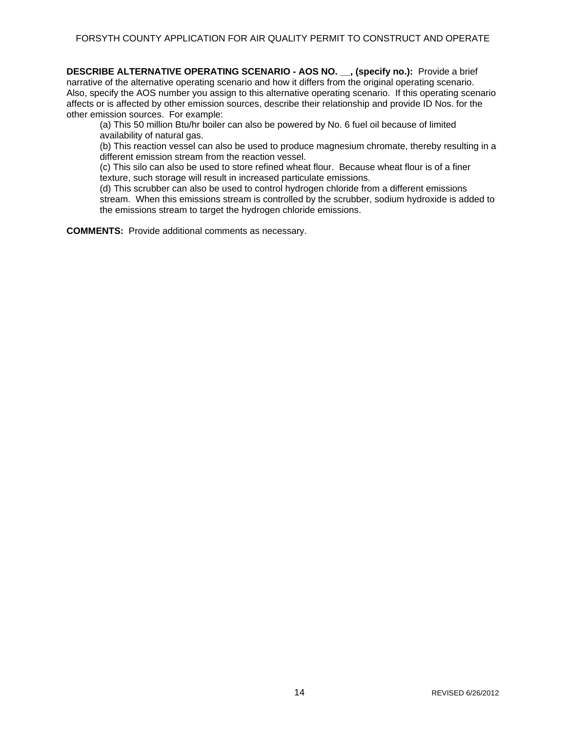**DESCRIBE ALTERNATIVE OPERATING SCENARIO - AOS NO. \_\_, (specify no.):** Provide a brief narrative of the alternative operating scenario and how it differs from the original operating scenario. Also, specify the AOS number you assign to this alternative operating scenario. If this operating scenario affects or is affected by other emission sources, describe their relationship and provide ID Nos. for the other emission sources. For example:

(a) This 50 million Btu/hr boiler can also be powered by No. 6 fuel oil because of limited availability of natural gas.

(b) This reaction vessel can also be used to produce magnesium chromate, thereby resulting in a different emission stream from the reaction vessel.

(c) This silo can also be used to store refined wheat flour. Because wheat flour is of a finer texture, such storage will result in increased particulate emissions.

(d) This scrubber can also be used to control hydrogen chloride from a different emissions stream. When this emissions stream is controlled by the scrubber, sodium hydroxide is added to the emissions stream to target the hydrogen chloride emissions.

**COMMENTS:** Provide additional comments as necessary.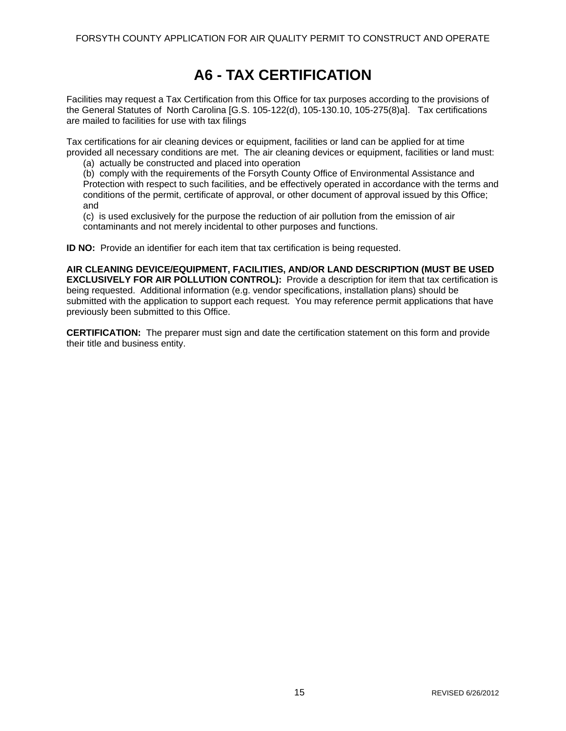### **A6 - TAX CERTIFICATION**

<span id="page-19-0"></span>Facilities may request a Tax Certification from this Office for tax purposes according to the provisions of the General Statutes of North Carolina [G.S. 105-122(d), 105-130.10, 105-275(8)a]. Tax certifications are mailed to facilities for use with tax filings

Tax certifications for air cleaning devices or equipment, facilities or land can be applied for at time provided all necessary conditions are met. The air cleaning devices or equipment, facilities or land must:

(a) actually be constructed and placed into operation

(b) comply with the requirements of the Forsyth County Office of Environmental Assistance and Protection with respect to such facilities, and be effectively operated in accordance with the terms and conditions of the permit, certificate of approval, or other document of approval issued by this Office; and

(c) is used exclusively for the purpose the reduction of air pollution from the emission of air contaminants and not merely incidental to other purposes and functions.

**ID NO:** Provide an identifier for each item that tax certification is being requested.

**AIR CLEANING DEVICE/EQUIPMENT, FACILITIES, AND/OR LAND DESCRIPTION (MUST BE USED EXCLUSIVELY FOR AIR POLLUTION CONTROL):** Provide a description for item that tax certification is being requested. Additional information (e.g. vendor specifications, installation plans) should be submitted with the application to support each request. You may reference permit applications that have previously been submitted to this Office.

**CERTIFICATION:** The preparer must sign and date the certification statement on this form and provide their title and business entity.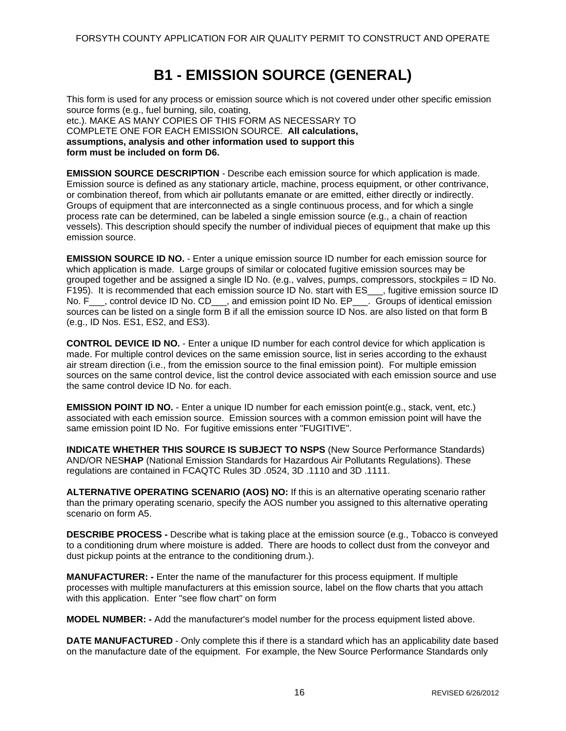### **B1 - EMISSION SOURCE (GENERAL)**

<span id="page-20-0"></span>This form is used for any process or emission source which is not covered under other specific emission source forms (e.g., fuel burning, silo, coating, etc.). MAKE AS MANY COPIES OF THIS FORM AS NECESSARY TO COMPLETE ONE FOR EACH EMISSION SOURCE. **All calculations, assumptions, analysis and other information used to support this form must be included on form D6.** 

**EMISSION SOURCE DESCRIPTION** - Describe each emission source for which application is made. Emission source is defined as any stationary article, machine, process equipment, or other contrivance, or combination thereof, from which air pollutants emanate or are emitted, either directly or indirectly. Groups of equipment that are interconnected as a single continuous process, and for which a single process rate can be determined, can be labeled a single emission source (e.g., a chain of reaction vessels). This description should specify the number of individual pieces of equipment that make up this emission source.

**EMISSION SOURCE ID NO.** - Enter a unique emission source ID number for each emission source for which application is made. Large groups of similar or colocated fugitive emission sources may be grouped together and be assigned a single ID No. (e.g., valves, pumps, compressors, stockpiles = ID No. F195). It is recommended that each emission source ID No. start with ES \_\_, fugitive emission source ID No. F<sub>\_\_\_</sub>, control device ID No. CD<sub>\_\_\_</sub>, and emission point ID No. EP<sub>\_\_\_</sub>. Groups of identical emission sources can be listed on a single form B if all the emission source ID Nos. are also listed on that form B (e.g., ID Nos. ES1, ES2, and ES3).

**CONTROL DEVICE ID NO.** - Enter a unique ID number for each control device for which application is made. For multiple control devices on the same emission source, list in series according to the exhaust air stream direction (i.e., from the emission source to the final emission point). For multiple emission sources on the same control device, list the control device associated with each emission source and use the same control device ID No. for each.

**EMISSION POINT ID NO.** - Enter a unique ID number for each emission point(e.g., stack, vent, etc.) associated with each emission source. Emission sources with a common emission point will have the same emission point ID No. For fugitive emissions enter "FUGITIVE".

**INDICATE WHETHER THIS SOURCE IS SUBJECT TO NSPS** (New Source Performance Standards) AND/OR NES**HAP** (National Emission Standards for Hazardous Air Pollutants Regulations). These regulations are contained in FCAQTC Rules 3D .0524, 3D .1110 and 3D .1111.

**ALTERNATIVE OPERATING SCENARIO (AOS) NO:** If this is an alternative operating scenario rather than the primary operating scenario, specify the AOS number you assigned to this alternative operating scenario on form A5.

**DESCRIBE PROCESS -** Describe what is taking place at the emission source (e.g., Tobacco is conveyed to a conditioning drum where moisture is added. There are hoods to collect dust from the conveyor and dust pickup points at the entrance to the conditioning drum.).

**MANUFACTURER: -** Enter the name of the manufacturer for this process equipment. If multiple processes with multiple manufacturers at this emission source, label on the flow charts that you attach with this application. Enter "see flow chart" on form

**MODEL NUMBER: -** Add the manufacturer's model number for the process equipment listed above.

**DATE MANUFACTURED** - Only complete this if there is a standard which has an applicability date based on the manufacture date of the equipment. For example, the New Source Performance Standards only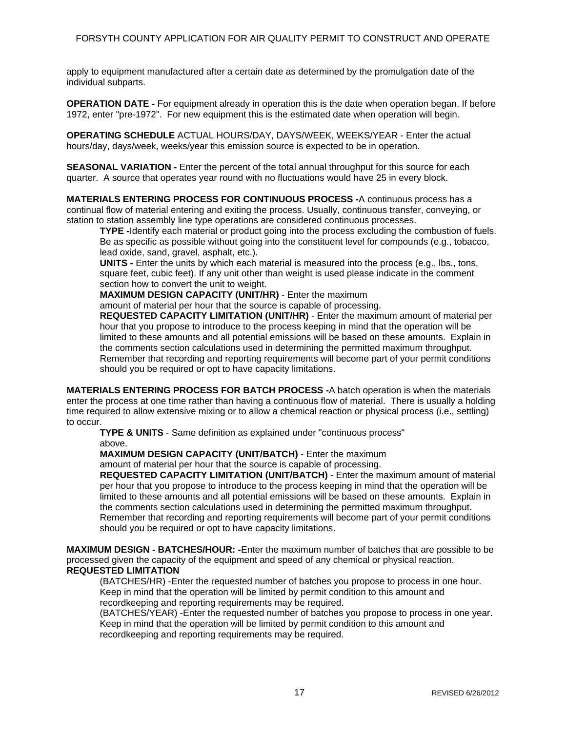apply to equipment manufactured after a certain date as determined by the promulgation date of the individual subparts.

**OPERATION DATE -** For equipment already in operation this is the date when operation began. If before 1972, enter "pre-1972". For new equipment this is the estimated date when operation will begin.

**OPERATING SCHEDULE** ACTUAL HOURS/DAY, DAYS/WEEK, WEEKS/YEAR - Enter the actual hours/day, days/week, weeks/year this emission source is expected to be in operation.

**SEASONAL VARIATION -** Enter the percent of the total annual throughput for this source for each quarter. A source that operates year round with no fluctuations would have 25 in every block.

**MATERIALS ENTERING PROCESS FOR CONTINUOUS PROCESS -**A continuous process has a continual flow of material entering and exiting the process. Usually, continuous transfer, conveying, or station to station assembly line type operations are considered continuous processes.

**TYPE -**Identify each material or product going into the process excluding the combustion of fuels. Be as specific as possible without going into the constituent level for compounds (e.g., tobacco, lead oxide, sand, gravel, asphalt, etc.).

**UNITS -** Enter the units by which each material is measured into the process (e.g., lbs., tons, square feet, cubic feet). If any unit other than weight is used please indicate in the comment section how to convert the unit to weight.

**MAXIMUM DESIGN CAPACITY (UNIT/HR)** - Enter the maximum

amount of material per hour that the source is capable of processing.

**REQUESTED CAPACITY LIMITATION (UNIT/HR)** - Enter the maximum amount of material per hour that you propose to introduce to the process keeping in mind that the operation will be limited to these amounts and all potential emissions will be based on these amounts. Explain in the comments section calculations used in determining the permitted maximum throughput. Remember that recording and reporting requirements will become part of your permit conditions should you be required or opt to have capacity limitations.

**MATERIALS ENTERING PROCESS FOR BATCH PROCESS -**A batch operation is when the materials enter the process at one time rather than having a continuous flow of material. There is usually a holding time required to allow extensive mixing or to allow a chemical reaction or physical process (i.e., settling) to occur.

**TYPE & UNITS** - Same definition as explained under "continuous process" above.

**MAXIMUM DESIGN CAPACITY (UNIT/BATCH)** - Enter the maximum

amount of material per hour that the source is capable of processing.

**REQUESTED CAPACITY LIMITATION (UNIT/BATCH)** - Enter the maximum amount of material per hour that you propose to introduce to the process keeping in mind that the operation will be limited to these amounts and all potential emissions will be based on these amounts. Explain in the comments section calculations used in determining the permitted maximum throughput. Remember that recording and reporting requirements will become part of your permit conditions should you be required or opt to have capacity limitations.

**MAXIMUM DESIGN - BATCHES/HOUR: -**Enter the maximum number of batches that are possible to be processed given the capacity of the equipment and speed of any chemical or physical reaction. **REQUESTED LIMITATION** 

(BATCHES/HR) -Enter the requested number of batches you propose to process in one hour. Keep in mind that the operation will be limited by permit condition to this amount and recordkeeping and reporting requirements may be required.

(BATCHES/YEAR) -Enter the requested number of batches you propose to process in one year. Keep in mind that the operation will be limited by permit condition to this amount and recordkeeping and reporting requirements may be required.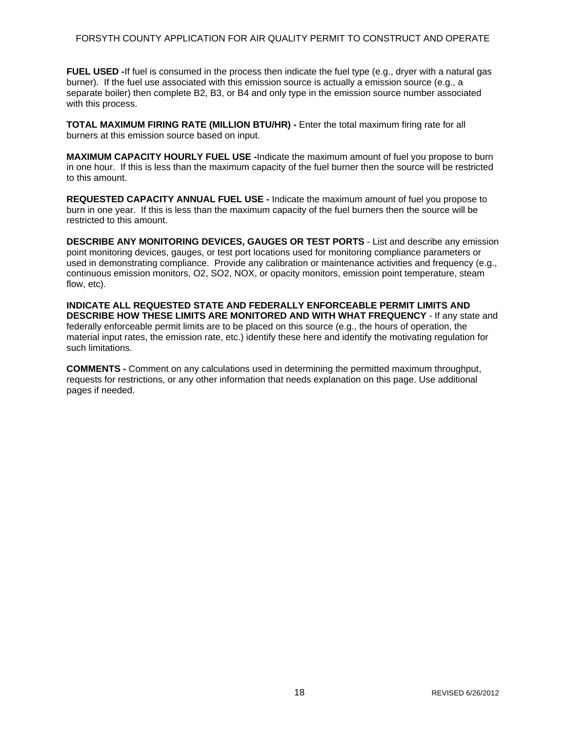### FORSYTH COUNTY APPLICATION FOR AIR QUALITY PERMIT TO CONSTRUCT AND OPERATE

**FUEL USED -**If fuel is consumed in the process then indicate the fuel type (e.g., dryer with a natural gas burner). If the fuel use associated with this emission source is actually a emission source (e.g., a separate boiler) then complete B2, B3, or B4 and only type in the emission source number associated with this process.

**TOTAL MAXIMUM FIRING RATE (MILLION BTU/HR) -** Enter the total maximum firing rate for all burners at this emission source based on input.

**MAXIMUM CAPACITY HOURLY FUEL USE -**Indicate the maximum amount of fuel you propose to burn in one hour. If this is less than the maximum capacity of the fuel burner then the source will be restricted to this amount.

**REQUESTED CAPACITY ANNUAL FUEL USE -** Indicate the maximum amount of fuel you propose to burn in one year. If this is less than the maximum capacity of the fuel burners then the source will be restricted to this amount.

**DESCRIBE ANY MONITORING DEVICES, GAUGES OR TEST PORTS** - List and describe any emission point monitoring devices, gauges, or test port locations used for monitoring compliance parameters or used in demonstrating compliance. Provide any calibration or maintenance activities and frequency (e.g., continuous emission monitors, O2, SO2, NOX, or opacity monitors, emission point temperature, steam flow, etc).

**INDICATE ALL REQUESTED STATE AND FEDERALLY ENFORCEABLE PERMIT LIMITS AND DESCRIBE HOW THESE LIMITS ARE MONITORED AND WITH WHAT FREQUENCY** - If any state and federally enforceable permit limits are to be placed on this source (e.g., the hours of operation, the material input rates, the emission rate, etc.) identify these here and identify the motivating regulation for such limitations.

**COMMENTS -** Comment on any calculations used in determining the permitted maximum throughput, requests for restrictions, or any other information that needs explanation on this page. Use additional pages if needed.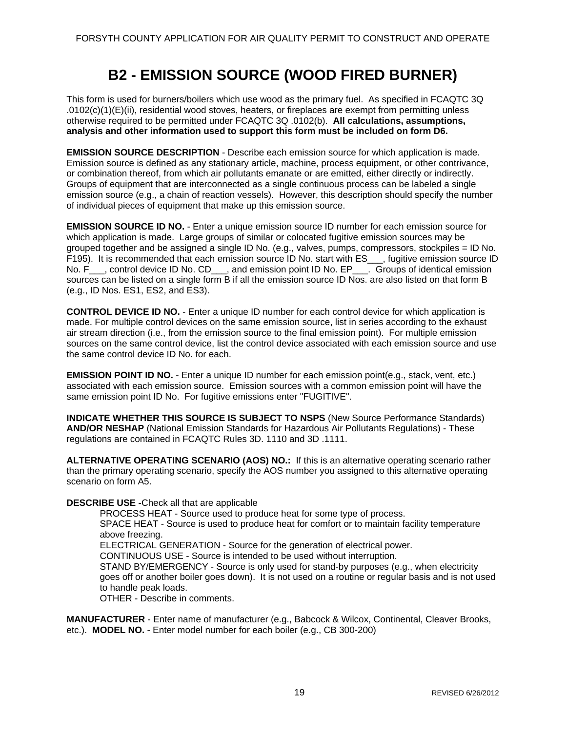### **B2 - EMISSION SOURCE (WOOD FIRED BURNER)**

<span id="page-23-0"></span>This form is used for burners/boilers which use wood as the primary fuel. As specified in FCAQTC 3Q .0102(c)(1)(E)(ii), residential wood stoves, heaters, or fireplaces are exempt from permitting unless otherwise required to be permitted under FCAQTC 3Q .0102(b). **All calculations, assumptions, analysis and other information used to support this form must be included on form D6.** 

**EMISSION SOURCE DESCRIPTION** - Describe each emission source for which application is made. Emission source is defined as any stationary article, machine, process equipment, or other contrivance, or combination thereof, from which air pollutants emanate or are emitted, either directly or indirectly. Groups of equipment that are interconnected as a single continuous process can be labeled a single emission source (e.g., a chain of reaction vessels). However, this description should specify the number of individual pieces of equipment that make up this emission source.

**EMISSION SOURCE ID NO.** - Enter a unique emission source ID number for each emission source for which application is made. Large groups of similar or colocated fugitive emission sources may be grouped together and be assigned a single ID No. (e.g., valves, pumps, compressors, stockpiles = ID No. F195). It is recommended that each emission source ID No. start with ES\_\_\_, fugitive emission source ID No. F<sub>\_\_\_</sub>, control device ID No. CD\_\_\_, and emission point ID No. EP\_\_\_. Groups of identical emission sources can be listed on a single form B if all the emission source ID Nos. are also listed on that form B (e.g., ID Nos. ES1, ES2, and ES3).

**CONTROL DEVICE ID NO.** - Enter a unique ID number for each control device for which application is made. For multiple control devices on the same emission source, list in series according to the exhaust air stream direction (i.e., from the emission source to the final emission point). For multiple emission sources on the same control device, list the control device associated with each emission source and use the same control device ID No. for each.

**EMISSION POINT ID NO.** - Enter a unique ID number for each emission point(e.g., stack, vent, etc.) associated with each emission source. Emission sources with a common emission point will have the same emission point ID No. For fugitive emissions enter "FUGITIVE".

**INDICATE WHETHER THIS SOURCE IS SUBJECT TO NSPS** (New Source Performance Standards) **AND/OR NESHAP** (National Emission Standards for Hazardous Air Pollutants Regulations) - These regulations are contained in FCAQTC Rules 3D. 1110 and 3D .1111.

**ALTERNATIVE OPERATING SCENARIO (AOS) NO.:** If this is an alternative operating scenario rather than the primary operating scenario, specify the AOS number you assigned to this alternative operating scenario on form A5.

### **DESCRIBE USE -**Check all that are applicable

PROCESS HEAT - Source used to produce heat for some type of process.

SPACE HEAT - Source is used to produce heat for comfort or to maintain facility temperature above freezing.

ELECTRICAL GENERATION - Source for the generation of electrical power.

CONTINUOUS USE - Source is intended to be used without interruption.

STAND BY/EMERGENCY - Source is only used for stand-by purposes (e.g., when electricity goes off or another boiler goes down). It is not used on a routine or regular basis and is not used to handle peak loads.

OTHER - Describe in comments.

**MANUFACTURER** - Enter name of manufacturer (e.g., Babcock & Wilcox, Continental, Cleaver Brooks, etc.). **MODEL NO.** - Enter model number for each boiler (e.g., CB 300-200)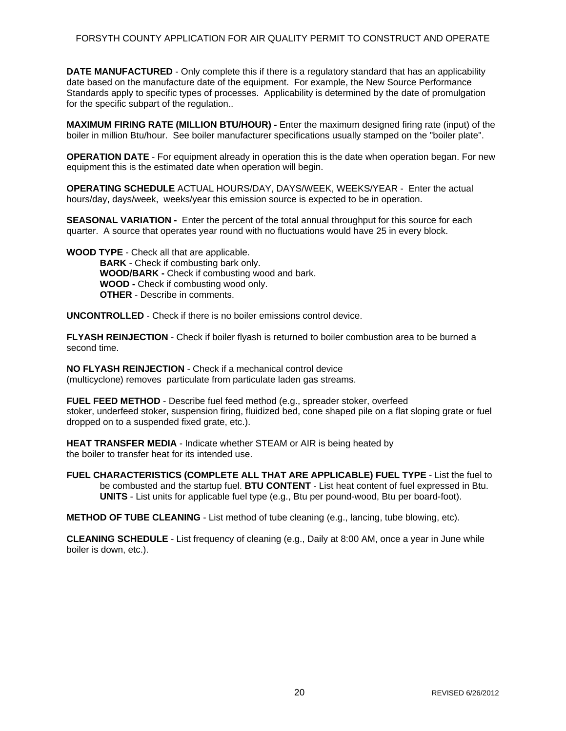**DATE MANUFACTURED** - Only complete this if there is a regulatory standard that has an applicability date based on the manufacture date of the equipment. For example, the New Source Performance Standards apply to specific types of processes. Applicability is determined by the date of promulgation for the specific subpart of the regulation..

**MAXIMUM FIRING RATE (MILLION BTU/HOUR) -** Enter the maximum designed firing rate (input) of the boiler in million Btu/hour. See boiler manufacturer specifications usually stamped on the "boiler plate".

**OPERATION DATE** - For equipment already in operation this is the date when operation began. For new equipment this is the estimated date when operation will begin.

**OPERATING SCHEDULE** ACTUAL HOURS/DAY, DAYS/WEEK, WEEKS/YEAR - Enter the actual hours/day, days/week, weeks/year this emission source is expected to be in operation.

**SEASONAL VARIATION -** Enter the percent of the total annual throughput for this source for each quarter. A source that operates year round with no fluctuations would have 25 in every block.

**WOOD TYPE** - Check all that are applicable. **BARK** - Check if combusting bark only. **WOOD/BARK -** Check if combusting wood and bark. **WOOD -** Check if combusting wood only. **OTHER** - Describe in comments.

**UNCONTROLLED** - Check if there is no boiler emissions control device.

**FLYASH REINJECTION** - Check if boiler flyash is returned to boiler combustion area to be burned a second time.

**NO FLYASH REINJECTION** - Check if a mechanical control device (multicyclone) removes particulate from particulate laden gas streams.

**FUEL FEED METHOD** - Describe fuel feed method (e.g., spreader stoker, overfeed stoker, underfeed stoker, suspension firing, fluidized bed, cone shaped pile on a flat sloping grate or fuel dropped on to a suspended fixed grate, etc.).

**HEAT TRANSFER MEDIA** - Indicate whether STEAM or AIR is being heated by the boiler to transfer heat for its intended use.

**FUEL CHARACTERISTICS (COMPLETE ALL THAT ARE APPLICABLE) FUEL TYPE** - List the fuel to be combusted and the startup fuel. **BTU CONTENT** - List heat content of fuel expressed in Btu. **UNITS** - List units for applicable fuel type (e.g., Btu per pound-wood, Btu per board-foot).

**METHOD OF TUBE CLEANING** - List method of tube cleaning (e.g., lancing, tube blowing, etc).

**CLEANING SCHEDULE** - List frequency of cleaning (e.g., Daily at 8:00 AM, once a year in June while boiler is down, etc.).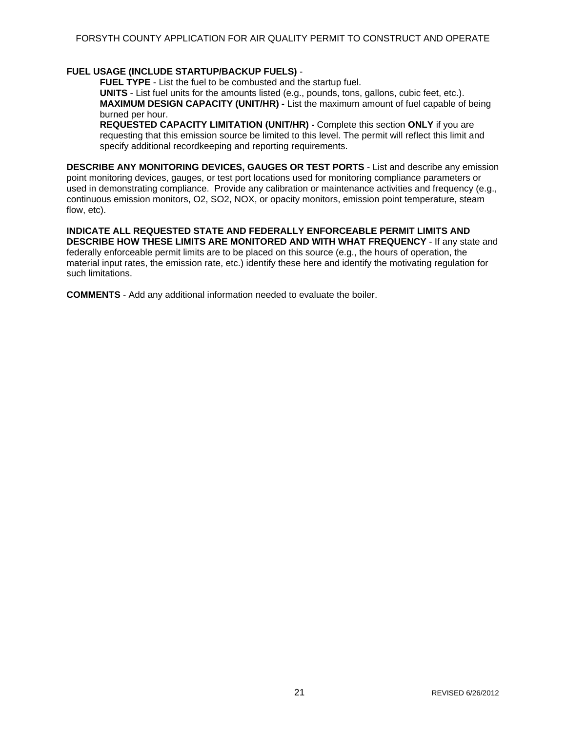### **FUEL USAGE (INCLUDE STARTUP/BACKUP FUELS)** -

**FUEL TYPE** - List the fuel to be combusted and the startup fuel.

**UNITS** - List fuel units for the amounts listed (e.g., pounds, tons, gallons, cubic feet, etc.). **MAXIMUM DESIGN CAPACITY (UNIT/HR) -** List the maximum amount of fuel capable of being burned per hour.

**REQUESTED CAPACITY LIMITATION (UNIT/HR) -** Complete this section **ONLY** if you are requesting that this emission source be limited to this level. The permit will reflect this limit and specify additional recordkeeping and reporting requirements.

**DESCRIBE ANY MONITORING DEVICES, GAUGES OR TEST PORTS** - List and describe any emission point monitoring devices, gauges, or test port locations used for monitoring compliance parameters or used in demonstrating compliance. Provide any calibration or maintenance activities and frequency (e.g., continuous emission monitors, O2, SO2, NOX, or opacity monitors, emission point temperature, steam flow, etc).

**INDICATE ALL REQUESTED STATE AND FEDERALLY ENFORCEABLE PERMIT LIMITS AND DESCRIBE HOW THESE LIMITS ARE MONITORED AND WITH WHAT FREQUENCY** - If any state and federally enforceable permit limits are to be placed on this source (e.g., the hours of operation, the material input rates, the emission rate, etc.) identify these here and identify the motivating regulation for such limitations.

**COMMENTS** - Add any additional information needed to evaluate the boiler.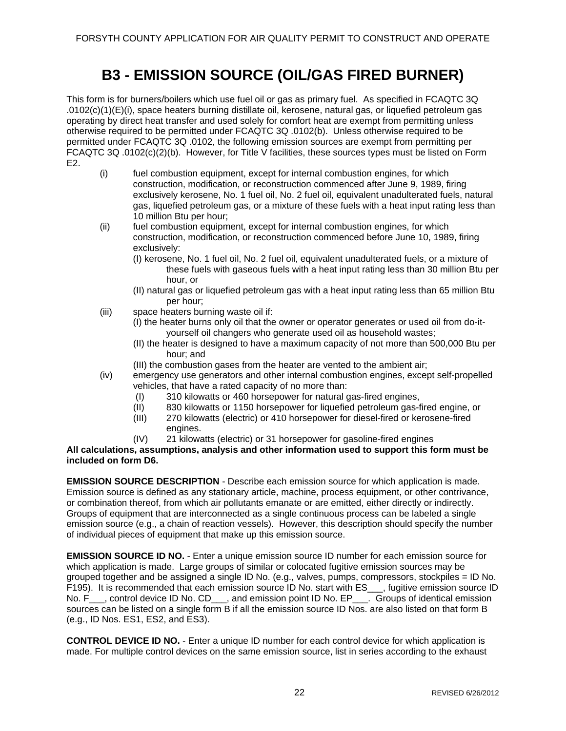### **B3 - EMISSION SOURCE (OIL/GAS FIRED BURNER)**

<span id="page-26-0"></span>This form is for burners/boilers which use fuel oil or gas as primary fuel. As specified in FCAQTC 3Q .0102(c)(1)(E)(i), space heaters burning distillate oil, kerosene, natural gas, or liquefied petroleum gas operating by direct heat transfer and used solely for comfort heat are exempt from permitting unless otherwise required to be permitted under FCAQTC 3Q .0102(b). Unless otherwise required to be permitted under FCAQTC 3Q .0102, the following emission sources are exempt from permitting per FCAQTC 3Q .0102(c)(2)(b). However, for Title V facilities, these sources types must be listed on Form E2.

- (i) fuel combustion equipment, except for internal combustion engines, for which construction, modification, or reconstruction commenced after June 9, 1989, firing exclusively kerosene, No. 1 fuel oil, No. 2 fuel oil, equivalent unadulterated fuels, natural gas, liquefied petroleum gas, or a mixture of these fuels with a heat input rating less than 10 million Btu per hour;
- (ii) fuel combustion equipment, except for internal combustion engines, for which construction, modification, or reconstruction commenced before June 10, 1989, firing exclusively:
	- (I) kerosene, No. 1 fuel oil, No. 2 fuel oil, equivalent unadulterated fuels, or a mixture of these fuels with gaseous fuels with a heat input rating less than 30 million Btu per hour, or
	- (II) natural gas or liquefied petroleum gas with a heat input rating less than 65 million Btu per hour;
- (iii) space heaters burning waste oil if:
	- (I) the heater burns only oil that the owner or operator generates or used oil from do-ityourself oil changers who generate used oil as household wastes;
	- (II) the heater is designed to have a maximum capacity of not more than 500,000 Btu per hour; and
	- (III) the combustion gases from the heater are vented to the ambient air;
- (iv) emergency use generators and other internal combustion engines, except self-propelled vehicles, that have a rated capacity of no more than:
	- (I) 310 kilowatts or 460 horsepower for natural gas-fired engines,
	- (II) 830 kilowatts or 1150 horsepower for liquefied petroleum gas-fired engine, or
	- (III) 270 kilowatts (electric) or 410 horsepower for diesel-fired or kerosene-fired
		- engines.
	- (IV) 21 kilowatts (electric) or 31 horsepower for gasoline-fired engines

**All calculations, assumptions, analysis and other information used to support this form must be included on form D6.** 

**EMISSION SOURCE DESCRIPTION** - Describe each emission source for which application is made. Emission source is defined as any stationary article, machine, process equipment, or other contrivance, or combination thereof, from which air pollutants emanate or are emitted, either directly or indirectly. Groups of equipment that are interconnected as a single continuous process can be labeled a single emission source (e.g., a chain of reaction vessels). However, this description should specify the number of individual pieces of equipment that make up this emission source.

**EMISSION SOURCE ID NO.** - Enter a unique emission source ID number for each emission source for which application is made. Large groups of similar or colocated fugitive emission sources may be grouped together and be assigned a single ID No. (e.g., valves, pumps, compressors, stockpiles = ID No. F195). It is recommended that each emission source ID No. start with ES\_\_\_, fugitive emission source ID No. F<sub>\_\_\_</sub>, control device ID No. CD\_\_\_, and emission point ID No. EP\_\_\_. Groups of identical emission sources can be listed on a single form B if all the emission source ID Nos. are also listed on that form B (e.g., ID Nos. ES1, ES2, and ES3).

**CONTROL DEVICE ID NO.** - Enter a unique ID number for each control device for which application is made. For multiple control devices on the same emission source, list in series according to the exhaust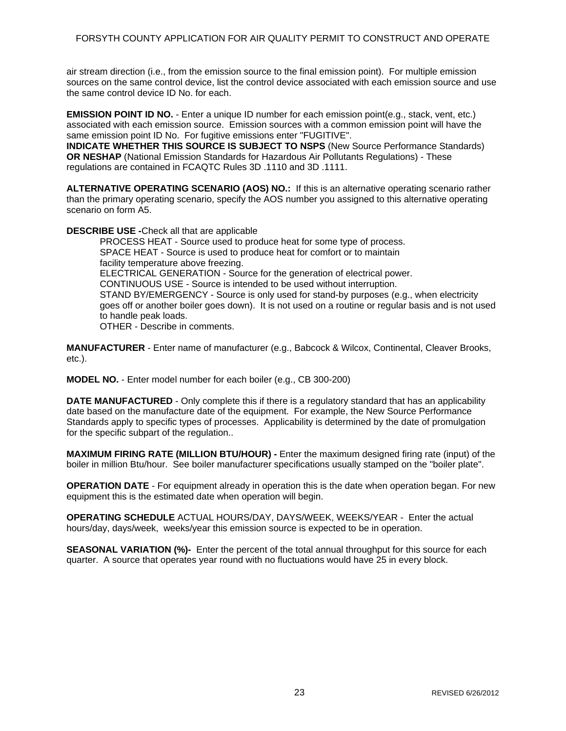air stream direction (i.e., from the emission source to the final emission point). For multiple emission sources on the same control device, list the control device associated with each emission source and use the same control device ID No. for each.

**EMISSION POINT ID NO.** - Enter a unique ID number for each emission point(e.g., stack, vent, etc.) associated with each emission source. Emission sources with a common emission point will have the same emission point ID No. For fugitive emissions enter "FUGITIVE".

**INDICATE WHETHER THIS SOURCE IS SUBJECT TO NSPS (New Source Performance Standards) OR NESHAP** (National Emission Standards for Hazardous Air Pollutants Regulations) - These regulations are contained in FCAQTC Rules 3D .1110 and 3D .1111.

**ALTERNATIVE OPERATING SCENARIO (AOS) NO.:** If this is an alternative operating scenario rather than the primary operating scenario, specify the AOS number you assigned to this alternative operating scenario on form A5.

**DESCRIBE USE -**Check all that are applicable

PROCESS HEAT - Source used to produce heat for some type of process. SPACE HEAT - Source is used to produce heat for comfort or to maintain facility temperature above freezing. ELECTRICAL GENERATION - Source for the generation of electrical power. CONTINUOUS USE - Source is intended to be used without interruption. STAND BY/EMERGENCY - Source is only used for stand-by purposes (e.g., when electricity goes off or another boiler goes down). It is not used on a routine or regular basis and is not used to handle peak loads. OTHER - Describe in comments.

**MANUFACTURER** - Enter name of manufacturer (e.g., Babcock & Wilcox, Continental, Cleaver Brooks, etc.).

**MODEL NO.** - Enter model number for each boiler (e.g., CB 300-200)

**DATE MANUFACTURED** - Only complete this if there is a regulatory standard that has an applicability date based on the manufacture date of the equipment. For example, the New Source Performance Standards apply to specific types of processes. Applicability is determined by the date of promulgation for the specific subpart of the regulation..

**MAXIMUM FIRING RATE (MILLION BTU/HOUR) -** Enter the maximum designed firing rate (input) of the boiler in million Btu/hour. See boiler manufacturer specifications usually stamped on the "boiler plate".

**OPERATION DATE** - For equipment already in operation this is the date when operation began. For new equipment this is the estimated date when operation will begin.

**OPERATING SCHEDULE** ACTUAL HOURS/DAY, DAYS/WEEK, WEEKS/YEAR - Enter the actual hours/day, days/week, weeks/year this emission source is expected to be in operation.

**SEASONAL VARIATION (%)-** Enter the percent of the total annual throughput for this source for each quarter. A source that operates year round with no fluctuations would have 25 in every block.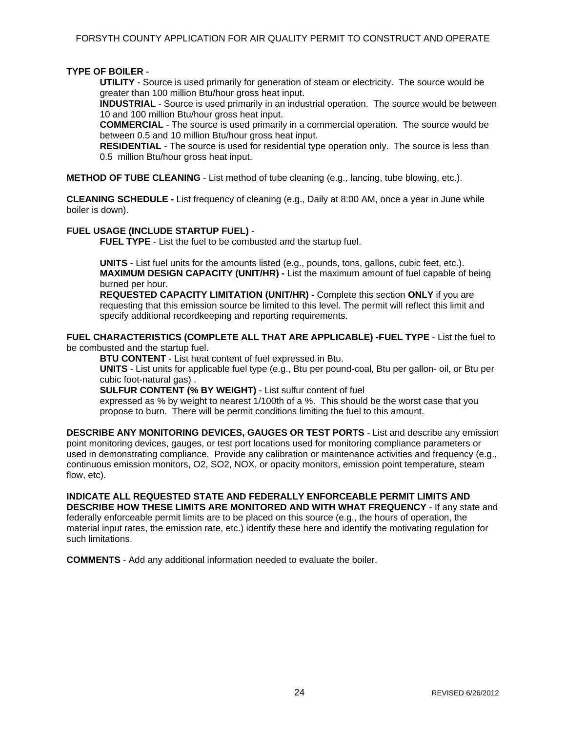### **TYPE OF BOILER** -

**UTILITY** - Source is used primarily for generation of steam or electricity. The source would be greater than 100 million Btu/hour gross heat input.

**INDUSTRIAL** - Source is used primarily in an industrial operation. The source would be between 10 and 100 million Btu/hour gross heat input.

**COMMERCIAL** - The source is used primarily in a commercial operation. The source would be between 0.5 and 10 million Btu/hour gross heat input.

**RESIDENTIAL** - The source is used for residential type operation only. The source is less than 0.5 million Btu/hour gross heat input.

**METHOD OF TUBE CLEANING** - List method of tube cleaning (e.g., lancing, tube blowing, etc.).

**CLEANING SCHEDULE -** List frequency of cleaning (e.g., Daily at 8:00 AM, once a year in June while boiler is down).

#### **FUEL USAGE (INCLUDE STARTUP FUEL)** -

**FUEL TYPE** - List the fuel to be combusted and the startup fuel.

**UNITS** - List fuel units for the amounts listed (e.g., pounds, tons, gallons, cubic feet, etc.). **MAXIMUM DESIGN CAPACITY (UNIT/HR) -** List the maximum amount of fuel capable of being burned per hour.

**REQUESTED CAPACITY LIMITATION (UNIT/HR) -** Complete this section **ONLY** if you are requesting that this emission source be limited to this level. The permit will reflect this limit and specify additional recordkeeping and reporting requirements.

**FUEL CHARACTERISTICS (COMPLETE ALL THAT ARE APPLICABLE) -FUEL TYPE** - List the fuel to be combusted and the startup fuel.

**BTU CONTENT** - List heat content of fuel expressed in Btu.

**UNITS** - List units for applicable fuel type (e.g., Btu per pound-coal, Btu per gallon- oil, or Btu per cubic foot-natural gas) .

**SULFUR CONTENT (% BY WEIGHT)** - List sulfur content of fuel

expressed as % by weight to nearest 1/100th of a %. This should be the worst case that you propose to burn. There will be permit conditions limiting the fuel to this amount.

**DESCRIBE ANY MONITORING DEVICES, GAUGES OR TEST PORTS** - List and describe any emission point monitoring devices, gauges, or test port locations used for monitoring compliance parameters or used in demonstrating compliance. Provide any calibration or maintenance activities and frequency (e.g., continuous emission monitors, O2, SO2, NOX, or opacity monitors, emission point temperature, steam flow, etc).

**INDICATE ALL REQUESTED STATE AND FEDERALLY ENFORCEABLE PERMIT LIMITS AND DESCRIBE HOW THESE LIMITS ARE MONITORED AND WITH WHAT FREQUENCY** - If any state and federally enforceable permit limits are to be placed on this source (e.g., the hours of operation, the material input rates, the emission rate, etc.) identify these here and identify the motivating regulation for such limitations.

**COMMENTS** - Add any additional information needed to evaluate the boiler.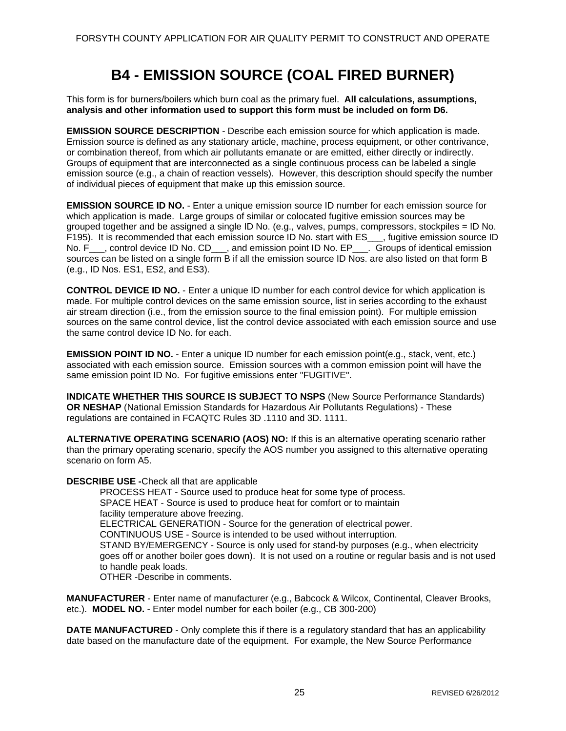### **B4 - EMISSION SOURCE (COAL FIRED BURNER)**

<span id="page-29-0"></span>This form is for burners/boilers which burn coal as the primary fuel. **All calculations, assumptions, analysis and other information used to support this form must be included on form D6.** 

**EMISSION SOURCE DESCRIPTION** - Describe each emission source for which application is made. Emission source is defined as any stationary article, machine, process equipment, or other contrivance, or combination thereof, from which air pollutants emanate or are emitted, either directly or indirectly. Groups of equipment that are interconnected as a single continuous process can be labeled a single emission source (e.g., a chain of reaction vessels). However, this description should specify the number of individual pieces of equipment that make up this emission source.

**EMISSION SOURCE ID NO.** - Enter a unique emission source ID number for each emission source for which application is made. Large groups of similar or colocated fugitive emission sources may be grouped together and be assigned a single ID No. (e.g., valves, pumps, compressors, stockpiles = ID No. F195). It is recommended that each emission source ID No. start with ES\_\_\_, fugitive emission source ID No. F\_\_\_, control device ID No. CD\_\_\_, and emission point ID No. EP\_\_\_. Groups of identical emission sources can be listed on a single form B if all the emission source ID Nos. are also listed on that form B (e.g., ID Nos. ES1, ES2, and ES3).

**CONTROL DEVICE ID NO.** - Enter a unique ID number for each control device for which application is made. For multiple control devices on the same emission source, list in series according to the exhaust air stream direction (i.e., from the emission source to the final emission point). For multiple emission sources on the same control device, list the control device associated with each emission source and use the same control device ID No. for each.

**EMISSION POINT ID NO.** - Enter a unique ID number for each emission point(e.g., stack, vent, etc.) associated with each emission source. Emission sources with a common emission point will have the same emission point ID No. For fugitive emissions enter "FUGITIVE".

**INDICATE WHETHER THIS SOURCE IS SUBJECT TO NSPS** (New Source Performance Standards) **OR NESHAP** (National Emission Standards for Hazardous Air Pollutants Regulations) - These regulations are contained in FCAQTC Rules 3D .1110 and 3D. 1111.

**ALTERNATIVE OPERATING SCENARIO (AOS) NO:** If this is an alternative operating scenario rather than the primary operating scenario, specify the AOS number you assigned to this alternative operating scenario on form A5.

**DESCRIBE USE -**Check all that are applicable

PROCESS HEAT - Source used to produce heat for some type of process. SPACE HEAT - Source is used to produce heat for comfort or to maintain facility temperature above freezing. ELECTRICAL GENERATION - Source for the generation of electrical power. CONTINUOUS USE - Source is intended to be used without interruption. STAND BY/EMERGENCY - Source is only used for stand-by purposes (e.g., when electricity goes off or another boiler goes down). It is not used on a routine or regular basis and is not used to handle peak loads. OTHER -Describe in comments.

**MANUFACTURER** - Enter name of manufacturer (e.g., Babcock & Wilcox, Continental, Cleaver Brooks, etc.). **MODEL NO.** - Enter model number for each boiler (e.g., CB 300-200)

**DATE MANUFACTURED** - Only complete this if there is a regulatory standard that has an applicability date based on the manufacture date of the equipment. For example, the New Source Performance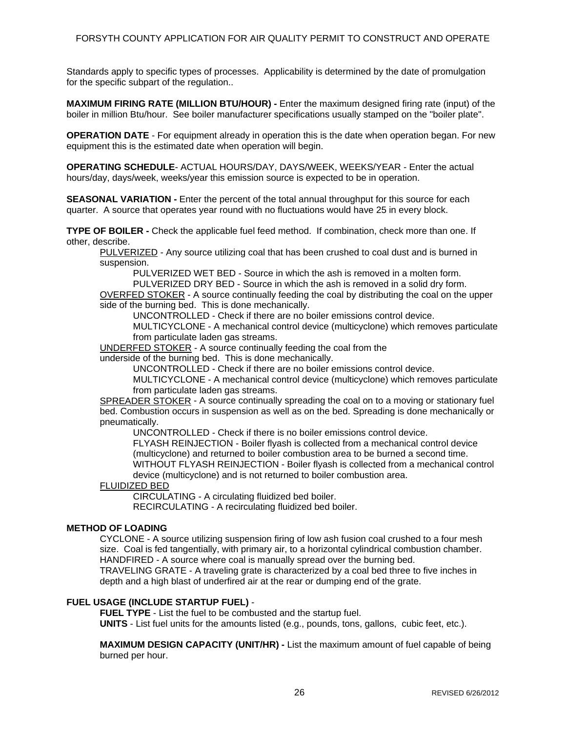Standards apply to specific types of processes. Applicability is determined by the date of promulgation for the specific subpart of the regulation..

**MAXIMUM FIRING RATE (MILLION BTU/HOUR) -** Enter the maximum designed firing rate (input) of the boiler in million Btu/hour. See boiler manufacturer specifications usually stamped on the "boiler plate".

**OPERATION DATE** - For equipment already in operation this is the date when operation began. For new equipment this is the estimated date when operation will begin.

**OPERATING SCHEDULE**- ACTUAL HOURS/DAY, DAYS/WEEK, WEEKS/YEAR - Enter the actual hours/day, days/week, weeks/year this emission source is expected to be in operation.

**SEASONAL VARIATION -** Enter the percent of the total annual throughput for this source for each quarter. A source that operates year round with no fluctuations would have 25 in every block.

**TYPE OF BOILER -** Check the applicable fuel feed method. If combination, check more than one. If other, describe.

PULVERIZED - Any source utilizing coal that has been crushed to coal dust and is burned in suspension.

PULVERIZED WET BED - Source in which the ash is removed in a molten form.

PULVERIZED DRY BED - Source in which the ash is removed in a solid dry form. OVERFED STOKER - A source continually feeding the coal by distributing the coal on the upper side of the burning bed. This is done mechanically.

UNCONTROLLED - Check if there are no boiler emissions control device.

MULTICYCLONE - A mechanical control device (multicyclone) which removes particulate from particulate laden gas streams.

UNDERFED STOKER - A source continually feeding the coal from the

underside of the burning bed. This is done mechanically.

UNCONTROLLED - Check if there are no boiler emissions control device.

MULTICYCLONE - A mechanical control device (multicyclone) which removes particulate from particulate laden gas streams.

SPREADER STOKER - A source continually spreading the coal on to a moving or stationary fuel bed. Combustion occurs in suspension as well as on the bed. Spreading is done mechanically or pneumatically.

UNCONTROLLED - Check if there is no boiler emissions control device.

FLYASH REINJECTION - Boiler flyash is collected from a mechanical control device (multicyclone) and returned to boiler combustion area to be burned a second time.

WITHOUT FLYASH REINJECTION - Boiler flyash is collected from a mechanical control device (multicyclone) and is not returned to boiler combustion area.

#### FLUIDIZED BED

CIRCULATING - A circulating fluidized bed boiler.

RECIRCULATING - A recirculating fluidized bed boiler.

#### **METHOD OF LOADING**

CYCLONE - A source utilizing suspension firing of low ash fusion coal crushed to a four mesh size. Coal is fed tangentially, with primary air, to a horizontal cylindrical combustion chamber. HANDFIRED - A source where coal is manually spread over the burning bed.

TRAVELING GRATE - A traveling grate is characterized by a coal bed three to five inches in depth and a high blast of underfired air at the rear or dumping end of the grate.

#### **FUEL USAGE (INCLUDE STARTUP FUEL)** -

**FUEL TYPE** - List the fuel to be combusted and the startup fuel.

**UNITS** - List fuel units for the amounts listed (e.g., pounds, tons, gallons, cubic feet, etc.).

**MAXIMUM DESIGN CAPACITY (UNIT/HR) -** List the maximum amount of fuel capable of being burned per hour.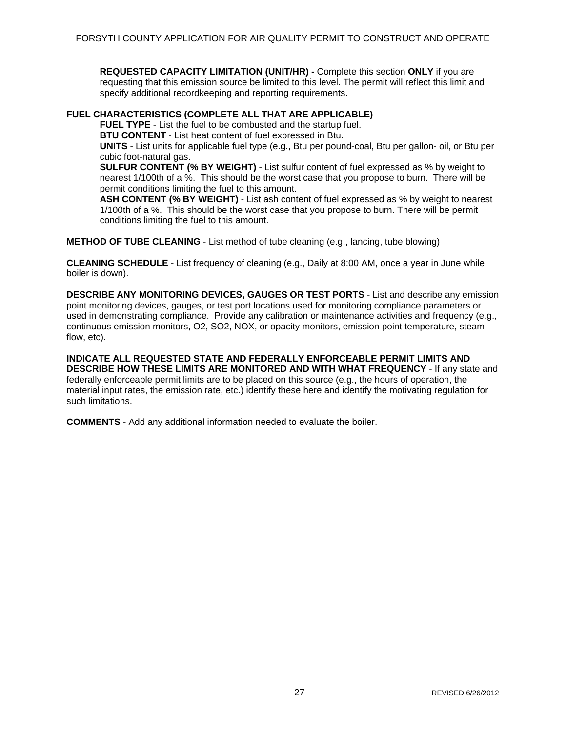**REQUESTED CAPACITY LIMITATION (UNIT/HR) -** Complete this section **ONLY** if you are requesting that this emission source be limited to this level. The permit will reflect this limit and specify additional recordkeeping and reporting requirements.

### **FUEL CHARACTERISTICS (COMPLETE ALL THAT ARE APPLICABLE)**

**FUEL TYPE** - List the fuel to be combusted and the startup fuel.

**BTU CONTENT** - List heat content of fuel expressed in Btu.

**UNITS** - List units for applicable fuel type (e.g., Btu per pound-coal, Btu per gallon- oil, or Btu per cubic foot-natural gas.

**SULFUR CONTENT (% BY WEIGHT)** - List sulfur content of fuel expressed as % by weight to nearest 1/100th of a %. This should be the worst case that you propose to burn. There will be permit conditions limiting the fuel to this amount.

**ASH CONTENT (% BY WEIGHT)** - List ash content of fuel expressed as % by weight to nearest 1/100th of a %. This should be the worst case that you propose to burn. There will be permit conditions limiting the fuel to this amount.

**METHOD OF TUBE CLEANING** - List method of tube cleaning (e.g., lancing, tube blowing)

**CLEANING SCHEDULE** - List frequency of cleaning (e.g., Daily at 8:00 AM, once a year in June while boiler is down).

**DESCRIBE ANY MONITORING DEVICES, GAUGES OR TEST PORTS** - List and describe any emission point monitoring devices, gauges, or test port locations used for monitoring compliance parameters or used in demonstrating compliance. Provide any calibration or maintenance activities and frequency (e.g., continuous emission monitors, O2, SO2, NOX, or opacity monitors, emission point temperature, steam flow, etc).

**INDICATE ALL REQUESTED STATE AND FEDERALLY ENFORCEABLE PERMIT LIMITS AND DESCRIBE HOW THESE LIMITS ARE MONITORED AND WITH WHAT FREQUENCY** - If any state and federally enforceable permit limits are to be placed on this source (e.g., the hours of operation, the material input rates, the emission rate, etc.) identify these here and identify the motivating regulation for such limitations.

**COMMENTS** - Add any additional information needed to evaluate the boiler.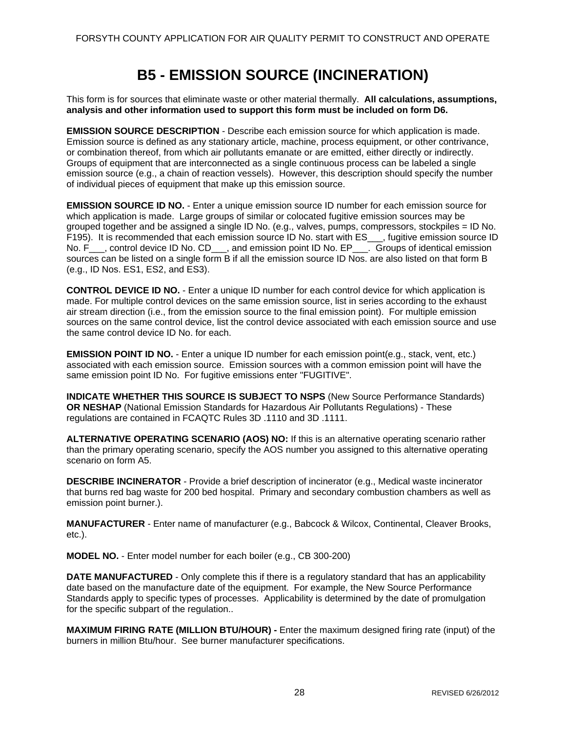### **B5 - EMISSION SOURCE (INCINERATION)**

<span id="page-32-0"></span>This form is for sources that eliminate waste or other material thermally. **All calculations, assumptions, analysis and other information used to support this form must be included on form D6.** 

**EMISSION SOURCE DESCRIPTION** - Describe each emission source for which application is made. Emission source is defined as any stationary article, machine, process equipment, or other contrivance, or combination thereof, from which air pollutants emanate or are emitted, either directly or indirectly. Groups of equipment that are interconnected as a single continuous process can be labeled a single emission source (e.g., a chain of reaction vessels). However, this description should specify the number of individual pieces of equipment that make up this emission source.

**EMISSION SOURCE ID NO.** - Enter a unique emission source ID number for each emission source for which application is made. Large groups of similar or colocated fugitive emission sources may be grouped together and be assigned a single ID No. (e.g., valves, pumps, compressors, stockpiles = ID No. F195). It is recommended that each emission source ID No. start with ES\_\_\_, fugitive emission source ID No. F\_\_\_, control device ID No. CD\_\_\_, and emission point ID No. EP\_\_\_. Groups of identical emission sources can be listed on a single form B if all the emission source ID Nos. are also listed on that form B (e.g., ID Nos. ES1, ES2, and ES3).

**CONTROL DEVICE ID NO.** - Enter a unique ID number for each control device for which application is made. For multiple control devices on the same emission source, list in series according to the exhaust air stream direction (i.e., from the emission source to the final emission point). For multiple emission sources on the same control device, list the control device associated with each emission source and use the same control device ID No. for each.

**EMISSION POINT ID NO.** - Enter a unique ID number for each emission point(e.g., stack, vent, etc.) associated with each emission source. Emission sources with a common emission point will have the same emission point ID No. For fugitive emissions enter "FUGITIVE".

**INDICATE WHETHER THIS SOURCE IS SUBJECT TO NSPS** (New Source Performance Standards) **OR NESHAP** (National Emission Standards for Hazardous Air Pollutants Regulations) - These regulations are contained in FCAQTC Rules 3D .1110 and 3D .1111.

**ALTERNATIVE OPERATING SCENARIO (AOS) NO:** If this is an alternative operating scenario rather than the primary operating scenario, specify the AOS number you assigned to this alternative operating scenario on form A5.

**DESCRIBE INCINERATOR** - Provide a brief description of incinerator (e.g., Medical waste incinerator that burns red bag waste for 200 bed hospital. Primary and secondary combustion chambers as well as emission point burner.).

**MANUFACTURER** - Enter name of manufacturer (e.g., Babcock & Wilcox, Continental, Cleaver Brooks, etc.).

**MODEL NO.** - Enter model number for each boiler (e.g., CB 300-200)

**DATE MANUFACTURED** - Only complete this if there is a regulatory standard that has an applicability date based on the manufacture date of the equipment. For example, the New Source Performance Standards apply to specific types of processes. Applicability is determined by the date of promulgation for the specific subpart of the regulation..

**MAXIMUM FIRING RATE (MILLION BTU/HOUR) -** Enter the maximum designed firing rate (input) of the burners in million Btu/hour. See burner manufacturer specifications.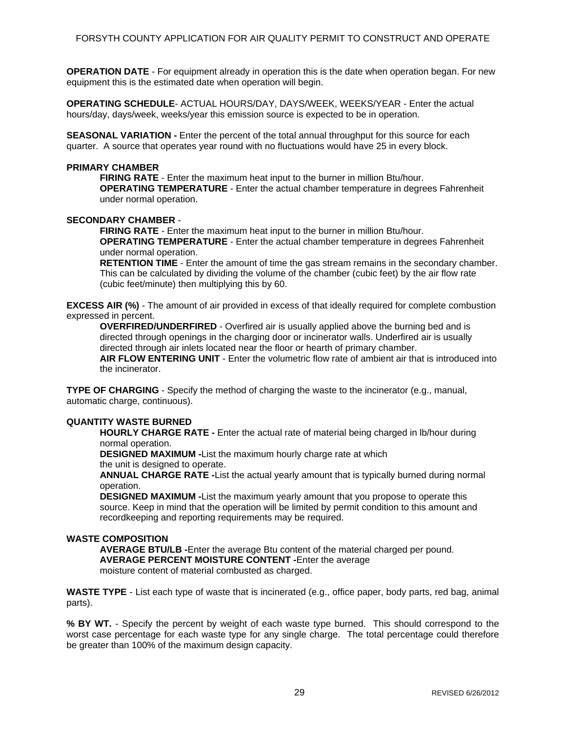**OPERATION DATE** - For equipment already in operation this is the date when operation began. For new equipment this is the estimated date when operation will begin.

**OPERATING SCHEDULE**- ACTUAL HOURS/DAY, DAYS/WEEK, WEEKS/YEAR - Enter the actual hours/day, days/week, weeks/year this emission source is expected to be in operation.

**SEASONAL VARIATION -** Enter the percent of the total annual throughput for this source for each quarter. A source that operates year round with no fluctuations would have 25 in every block.

### **PRIMARY CHAMBER**

**FIRING RATE** - Enter the maximum heat input to the burner in million Btu/hour. **OPERATING TEMPERATURE** - Enter the actual chamber temperature in degrees Fahrenheit under normal operation.

#### **SECONDARY CHAMBER** -

**FIRING RATE** - Enter the maximum heat input to the burner in million Btu/hour. **OPERATING TEMPERATURE** - Enter the actual chamber temperature in degrees Fahrenheit under normal operation.

**RETENTION TIME** - Enter the amount of time the gas stream remains in the secondary chamber. This can be calculated by dividing the volume of the chamber (cubic feet) by the air flow rate (cubic feet/minute) then multiplying this by 60.

**EXCESS AIR (%)** - The amount of air provided in excess of that ideally required for complete combustion expressed in percent.

**OVERFIRED/UNDERFIRED** - Overfired air is usually applied above the burning bed and is directed through openings in the charging door or incinerator walls. Underfired air is usually directed through air inlets located near the floor or hearth of primary chamber. **AIR FLOW ENTERING UNIT** - Enter the volumetric flow rate of ambient air that is introduced into the incinerator.

**TYPE OF CHARGING** - Specify the method of charging the waste to the incinerator (e.g., manual, automatic charge, continuous).

#### **QUANTITY WASTE BURNED**

**HOURLY CHARGE RATE -** Enter the actual rate of material being charged in lb/hour during normal operation.

**DESIGNED MAXIMUM -**List the maximum hourly charge rate at which

the unit is designed to operate.

**ANNUAL CHARGE RATE -**List the actual yearly amount that is typically burned during normal operation.

**DESIGNED MAXIMUM -**List the maximum yearly amount that you propose to operate this source. Keep in mind that the operation will be limited by permit condition to this amount and recordkeeping and reporting requirements may be required.

#### **WASTE COMPOSITION**

**AVERAGE BTU/LB -**Enter the average Btu content of the material charged per pound. **AVERAGE PERCENT MOISTURE CONTENT -**Enter the average moisture content of material combusted as charged.

**WASTE TYPE** - List each type of waste that is incinerated (e.g., office paper, body parts, red bag, animal parts).

**% BY WT.** - Specify the percent by weight of each waste type burned. This should correspond to the worst case percentage for each waste type for any single charge. The total percentage could therefore be greater than 100% of the maximum design capacity.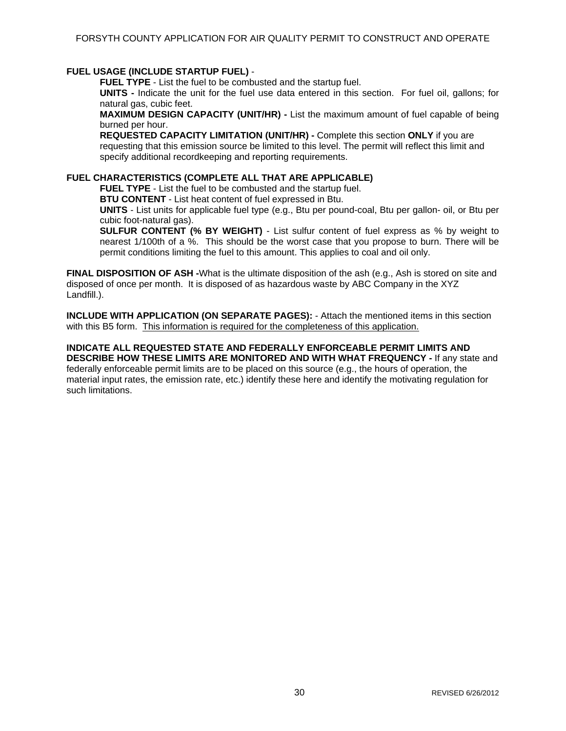### **FUEL USAGE (INCLUDE STARTUP FUEL)** -

**FUEL TYPE** - List the fuel to be combusted and the startup fuel.

**UNITS -** Indicate the unit for the fuel use data entered in this section. For fuel oil, gallons; for natural gas, cubic feet.

**MAXIMUM DESIGN CAPACITY (UNIT/HR) -** List the maximum amount of fuel capable of being burned per hour.

**REQUESTED CAPACITY LIMITATION (UNIT/HR) -** Complete this section **ONLY** if you are requesting that this emission source be limited to this level. The permit will reflect this limit and specify additional recordkeeping and reporting requirements.

### **FUEL CHARACTERISTICS (COMPLETE ALL THAT ARE APPLICABLE)**

**FUEL TYPE** - List the fuel to be combusted and the startup fuel.

**BTU CONTENT** - List heat content of fuel expressed in Btu.

**UNITS** - List units for applicable fuel type (e.g., Btu per pound-coal, Btu per gallon- oil, or Btu per cubic foot-natural gas).

**SULFUR CONTENT (% BY WEIGHT)** - List sulfur content of fuel express as % by weight to nearest 1/100th of a %. This should be the worst case that you propose to burn. There will be permit conditions limiting the fuel to this amount. This applies to coal and oil only.

**FINAL DISPOSITION OF ASH -**What is the ultimate disposition of the ash (e.g., Ash is stored on site and disposed of once per month. It is disposed of as hazardous waste by ABC Company in the XYZ Landfill.).

**INCLUDE WITH APPLICATION (ON SEPARATE PAGES):** - Attach the mentioned items in this section with this B5 form. This information is required for the completeness of this application.

#### **INDICATE ALL REQUESTED STATE AND FEDERALLY ENFORCEABLE PERMIT LIMITS AND DESCRIBE HOW THESE LIMITS ARE MONITORED AND WITH WHAT FREQUENCY -** If any state and

federally enforceable permit limits are to be placed on this source (e.g., the hours of operation, the material input rates, the emission rate, etc.) identify these here and identify the motivating regulation for such limitations.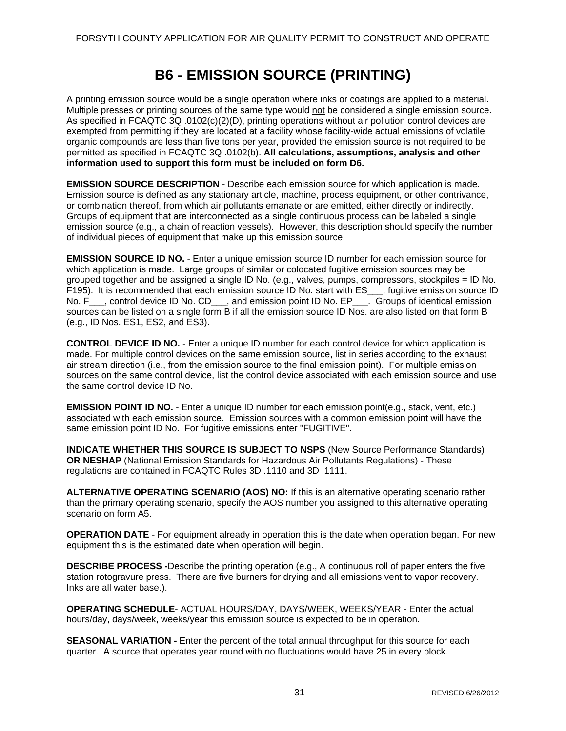### **B6 - EMISSION SOURCE (PRINTING)**

<span id="page-35-0"></span>A printing emission source would be a single operation where inks or coatings are applied to a material. Multiple presses or printing sources of the same type would not be considered a single emission source. As specified in FCAQTC 3Q .0102(c)(2)(D), printing operations without air pollution control devices are exempted from permitting if they are located at a facility whose facility-wide actual emissions of volatile organic compounds are less than five tons per year, provided the emission source is not required to be permitted as specified in FCAQTC 3Q .0102(b). **All calculations, assumptions, analysis and other information used to support this form must be included on form D6.** 

**EMISSION SOURCE DESCRIPTION** - Describe each emission source for which application is made. Emission source is defined as any stationary article, machine, process equipment, or other contrivance, or combination thereof, from which air pollutants emanate or are emitted, either directly or indirectly. Groups of equipment that are interconnected as a single continuous process can be labeled a single emission source (e.g., a chain of reaction vessels). However, this description should specify the number of individual pieces of equipment that make up this emission source.

**EMISSION SOURCE ID NO.** - Enter a unique emission source ID number for each emission source for which application is made. Large groups of similar or colocated fugitive emission sources may be grouped together and be assigned a single ID No. (e.g., valves, pumps, compressors, stockpiles = ID No. F195). It is recommended that each emission source ID No. start with ES \_\_, fugitive emission source ID No. F<sub>\_\_\_</sub>, control device ID No. CD<sub>\_\_\_</sub>, and emission point ID No. EP<sub>\_\_\_</sub>. Groups of identical emission sources can be listed on a single form B if all the emission source ID Nos. are also listed on that form B (e.g., ID Nos. ES1, ES2, and ES3).

**CONTROL DEVICE ID NO.** - Enter a unique ID number for each control device for which application is made. For multiple control devices on the same emission source, list in series according to the exhaust air stream direction (i.e., from the emission source to the final emission point). For multiple emission sources on the same control device, list the control device associated with each emission source and use the same control device ID No.

**EMISSION POINT ID NO.** - Enter a unique ID number for each emission point(e.g., stack, vent, etc.) associated with each emission source. Emission sources with a common emission point will have the same emission point ID No. For fugitive emissions enter "FUGITIVE".

**INDICATE WHETHER THIS SOURCE IS SUBJECT TO NSPS** (New Source Performance Standards) **OR NESHAP** (National Emission Standards for Hazardous Air Pollutants Regulations) - These regulations are contained in FCAQTC Rules 3D .1110 and 3D .1111.

**ALTERNATIVE OPERATING SCENARIO (AOS) NO:** If this is an alternative operating scenario rather than the primary operating scenario, specify the AOS number you assigned to this alternative operating scenario on form A5.

**OPERATION DATE** - For equipment already in operation this is the date when operation began. For new equipment this is the estimated date when operation will begin.

**DESCRIBE PROCESS -**Describe the printing operation (e.g., A continuous roll of paper enters the five station rotogravure press. There are five burners for drying and all emissions vent to vapor recovery. Inks are all water base.).

**OPERATING SCHEDULE**- ACTUAL HOURS/DAY, DAYS/WEEK, WEEKS/YEAR - Enter the actual hours/day, days/week, weeks/year this emission source is expected to be in operation.

**SEASONAL VARIATION -** Enter the percent of the total annual throughput for this source for each quarter. A source that operates year round with no fluctuations would have 25 in every block.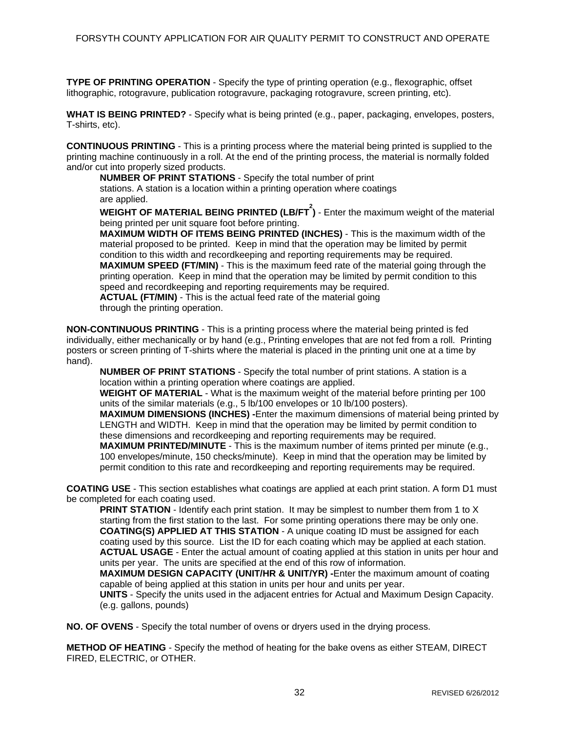**TYPE OF PRINTING OPERATION** - Specify the type of printing operation (e.g., flexographic, offset lithographic, rotogravure, publication rotogravure, packaging rotogravure, screen printing, etc).

**WHAT IS BEING PRINTED?** - Specify what is being printed (e.g., paper, packaging, envelopes, posters, T-shirts, etc).

**CONTINUOUS PRINTING** - This is a printing process where the material being printed is supplied to the printing machine continuously in a roll. At the end of the printing process, the material is normally folded and/or cut into properly sized products.

**NUMBER OF PRINT STATIONS** - Specify the total number of print stations. A station is a location within a printing operation where coatings are applied.

WEIGHT OF MATERIAL BEING PRINTED (LB/FT<sup>2</sup>) - Enter the maximum weight of the material being printed per unit square foot before printing.

**MAXIMUM WIDTH OF ITEMS BEING PRINTED (INCHES)** - This is the maximum width of the material proposed to be printed. Keep in mind that the operation may be limited by permit condition to this width and recordkeeping and reporting requirements may be required. **MAXIMUM SPEED (FT/MIN)** - This is the maximum feed rate of the material going through the printing operation. Keep in mind that the operation may be limited by permit condition to this speed and recordkeeping and reporting requirements may be required. **ACTUAL (FT/MIN)** - This is the actual feed rate of the material going through the printing operation.

**NON-CONTINUOUS PRINTING** - This is a printing process where the material being printed is fed individually, either mechanically or by hand (e.g., Printing envelopes that are not fed from a roll. Printing posters or screen printing of T-shirts where the material is placed in the printing unit one at a time by hand).

**NUMBER OF PRINT STATIONS** - Specify the total number of print stations. A station is a location within a printing operation where coatings are applied.

**WEIGHT OF MATERIAL** - What is the maximum weight of the material before printing per 100 units of the similar materials (e.g., 5 lb/100 envelopes or 10 lb/100 posters).

**MAXIMUM DIMENSIONS (INCHES) -**Enter the maximum dimensions of material being printed by LENGTH and WIDTH. Keep in mind that the operation may be limited by permit condition to these dimensions and recordkeeping and reporting requirements may be required.

**MAXIMUM PRINTED/MINUTE** - This is the maximum number of items printed per minute (e.g., 100 envelopes/minute, 150 checks/minute). Keep in mind that the operation may be limited by permit condition to this rate and recordkeeping and reporting requirements may be required.

**COATING USE** - This section establishes what coatings are applied at each print station. A form D1 must be completed for each coating used.

**PRINT STATION** - Identify each print station. It may be simplest to number them from 1 to X starting from the first station to the last. For some printing operations there may be only one. **COATING(S) APPLIED AT THIS STATION** - A unique coating ID must be assigned for each coating used by this source. List the ID for each coating which may be applied at each station. **ACTUAL USAGE** - Enter the actual amount of coating applied at this station in units per hour and units per year. The units are specified at the end of this row of information.

**MAXIMUM DESIGN CAPACITY (UNIT/HR & UNIT/YR) -**Enter the maximum amount of coating capable of being applied at this station in units per hour and units per year.

**UNITS** - Specify the units used in the adjacent entries for Actual and Maximum Design Capacity. (e.g. gallons, pounds)

**NO. OF OVENS** - Specify the total number of ovens or dryers used in the drying process.

**METHOD OF HEATING** - Specify the method of heating for the bake ovens as either STEAM, DIRECT FIRED, ELECTRIC, or OTHER.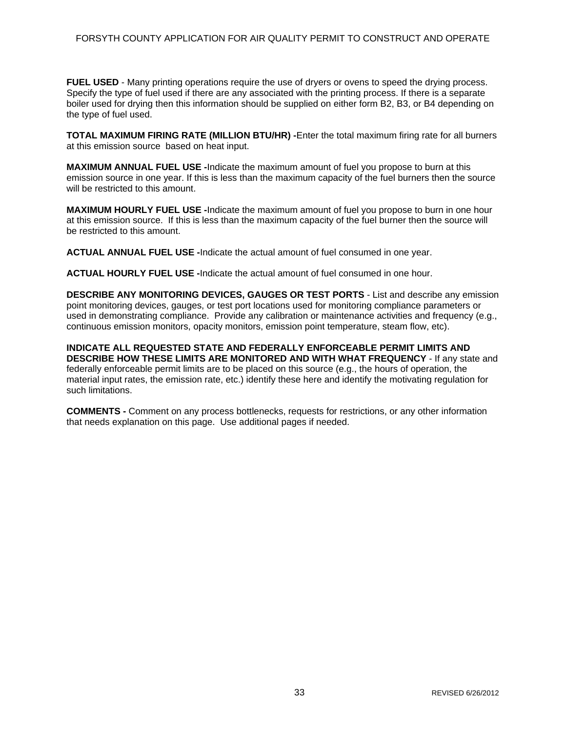### FORSYTH COUNTY APPLICATION FOR AIR QUALITY PERMIT TO CONSTRUCT AND OPERATE

**FUEL USED** - Many printing operations require the use of dryers or ovens to speed the drying process. Specify the type of fuel used if there are any associated with the printing process. If there is a separate boiler used for drying then this information should be supplied on either form B2, B3, or B4 depending on the type of fuel used.

**TOTAL MAXIMUM FIRING RATE (MILLION BTU/HR) -**Enter the total maximum firing rate for all burners at this emission source based on heat input.

**MAXIMUM ANNUAL FUEL USE -**Indicate the maximum amount of fuel you propose to burn at this emission source in one year. If this is less than the maximum capacity of the fuel burners then the source will be restricted to this amount.

**MAXIMUM HOURLY FUEL USE -**Indicate the maximum amount of fuel you propose to burn in one hour at this emission source. If this is less than the maximum capacity of the fuel burner then the source will be restricted to this amount.

**ACTUAL ANNUAL FUEL USE -**Indicate the actual amount of fuel consumed in one year.

**ACTUAL HOURLY FUEL USE -**Indicate the actual amount of fuel consumed in one hour.

**DESCRIBE ANY MONITORING DEVICES, GAUGES OR TEST PORTS** - List and describe any emission point monitoring devices, gauges, or test port locations used for monitoring compliance parameters or used in demonstrating compliance. Provide any calibration or maintenance activities and frequency (e.g., continuous emission monitors, opacity monitors, emission point temperature, steam flow, etc).

**INDICATE ALL REQUESTED STATE AND FEDERALLY ENFORCEABLE PERMIT LIMITS AND DESCRIBE HOW THESE LIMITS ARE MONITORED AND WITH WHAT FREQUENCY** - If any state and federally enforceable permit limits are to be placed on this source (e.g., the hours of operation, the material input rates, the emission rate, etc.) identify these here and identify the motivating regulation for such limitations.

**COMMENTS -** Comment on any process bottlenecks, requests for restrictions, or any other information that needs explanation on this page. Use additional pages if needed.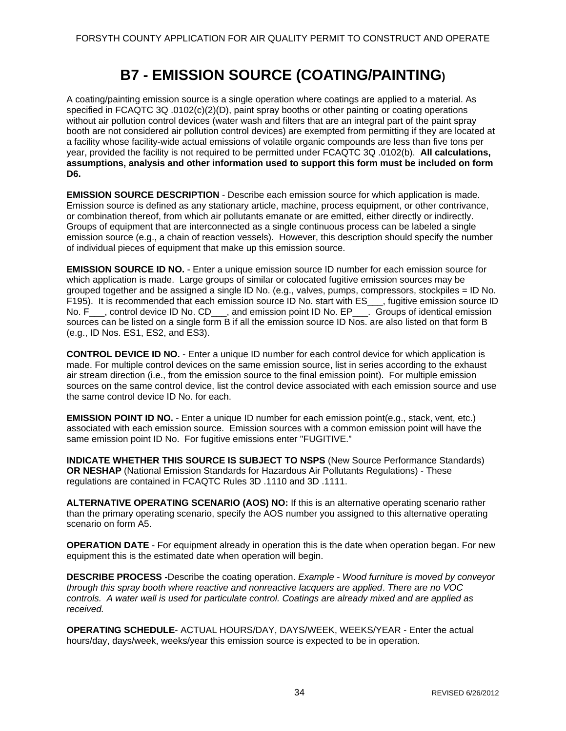## **B7 - EMISSION SOURCE (COATING/PAINTING)**

A coating/painting emission source is a single operation where coatings are applied to a material. As specified in FCAQTC 3Q .0102(c)(2)(D), paint spray booths or other painting or coating operations without air pollution control devices (water wash and filters that are an integral part of the paint spray booth are not considered air pollution control devices) are exempted from permitting if they are located at a facility whose facility-wide actual emissions of volatile organic compounds are less than five tons per year, provided the facility is not required to be permitted under FCAQTC 3Q .0102(b). **All calculations, assumptions, analysis and other information used to support this form must be included on form D6.** 

**EMISSION SOURCE DESCRIPTION** - Describe each emission source for which application is made. Emission source is defined as any stationary article, machine, process equipment, or other contrivance, or combination thereof, from which air pollutants emanate or are emitted, either directly or indirectly. Groups of equipment that are interconnected as a single continuous process can be labeled a single emission source (e.g., a chain of reaction vessels). However, this description should specify the number of individual pieces of equipment that make up this emission source.

**EMISSION SOURCE ID NO.** - Enter a unique emission source ID number for each emission source for which application is made. Large groups of similar or colocated fugitive emission sources may be grouped together and be assigned a single ID No. (e.g., valves, pumps, compressors, stockpiles = ID No. F195). It is recommended that each emission source ID No. start with ES\_\_\_, fugitive emission source ID No. F\_\_\_, control device ID No. CD\_\_\_, and emission point ID No. EP\_\_\_. Groups of identical emission sources can be listed on a single form B if all the emission source ID Nos. are also listed on that form B (e.g., ID Nos. ES1, ES2, and ES3).

**CONTROL DEVICE ID NO.** - Enter a unique ID number for each control device for which application is made. For multiple control devices on the same emission source, list in series according to the exhaust air stream direction (i.e., from the emission source to the final emission point). For multiple emission sources on the same control device, list the control device associated with each emission source and use the same control device ID No. for each.

**EMISSION POINT ID NO.** - Enter a unique ID number for each emission point(e.g., stack, vent, etc.) associated with each emission source. Emission sources with a common emission point will have the same emission point ID No. For fugitive emissions enter "FUGITIVE."

**INDICATE WHETHER THIS SOURCE IS SUBJECT TO NSPS (New Source Performance Standards) OR NESHAP** (National Emission Standards for Hazardous Air Pollutants Regulations) - These regulations are contained in FCAQTC Rules 3D .1110 and 3D .1111.

**ALTERNATIVE OPERATING SCENARIO (AOS) NO:** If this is an alternative operating scenario rather than the primary operating scenario, specify the AOS number you assigned to this alternative operating scenario on form A5.

**OPERATION DATE** - For equipment already in operation this is the date when operation began. For new equipment this is the estimated date when operation will begin.

**DESCRIBE PROCESS -**Describe the coating operation. *Example - Wood furniture is moved by conveyor through this spray booth where reactive and nonreactive lacquers are applied*. *There are no VOC controls. A water wall is used for particulate control. Coatings are already mixed and are applied as received.* 

**OPERATING SCHEDULE**- ACTUAL HOURS/DAY, DAYS/WEEK, WEEKS/YEAR - Enter the actual hours/day, days/week, weeks/year this emission source is expected to be in operation.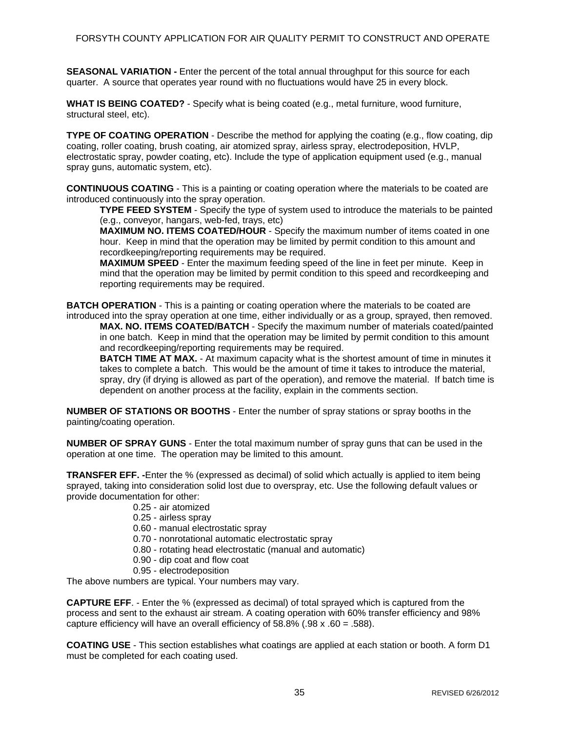**SEASONAL VARIATION -** Enter the percent of the total annual throughput for this source for each quarter. A source that operates year round with no fluctuations would have 25 in every block.

**WHAT IS BEING COATED?** - Specify what is being coated (e.g., metal furniture, wood furniture, structural steel, etc).

**TYPE OF COATING OPERATION** - Describe the method for applying the coating (e.g., flow coating, dip coating, roller coating, brush coating, air atomized spray, airless spray, electrodeposition, HVLP, electrostatic spray, powder coating, etc). Include the type of application equipment used (e.g., manual spray guns, automatic system, etc).

**CONTINUOUS COATING** - This is a painting or coating operation where the materials to be coated are introduced continuously into the spray operation.

**TYPE FEED SYSTEM** - Specify the type of system used to introduce the materials to be painted (e.g., conveyor, hangars, web-fed, trays, etc)

**MAXIMUM NO. ITEMS COATED/HOUR** - Specify the maximum number of items coated in one hour. Keep in mind that the operation may be limited by permit condition to this amount and recordkeeping/reporting requirements may be required.

**MAXIMUM SPEED** - Enter the maximum feeding speed of the line in feet per minute. Keep in mind that the operation may be limited by permit condition to this speed and recordkeeping and reporting requirements may be required.

**BATCH OPERATION** - This is a painting or coating operation where the materials to be coated are

introduced into the spray operation at one time, either individually or as a group, sprayed, then removed. **MAX. NO. ITEMS COATED/BATCH** - Specify the maximum number of materials coated/painted in one batch. Keep in mind that the operation may be limited by permit condition to this amount and recordkeeping/reporting requirements may be required.

**BATCH TIME AT MAX.** - At maximum capacity what is the shortest amount of time in minutes it takes to complete a batch. This would be the amount of time it takes to introduce the material, spray, dry (if drying is allowed as part of the operation), and remove the material. If batch time is dependent on another process at the facility, explain in the comments section.

**NUMBER OF STATIONS OR BOOTHS** - Enter the number of spray stations or spray booths in the painting/coating operation.

**NUMBER OF SPRAY GUNS** - Enter the total maximum number of spray guns that can be used in the operation at one time. The operation may be limited to this amount.

**TRANSFER EFF. -**Enter the % (expressed as decimal) of solid which actually is applied to item being sprayed, taking into consideration solid lost due to overspray, etc. Use the following default values or provide documentation for other:

- 0.25 air atomized
- 0.25 airless spray
- 0.60 manual electrostatic spray
- 0.70 nonrotational automatic electrostatic spray
- 0.80 rotating head electrostatic (manual and automatic)
- 0.90 dip coat and flow coat
- 0.95 electrodeposition

The above numbers are typical. Your numbers may vary.

**CAPTURE EFF**. - Enter the % (expressed as decimal) of total sprayed which is captured from the process and sent to the exhaust air stream. A coating operation with 60% transfer efficiency and 98% capture efficiency will have an overall efficiency of  $58.8\%$  (.98 x .60 = .588).

**COATING USE** - This section establishes what coatings are applied at each station or booth. A form D1 must be completed for each coating used.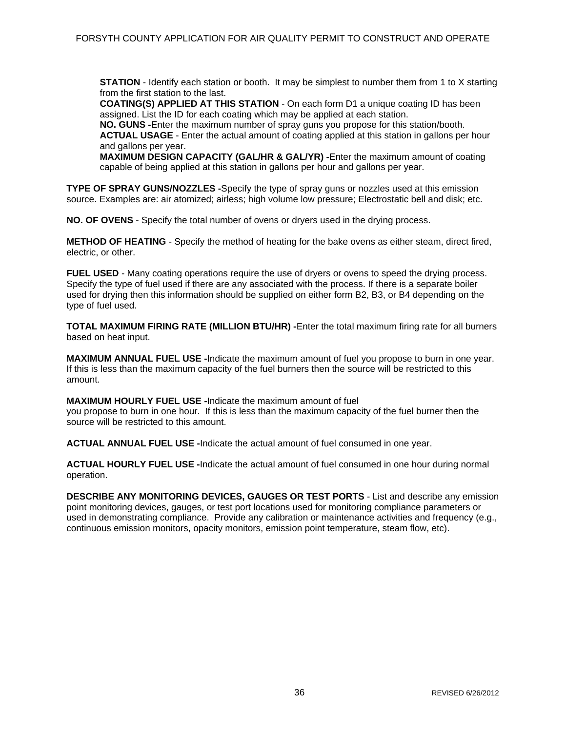**STATION** - Identify each station or booth. It may be simplest to number them from 1 to X starting from the first station to the last.

**COATING(S) APPLIED AT THIS STATION** - On each form D1 a unique coating ID has been assigned. List the ID for each coating which may be applied at each station.

**NO. GUNS -**Enter the maximum number of spray guns you propose for this station/booth. **ACTUAL USAGE** - Enter the actual amount of coating applied at this station in gallons per hour and gallons per year.

**MAXIMUM DESIGN CAPACITY (GAL/HR & GAL/YR) -**Enter the maximum amount of coating capable of being applied at this station in gallons per hour and gallons per year.

**TYPE OF SPRAY GUNS/NOZZLES -**Specify the type of spray guns or nozzles used at this emission source. Examples are: air atomized; airless; high volume low pressure; Electrostatic bell and disk; etc.

**NO. OF OVENS** - Specify the total number of ovens or dryers used in the drying process.

**METHOD OF HEATING** - Specify the method of heating for the bake ovens as either steam, direct fired, electric, or other.

**FUEL USED** - Many coating operations require the use of dryers or ovens to speed the drying process. Specify the type of fuel used if there are any associated with the process. If there is a separate boiler used for drying then this information should be supplied on either form B2, B3, or B4 depending on the type of fuel used.

**TOTAL MAXIMUM FIRING RATE (MILLION BTU/HR) -**Enter the total maximum firing rate for all burners based on heat input.

**MAXIMUM ANNUAL FUEL USE -**Indicate the maximum amount of fuel you propose to burn in one year. If this is less than the maximum capacity of the fuel burners then the source will be restricted to this amount.

**MAXIMUM HOURLY FUEL USE -**Indicate the maximum amount of fuel you propose to burn in one hour. If this is less than the maximum capacity of the fuel burner then the source will be restricted to this amount.

**ACTUAL ANNUAL FUEL USE -**Indicate the actual amount of fuel consumed in one year.

**ACTUAL HOURLY FUEL USE -**Indicate the actual amount of fuel consumed in one hour during normal operation.

**DESCRIBE ANY MONITORING DEVICES, GAUGES OR TEST PORTS** - List and describe any emission point monitoring devices, gauges, or test port locations used for monitoring compliance parameters or used in demonstrating compliance. Provide any calibration or maintenance activities and frequency (e.g., continuous emission monitors, opacity monitors, emission point temperature, steam flow, etc).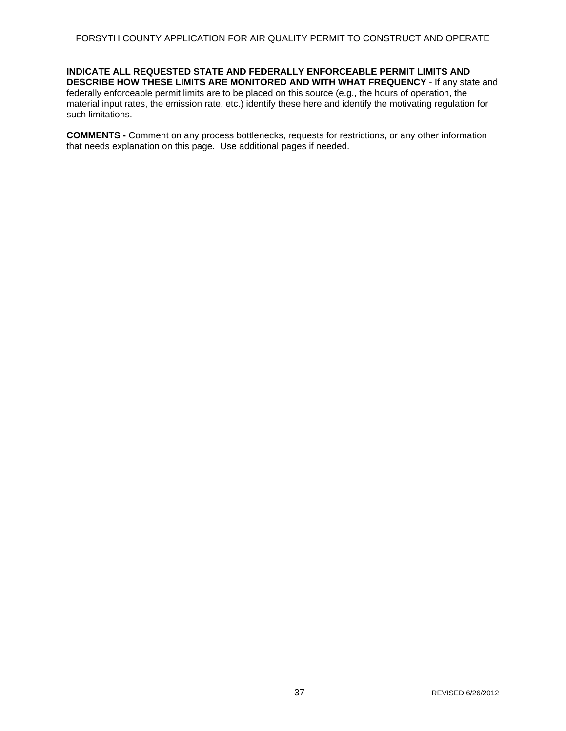**INDICATE ALL REQUESTED STATE AND FEDERALLY ENFORCEABLE PERMIT LIMITS AND DESCRIBE HOW THESE LIMITS ARE MONITORED AND WITH WHAT FREQUENCY** - If any state and federally enforceable permit limits are to be placed on this source (e.g., the hours of operation, the material input rates, the emission rate, etc.) identify these here and identify the motivating regulation for such limitations.

**COMMENTS -** Comment on any process bottlenecks, requests for restrictions, or any other information that needs explanation on this page. Use additional pages if needed.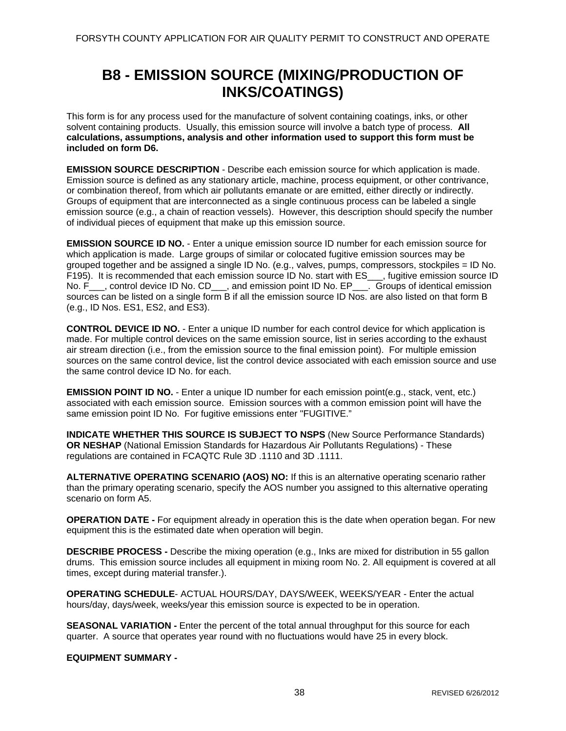## **B8 - EMISSION SOURCE (MIXING/PRODUCTION OF INKS/COATINGS)**

This form is for any process used for the manufacture of solvent containing coatings, inks, or other solvent containing products. Usually, this emission source will involve a batch type of process. **All calculations, assumptions, analysis and other information used to support this form must be included on form D6.** 

**EMISSION SOURCE DESCRIPTION** - Describe each emission source for which application is made. Emission source is defined as any stationary article, machine, process equipment, or other contrivance, or combination thereof, from which air pollutants emanate or are emitted, either directly or indirectly. Groups of equipment that are interconnected as a single continuous process can be labeled a single emission source (e.g., a chain of reaction vessels). However, this description should specify the number of individual pieces of equipment that make up this emission source.

**EMISSION SOURCE ID NO.** - Enter a unique emission source ID number for each emission source for which application is made. Large groups of similar or colocated fugitive emission sources may be grouped together and be assigned a single ID No. (e.g., valves, pumps, compressors, stockpiles = ID No. F195). It is recommended that each emission source ID No. start with ES\_\_\_, fugitive emission source ID No. F\_\_\_, control device ID No. CD\_\_\_, and emission point ID No. EP\_\_\_. Groups of identical emission sources can be listed on a single form B if all the emission source ID Nos. are also listed on that form B (e.g., ID Nos. ES1, ES2, and ES3).

**CONTROL DEVICE ID NO.** - Enter a unique ID number for each control device for which application is made. For multiple control devices on the same emission source, list in series according to the exhaust air stream direction (i.e., from the emission source to the final emission point). For multiple emission sources on the same control device, list the control device associated with each emission source and use the same control device ID No. for each.

**EMISSION POINT ID NO.** - Enter a unique ID number for each emission point(e.g., stack, vent, etc.) associated with each emission source. Emission sources with a common emission point will have the same emission point ID No. For fugitive emissions enter "FUGITIVE."

**INDICATE WHETHER THIS SOURCE IS SUBJECT TO NSPS** (New Source Performance Standards) **OR NESHAP** (National Emission Standards for Hazardous Air Pollutants Regulations) - These regulations are contained in FCAQTC Rule 3D .1110 and 3D .1111.

**ALTERNATIVE OPERATING SCENARIO (AOS) NO:** If this is an alternative operating scenario rather than the primary operating scenario, specify the AOS number you assigned to this alternative operating scenario on form A5.

**OPERATION DATE -** For equipment already in operation this is the date when operation began. For new equipment this is the estimated date when operation will begin.

**DESCRIBE PROCESS -** Describe the mixing operation (e.g., Inks are mixed for distribution in 55 gallon drums. This emission source includes all equipment in mixing room No. 2. All equipment is covered at all times, except during material transfer.).

**OPERATING SCHEDULE**- ACTUAL HOURS/DAY, DAYS/WEEK, WEEKS/YEAR - Enter the actual hours/day, days/week, weeks/year this emission source is expected to be in operation.

**SEASONAL VARIATION -** Enter the percent of the total annual throughput for this source for each quarter. A source that operates year round with no fluctuations would have 25 in every block.

**EQUIPMENT SUMMARY -**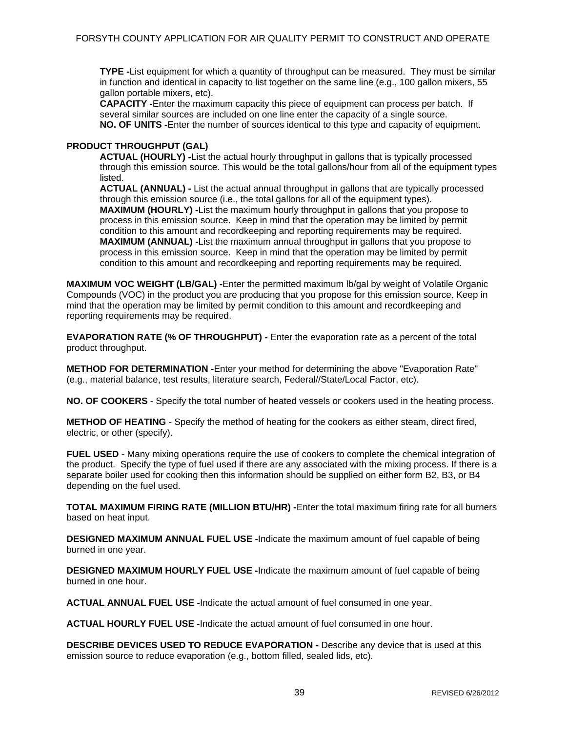**TYPE -**List equipment for which a quantity of throughput can be measured. They must be similar in function and identical in capacity to list together on the same line (e.g., 100 gallon mixers, 55 gallon portable mixers, etc).

**CAPACITY -**Enter the maximum capacity this piece of equipment can process per batch. If several similar sources are included on one line enter the capacity of a single source. **NO. OF UNITS -**Enter the number of sources identical to this type and capacity of equipment.

### **PRODUCT THROUGHPUT (GAL)**

**ACTUAL (HOURLY) -**List the actual hourly throughput in gallons that is typically processed through this emission source. This would be the total gallons/hour from all of the equipment types listed.

**ACTUAL (ANNUAL) -** List the actual annual throughput in gallons that are typically processed through this emission source (i.e., the total gallons for all of the equipment types).

**MAXIMUM (HOURLY) -**List the maximum hourly throughput in gallons that you propose to process in this emission source. Keep in mind that the operation may be limited by permit condition to this amount and recordkeeping and reporting requirements may be required. **MAXIMUM (ANNUAL) -**List the maximum annual throughput in gallons that you propose to process in this emission source. Keep in mind that the operation may be limited by permit condition to this amount and recordkeeping and reporting requirements may be required.

**MAXIMUM VOC WEIGHT (LB/GAL) -**Enter the permitted maximum lb/gal by weight of Volatile Organic Compounds (VOC) in the product you are producing that you propose for this emission source. Keep in mind that the operation may be limited by permit condition to this amount and recordkeeping and reporting requirements may be required.

**EVAPORATION RATE (% OF THROUGHPUT) -** Enter the evaporation rate as a percent of the total product throughput.

**METHOD FOR DETERMINATION -**Enter your method for determining the above "Evaporation Rate" (e.g., material balance, test results, literature search, Federal//State/Local Factor, etc).

**NO. OF COOKERS** - Specify the total number of heated vessels or cookers used in the heating process.

**METHOD OF HEATING** - Specify the method of heating for the cookers as either steam, direct fired, electric, or other (specify).

**FUEL USED** - Many mixing operations require the use of cookers to complete the chemical integration of the product. Specify the type of fuel used if there are any associated with the mixing process. If there is a separate boiler used for cooking then this information should be supplied on either form B2, B3, or B4 depending on the fuel used.

**TOTAL MAXIMUM FIRING RATE (MILLION BTU/HR) -**Enter the total maximum firing rate for all burners based on heat input.

**DESIGNED MAXIMUM ANNUAL FUEL USE -**Indicate the maximum amount of fuel capable of being burned in one year.

**DESIGNED MAXIMUM HOURLY FUEL USE -**Indicate the maximum amount of fuel capable of being burned in one hour.

**ACTUAL ANNUAL FUEL USE -**Indicate the actual amount of fuel consumed in one year.

**ACTUAL HOURLY FUEL USE -**Indicate the actual amount of fuel consumed in one hour.

**DESCRIBE DEVICES USED TO REDUCE EVAPORATION -** Describe any device that is used at this emission source to reduce evaporation (e.g., bottom filled, sealed lids, etc).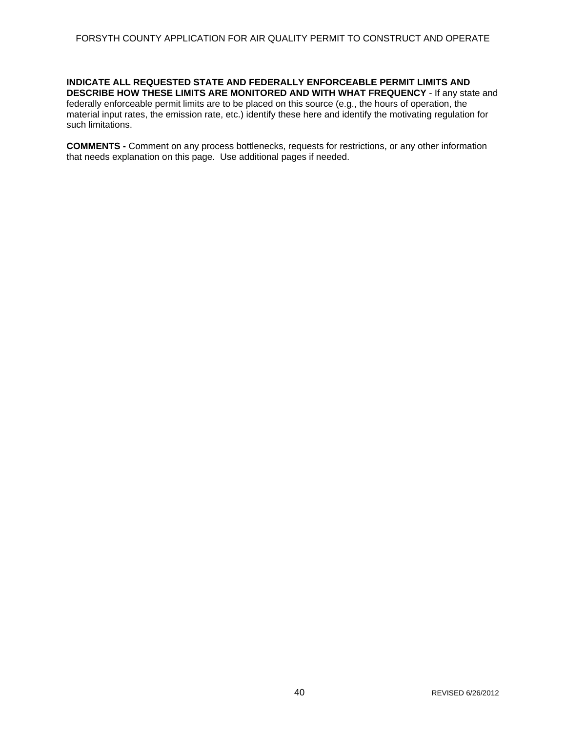**INDICATE ALL REQUESTED STATE AND FEDERALLY ENFORCEABLE PERMIT LIMITS AND DESCRIBE HOW THESE LIMITS ARE MONITORED AND WITH WHAT FREQUENCY** - If any state and federally enforceable permit limits are to be placed on this source (e.g., the hours of operation, the material input rates, the emission rate, etc.) identify these here and identify the motivating regulation for such limitations.

**COMMENTS -** Comment on any process bottlenecks, requests for restrictions, or any other information that needs explanation on this page. Use additional pages if needed.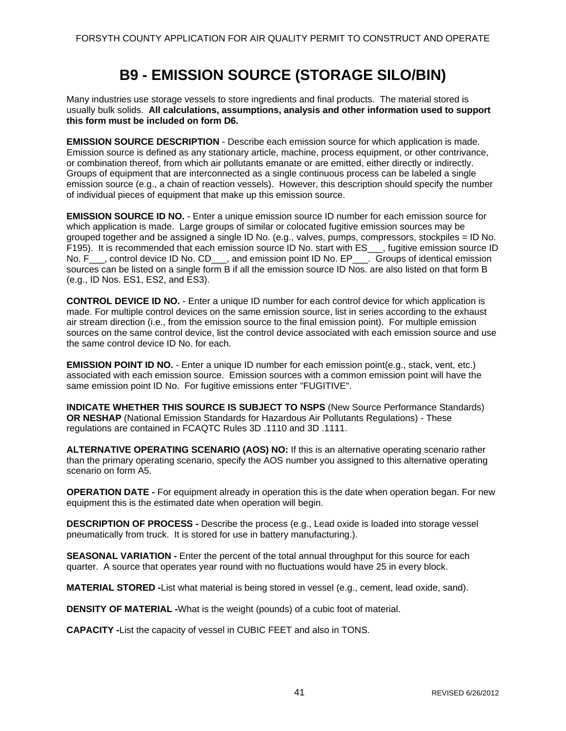# **B9 - EMISSION SOURCE (STORAGE SILO/BIN)**

Many industries use storage vessels to store ingredients and final products. The material stored is usually bulk solids. **All calculations, assumptions, analysis and other information used to support this form must be included on form D6.** 

**EMISSION SOURCE DESCRIPTION** - Describe each emission source for which application is made. Emission source is defined as any stationary article, machine, process equipment, or other contrivance, or combination thereof, from which air pollutants emanate or are emitted, either directly or indirectly. Groups of equipment that are interconnected as a single continuous process can be labeled a single emission source (e.g., a chain of reaction vessels). However, this description should specify the number of individual pieces of equipment that make up this emission source.

**EMISSION SOURCE ID NO.** - Enter a unique emission source ID number for each emission source for which application is made. Large groups of similar or colocated fugitive emission sources may be grouped together and be assigned a single ID No. (e.g., valves, pumps, compressors, stockpiles = ID No. F195). It is recommended that each emission source ID No. start with ES\_\_\_, fugitive emission source ID No. F\_\_\_, control device ID No. CD\_\_\_, and emission point ID No. EP\_\_\_. Groups of identical emission sources can be listed on a single form B if all the emission source ID Nos. are also listed on that form B (e.g., ID Nos. ES1, ES2, and ES3).

**CONTROL DEVICE ID NO.** - Enter a unique ID number for each control device for which application is made. For multiple control devices on the same emission source, list in series according to the exhaust air stream direction (i.e., from the emission source to the final emission point). For multiple emission sources on the same control device, list the control device associated with each emission source and use the same control device ID No. for each.

**EMISSION POINT ID NO.** - Enter a unique ID number for each emission point(e.g., stack, vent, etc.) associated with each emission source. Emission sources with a common emission point will have the same emission point ID No. For fugitive emissions enter "FUGITIVE".

**INDICATE WHETHER THIS SOURCE IS SUBJECT TO NSPS** (New Source Performance Standards) **OR NESHAP** (National Emission Standards for Hazardous Air Pollutants Regulations) - These regulations are contained in FCAQTC Rules 3D .1110 and 3D .1111.

**ALTERNATIVE OPERATING SCENARIO (AOS) NO:** If this is an alternative operating scenario rather than the primary operating scenario, specify the AOS number you assigned to this alternative operating scenario on form A5.

**OPERATION DATE -** For equipment already in operation this is the date when operation began. For new equipment this is the estimated date when operation will begin.

**DESCRIPTION OF PROCESS -** Describe the process (e.g., Lead oxide is loaded into storage vessel pneumatically from truck. It is stored for use in battery manufacturing.).

**SEASONAL VARIATION -** Enter the percent of the total annual throughput for this source for each quarter. A source that operates year round with no fluctuations would have 25 in every block.

**MATERIAL STORED -**List what material is being stored in vessel (e.g., cement, lead oxide, sand).

**DENSITY OF MATERIAL -**What is the weight (pounds) of a cubic foot of material.

**CAPACITY -**List the capacity of vessel in CUBIC FEET and also in TONS.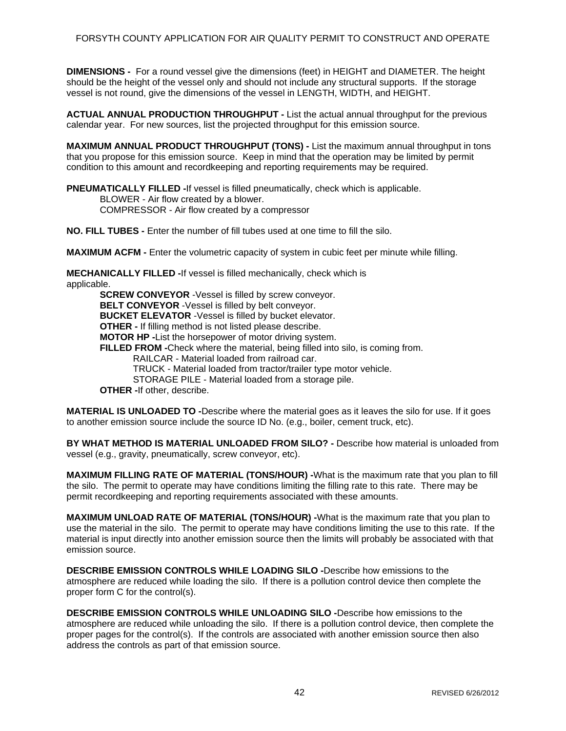**DIMENSIONS -** For a round vessel give the dimensions (feet) in HEIGHT and DIAMETER. The height should be the height of the vessel only and should not include any structural supports. If the storage vessel is not round, give the dimensions of the vessel in LENGTH, WIDTH, and HEIGHT.

**ACTUAL ANNUAL PRODUCTION THROUGHPUT -** List the actual annual throughput for the previous calendar year. For new sources, list the projected throughput for this emission source.

**MAXIMUM ANNUAL PRODUCT THROUGHPUT (TONS) - List the maximum annual throughput in tons** that you propose for this emission source. Keep in mind that the operation may be limited by permit condition to this amount and recordkeeping and reporting requirements may be required.

**PNEUMATICALLY FILLED -**If vessel is filled pneumatically, check which is applicable. BLOWER - Air flow created by a blower.

COMPRESSOR - Air flow created by a compressor

**NO. FILL TUBES -** Enter the number of fill tubes used at one time to fill the silo.

**MAXIMUM ACFM -** Enter the volumetric capacity of system in cubic feet per minute while filling.

**MECHANICALLY FILLED -**If vessel is filled mechanically, check which is applicable. **SCREW CONVEYOR** -Vessel is filled by screw conveyor.

**BELT CONVEYOR** -Vessel is filled by belt conveyor. **BUCKET ELEVATOR** -Vessel is filled by bucket elevator. **OTHER -** If filling method is not listed please describe. **MOTOR HP -**List the horsepower of motor driving system. **FILLED FROM -**Check where the material, being filled into silo, is coming from. RAILCAR - Material loaded from railroad car. TRUCK - Material loaded from tractor/trailer type motor vehicle. STORAGE PILE - Material loaded from a storage pile. **OTHER -**If other, describe.

**MATERIAL IS UNLOADED TO -**Describe where the material goes as it leaves the silo for use. If it goes to another emission source include the source ID No. (e.g., boiler, cement truck, etc).

**BY WHAT METHOD IS MATERIAL UNLOADED FROM SILO? -** Describe how material is unloaded from vessel (e.g., gravity, pneumatically, screw conveyor, etc).

**MAXIMUM FILLING RATE OF MATERIAL (TONS/HOUR) -**What is the maximum rate that you plan to fill the silo. The permit to operate may have conditions limiting the filling rate to this rate. There may be permit recordkeeping and reporting requirements associated with these amounts.

**MAXIMUM UNLOAD RATE OF MATERIAL (TONS/HOUR) -**What is the maximum rate that you plan to use the material in the silo. The permit to operate may have conditions limiting the use to this rate. If the material is input directly into another emission source then the limits will probably be associated with that emission source.

**DESCRIBE EMISSION CONTROLS WHILE LOADING SILO -**Describe how emissions to the atmosphere are reduced while loading the silo. If there is a pollution control device then complete the proper form C for the control(s).

**DESCRIBE EMISSION CONTROLS WHILE UNLOADING SILO -**Describe how emissions to the atmosphere are reduced while unloading the silo. If there is a pollution control device, then complete the proper pages for the control(s). If the controls are associated with another emission source then also address the controls as part of that emission source.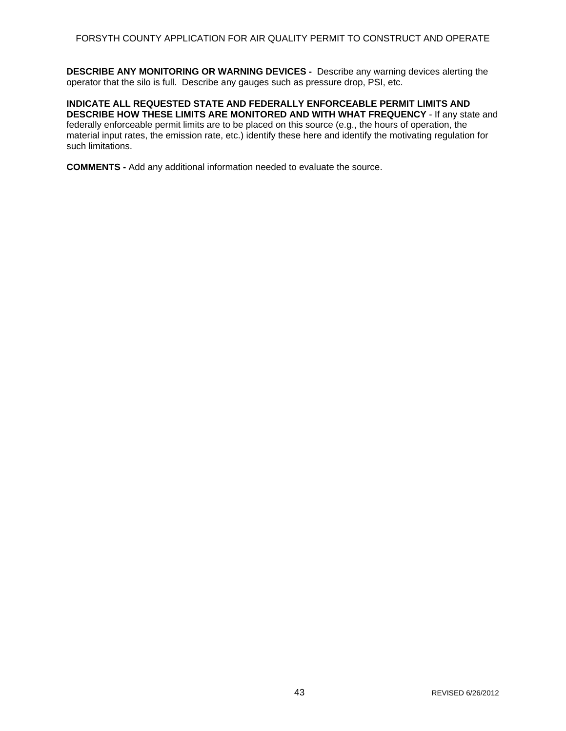**DESCRIBE ANY MONITORING OR WARNING DEVICES -** Describe any warning devices alerting the operator that the silo is full. Describe any gauges such as pressure drop, PSI, etc.

**INDICATE ALL REQUESTED STATE AND FEDERALLY ENFORCEABLE PERMIT LIMITS AND DESCRIBE HOW THESE LIMITS ARE MONITORED AND WITH WHAT FREQUENCY** - If any state and federally enforceable permit limits are to be placed on this source (e.g., the hours of operation, the material input rates, the emission rate, etc.) identify these here and identify the motivating regulation for such limitations.

**COMMENTS -** Add any additional information needed to evaluate the source.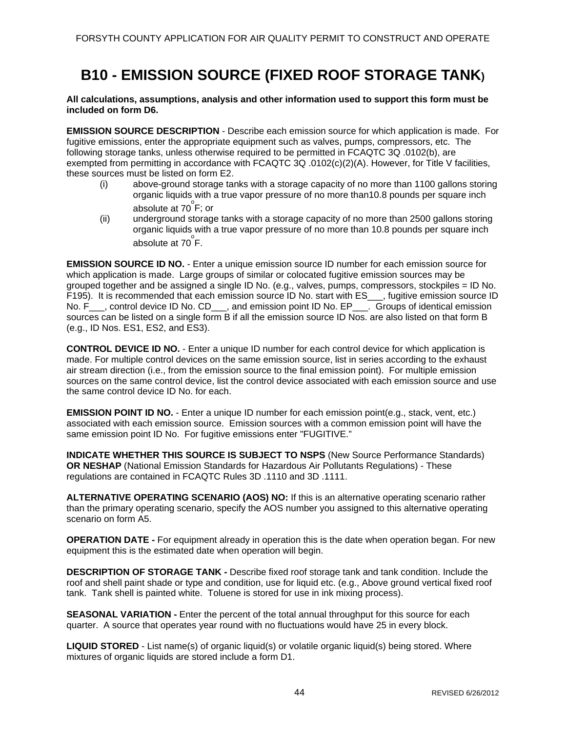## **B10 - EMISSION SOURCE (FIXED ROOF STORAGE TANK)**

**All calculations, assumptions, analysis and other information used to support this form must be included on form D6.** 

**EMISSION SOURCE DESCRIPTION** - Describe each emission source for which application is made. For fugitive emissions, enter the appropriate equipment such as valves, pumps, compressors, etc. The following storage tanks, unless otherwise required to be permitted in FCAQTC 3Q .0102(b), are exempted from permitting in accordance with FCAQTC 3Q .0102(c)(2)(A). However, for Title V facilities, these sources must be listed on form E2.

- (i) above-ground storage tanks with a storage capacity of no more than 1100 gallons storing organic liquids with a true vapor pressure of no more than10.8 pounds per square inch absolute at  $70^{\circ}$ F; or
- (ii) underground storage tanks with a storage capacity of no more than 2500 gallons storing organic liquids with a true vapor pressure of no more than 10.8 pounds per square inch absolute at  $70^{\circ}$ F.

**EMISSION SOURCE ID NO.** - Enter a unique emission source ID number for each emission source for which application is made. Large groups of similar or colocated fugitive emission sources may be grouped together and be assigned a single ID No. (e.g., valves, pumps, compressors, stockpiles = ID No. F195). It is recommended that each emission source ID No. start with ES\_\_\_, fugitive emission source ID No. F\_\_\_, control device ID No. CD\_\_\_, and emission point ID No. EP\_\_\_. Groups of identical emission sources can be listed on a single form B if all the emission source ID Nos. are also listed on that form B (e.g., ID Nos. ES1, ES2, and ES3).

**CONTROL DEVICE ID NO.** - Enter a unique ID number for each control device for which application is made. For multiple control devices on the same emission source, list in series according to the exhaust air stream direction (i.e., from the emission source to the final emission point). For multiple emission sources on the same control device, list the control device associated with each emission source and use the same control device ID No. for each.

**EMISSION POINT ID NO.** - Enter a unique ID number for each emission point(e.g., stack, vent, etc.) associated with each emission source. Emission sources with a common emission point will have the same emission point ID No. For fugitive emissions enter "FUGITIVE."

**INDICATE WHETHER THIS SOURCE IS SUBJECT TO NSPS** (New Source Performance Standards) **OR NESHAP** (National Emission Standards for Hazardous Air Pollutants Regulations) - These regulations are contained in FCAQTC Rules 3D .1110 and 3D .1111.

**ALTERNATIVE OPERATING SCENARIO (AOS) NO:** If this is an alternative operating scenario rather than the primary operating scenario, specify the AOS number you assigned to this alternative operating scenario on form A5.

**OPERATION DATE -** For equipment already in operation this is the date when operation began. For new equipment this is the estimated date when operation will begin.

**DESCRIPTION OF STORAGE TANK -** Describe fixed roof storage tank and tank condition. Include the roof and shell paint shade or type and condition, use for liquid etc. (e.g., Above ground vertical fixed roof tank. Tank shell is painted white. Toluene is stored for use in ink mixing process).

**SEASONAL VARIATION -** Enter the percent of the total annual throughput for this source for each quarter. A source that operates year round with no fluctuations would have 25 in every block.

**LIQUID STORED** - List name(s) of organic liquid(s) or volatile organic liquid(s) being stored. Where mixtures of organic liquids are stored include a form D1.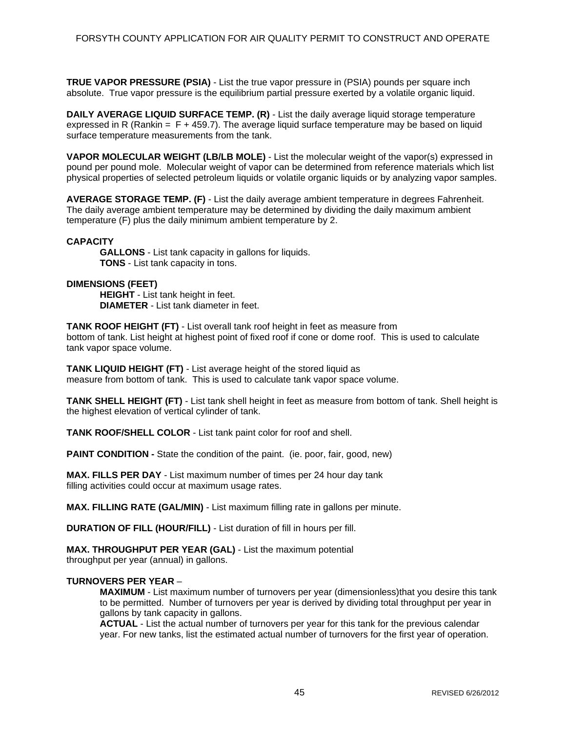**TRUE VAPOR PRESSURE (PSIA)** - List the true vapor pressure in (PSIA) pounds per square inch absolute. True vapor pressure is the equilibrium partial pressure exerted by a volatile organic liquid.

**DAILY AVERAGE LIQUID SURFACE TEMP. (R)** - List the daily average liquid storage temperature expressed in R (Rankin  $=$  F + 459.7). The average liquid surface temperature may be based on liquid surface temperature measurements from the tank.

**VAPOR MOLECULAR WEIGHT (LB/LB MOLE)** - List the molecular weight of the vapor(s) expressed in pound per pound mole. Molecular weight of vapor can be determined from reference materials which list physical properties of selected petroleum liquids or volatile organic liquids or by analyzing vapor samples.

**AVERAGE STORAGE TEMP. (F)** - List the daily average ambient temperature in degrees Fahrenheit. The daily average ambient temperature may be determined by dividing the daily maximum ambient temperature (F) plus the daily minimum ambient temperature by 2.

#### **CAPACITY**

**GALLONS** - List tank capacity in gallons for liquids. **TONS** - List tank capacity in tons.

### **DIMENSIONS (FEET)**

**HEIGHT** - List tank height in feet. **DIAMETER** - List tank diameter in feet.

**TANK ROOF HEIGHT (FT)** - List overall tank roof height in feet as measure from bottom of tank. List height at highest point of fixed roof if cone or dome roof. This is used to calculate tank vapor space volume.

**TANK LIQUID HEIGHT (FT)** - List average height of the stored liquid as measure from bottom of tank. This is used to calculate tank vapor space volume.

**TANK SHELL HEIGHT (FT)** - List tank shell height in feet as measure from bottom of tank. Shell height is the highest elevation of vertical cylinder of tank.

**TANK ROOF/SHELL COLOR** - List tank paint color for roof and shell.

**PAINT CONDITION -** State the condition of the paint. (ie. poor, fair, good, new)

**MAX. FILLS PER DAY** - List maximum number of times per 24 hour day tank filling activities could occur at maximum usage rates.

**MAX. FILLING RATE (GAL/MIN)** - List maximum filling rate in gallons per minute.

**DURATION OF FILL (HOUR/FILL)** - List duration of fill in hours per fill.

**MAX. THROUGHPUT PER YEAR (GAL)** - List the maximum potential throughput per year (annual) in gallons.

## **TURNOVERS PER YEAR** –

**MAXIMUM** - List maximum number of turnovers per year (dimensionless)that you desire this tank to be permitted. Number of turnovers per year is derived by dividing total throughput per year in gallons by tank capacity in gallons.

**ACTUAL** - List the actual number of turnovers per year for this tank for the previous calendar year. For new tanks, list the estimated actual number of turnovers for the first year of operation.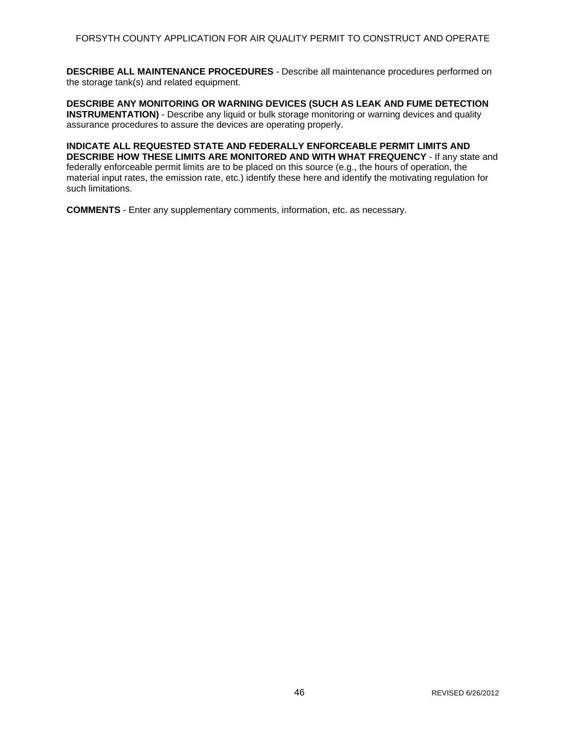**DESCRIBE ALL MAINTENANCE PROCEDURES** - Describe all maintenance procedures performed on the storage tank(s) and related equipment.

**DESCRIBE ANY MONITORING OR WARNING DEVICES (SUCH AS LEAK AND FUME DETECTION INSTRUMENTATION)** - Describe any liquid or bulk storage monitoring or warning devices and quality assurance procedures to assure the devices are operating properly.

**INDICATE ALL REQUESTED STATE AND FEDERALLY ENFORCEABLE PERMIT LIMITS AND DESCRIBE HOW THESE LIMITS ARE MONITORED AND WITH WHAT FREQUENCY** - If any state and federally enforceable permit limits are to be placed on this source (e.g., the hours of operation, the material input rates, the emission rate, etc.) identify these here and identify the motivating regulation for such limitations.

**COMMENTS** - Enter any supplementary comments, information, etc. as necessary.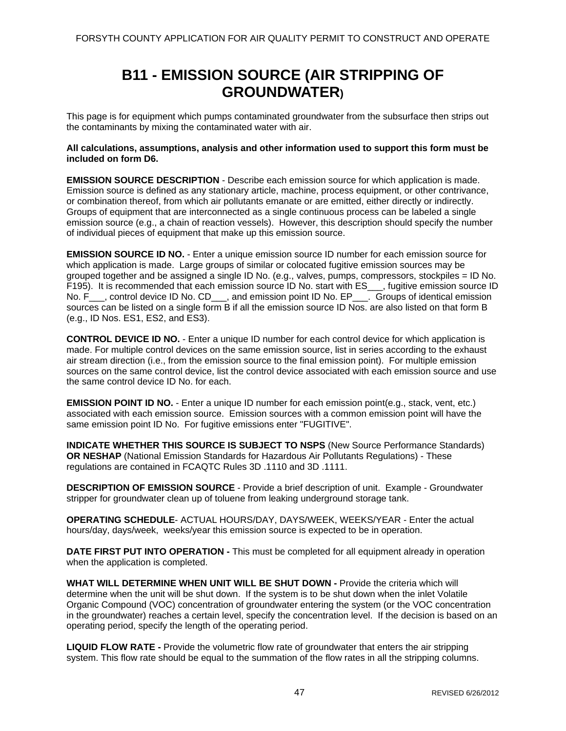## **B11 - EMISSION SOURCE (AIR STRIPPING OF GROUNDWATER)**

This page is for equipment which pumps contaminated groundwater from the subsurface then strips out the contaminants by mixing the contaminated water with air.

#### **All calculations, assumptions, analysis and other information used to support this form must be included on form D6.**

**EMISSION SOURCE DESCRIPTION** - Describe each emission source for which application is made. Emission source is defined as any stationary article, machine, process equipment, or other contrivance, or combination thereof, from which air pollutants emanate or are emitted, either directly or indirectly. Groups of equipment that are interconnected as a single continuous process can be labeled a single emission source (e.g., a chain of reaction vessels). However, this description should specify the number of individual pieces of equipment that make up this emission source.

**EMISSION SOURCE ID NO.** - Enter a unique emission source ID number for each emission source for which application is made. Large groups of similar or colocated fugitive emission sources may be grouped together and be assigned a single ID No. (e.g., valves, pumps, compressors, stockpiles = ID No. F195). It is recommended that each emission source ID No. start with ES\_\_\_, fugitive emission source ID No. F\_\_\_, control device ID No. CD\_\_\_, and emission point ID No. EP\_\_\_. Groups of identical emission sources can be listed on a single form B if all the emission source ID Nos, are also listed on that form B (e.g., ID Nos. ES1, ES2, and ES3).

**CONTROL DEVICE ID NO.** - Enter a unique ID number for each control device for which application is made. For multiple control devices on the same emission source, list in series according to the exhaust air stream direction (i.e., from the emission source to the final emission point). For multiple emission sources on the same control device, list the control device associated with each emission source and use the same control device ID No. for each.

**EMISSION POINT ID NO.** - Enter a unique ID number for each emission point(e.g., stack, vent, etc.) associated with each emission source. Emission sources with a common emission point will have the same emission point ID No. For fugitive emissions enter "FUGITIVE".

**INDICATE WHETHER THIS SOURCE IS SUBJECT TO NSPS** (New Source Performance Standards) **OR NESHAP** (National Emission Standards for Hazardous Air Pollutants Regulations) - These regulations are contained in FCAQTC Rules 3D .1110 and 3D .1111.

**DESCRIPTION OF EMISSION SOURCE** - Provide a brief description of unit. Example - Groundwater stripper for groundwater clean up of toluene from leaking underground storage tank.

**OPERATING SCHEDULE**- ACTUAL HOURS/DAY, DAYS/WEEK, WEEKS/YEAR - Enter the actual hours/day, days/week, weeks/year this emission source is expected to be in operation.

**DATE FIRST PUT INTO OPERATION -** This must be completed for all equipment already in operation when the application is completed.

**WHAT WILL DETERMINE WHEN UNIT WILL BE SHUT DOWN -** Provide the criteria which will determine when the unit will be shut down. If the system is to be shut down when the inlet Volatile Organic Compound (VOC) concentration of groundwater entering the system (or the VOC concentration in the groundwater) reaches a certain level, specify the concentration level. If the decision is based on an operating period, specify the length of the operating period.

**LIQUID FLOW RATE -** Provide the volumetric flow rate of groundwater that enters the air stripping system. This flow rate should be equal to the summation of the flow rates in all the stripping columns.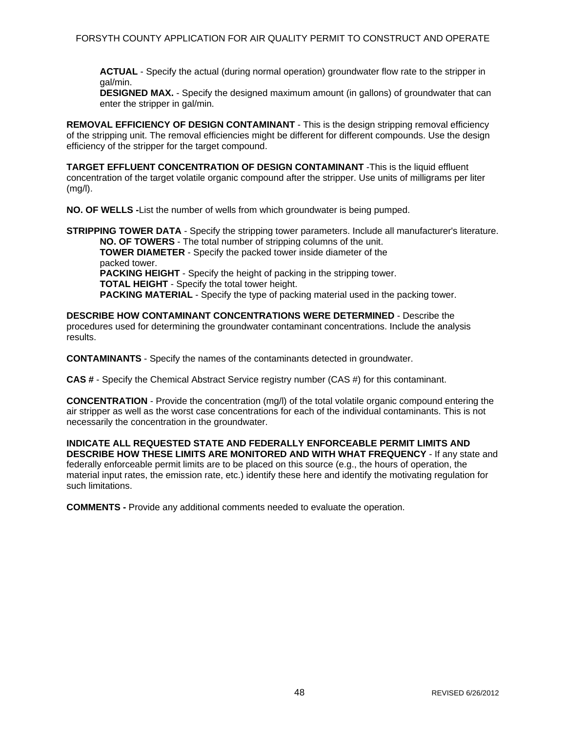**ACTUAL** - Specify the actual (during normal operation) groundwater flow rate to the stripper in gal/min.

**DESIGNED MAX.** - Specify the designed maximum amount (in gallons) of groundwater that can enter the stripper in gal/min.

**REMOVAL EFFICIENCY OF DESIGN CONTAMINANT** - This is the design stripping removal efficiency of the stripping unit. The removal efficiencies might be different for different compounds. Use the design efficiency of the stripper for the target compound.

**TARGET EFFLUENT CONCENTRATION OF DESIGN CONTAMINANT** -This is the liquid effluent concentration of the target volatile organic compound after the stripper. Use units of milligrams per liter (mg/l).

**NO. OF WELLS -**List the number of wells from which groundwater is being pumped.

**STRIPPING TOWER DATA** - Specify the stripping tower parameters. Include all manufacturer's literature. **NO. OF TOWERS** - The total number of stripping columns of the unit. **TOWER DIAMETER** - Specify the packed tower inside diameter of the

packed tower. **PACKING HEIGHT** - Specify the height of packing in the stripping tower. **TOTAL HEIGHT** - Specify the total tower height. **PACKING MATERIAL** - Specify the type of packing material used in the packing tower.

**DESCRIBE HOW CONTAMINANT CONCENTRATIONS WERE DETERMINED** - Describe the procedures used for determining the groundwater contaminant concentrations. Include the analysis results.

**CONTAMINANTS** - Specify the names of the contaminants detected in groundwater.

**CAS #** - Specify the Chemical Abstract Service registry number (CAS #) for this contaminant.

**CONCENTRATION** - Provide the concentration (mg/l) of the total volatile organic compound entering the air stripper as well as the worst case concentrations for each of the individual contaminants. This is not necessarily the concentration in the groundwater.

**INDICATE ALL REQUESTED STATE AND FEDERALLY ENFORCEABLE PERMIT LIMITS AND DESCRIBE HOW THESE LIMITS ARE MONITORED AND WITH WHAT FREQUENCY** - If any state and federally enforceable permit limits are to be placed on this source (e.g., the hours of operation, the material input rates, the emission rate, etc.) identify these here and identify the motivating regulation for such limitations.

**COMMENTS -** Provide any additional comments needed to evaluate the operation.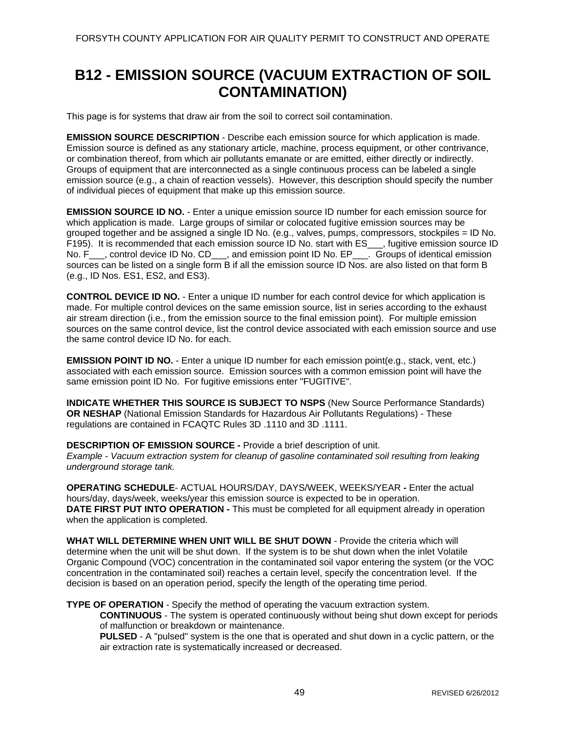## **B12 - EMISSION SOURCE (VACUUM EXTRACTION OF SOIL CONTAMINATION)**

This page is for systems that draw air from the soil to correct soil contamination.

**EMISSION SOURCE DESCRIPTION** - Describe each emission source for which application is made. Emission source is defined as any stationary article, machine, process equipment, or other contrivance, or combination thereof, from which air pollutants emanate or are emitted, either directly or indirectly. Groups of equipment that are interconnected as a single continuous process can be labeled a single emission source (e.g., a chain of reaction vessels). However, this description should specify the number of individual pieces of equipment that make up this emission source.

**EMISSION SOURCE ID NO.** - Enter a unique emission source ID number for each emission source for which application is made. Large groups of similar or colocated fugitive emission sources may be grouped together and be assigned a single ID No. (e.g., valves, pumps, compressors, stockpiles = ID No. F195). It is recommended that each emission source ID No. start with ES\_\_\_, fugitive emission source ID No. F<sub>\_\_\_</sub>, control device ID No. CD<sub>\_\_\_</sub>, and emission point ID No. EP<sub>\_\_\_\_</sub>. Groups of identical emission sources can be listed on a single form B if all the emission source ID Nos. are also listed on that form B (e.g., ID Nos. ES1, ES2, and ES3).

**CONTROL DEVICE ID NO.** - Enter a unique ID number for each control device for which application is made. For multiple control devices on the same emission source, list in series according to the exhaust air stream direction (i.e., from the emission source to the final emission point). For multiple emission sources on the same control device, list the control device associated with each emission source and use the same control device ID No. for each.

**EMISSION POINT ID NO.** - Enter a unique ID number for each emission point(e.g., stack, vent, etc.) associated with each emission source. Emission sources with a common emission point will have the same emission point ID No. For fugitive emissions enter "FUGITIVE".

**INDICATE WHETHER THIS SOURCE IS SUBJECT TO NSPS** (New Source Performance Standards) **OR NESHAP** (National Emission Standards for Hazardous Air Pollutants Regulations) - These regulations are contained in FCAQTC Rules 3D .1110 and 3D .1111.

**DESCRIPTION OF EMISSION SOURCE -** Provide a brief description of unit. *Example - Vacuum extraction system for cleanup of gasoline contaminated soil resulting from leaking underground storage tank.* 

**OPERATING SCHEDULE**- ACTUAL HOURS/DAY, DAYS/WEEK, WEEKS/YEAR **-** Enter the actual hours/day, days/week, weeks/year this emission source is expected to be in operation. **DATE FIRST PUT INTO OPERATION -** This must be completed for all equipment already in operation when the application is completed.

**WHAT WILL DETERMINE WHEN UNIT WILL BE SHUT DOWN** - Provide the criteria which will determine when the unit will be shut down. If the system is to be shut down when the inlet Volatile Organic Compound (VOC) concentration in the contaminated soil vapor entering the system (or the VOC concentration in the contaminated soil) reaches a certain level, specify the concentration level. If the decision is based on an operation period, specify the length of the operating time period.

**TYPE OF OPERATION** - Specify the method of operating the vacuum extraction system.

**CONTINUOUS** - The system is operated continuously without being shut down except for periods of malfunction or breakdown or maintenance.

**PULSED** - A "pulsed" system is the one that is operated and shut down in a cyclic pattern, or the air extraction rate is systematically increased or decreased.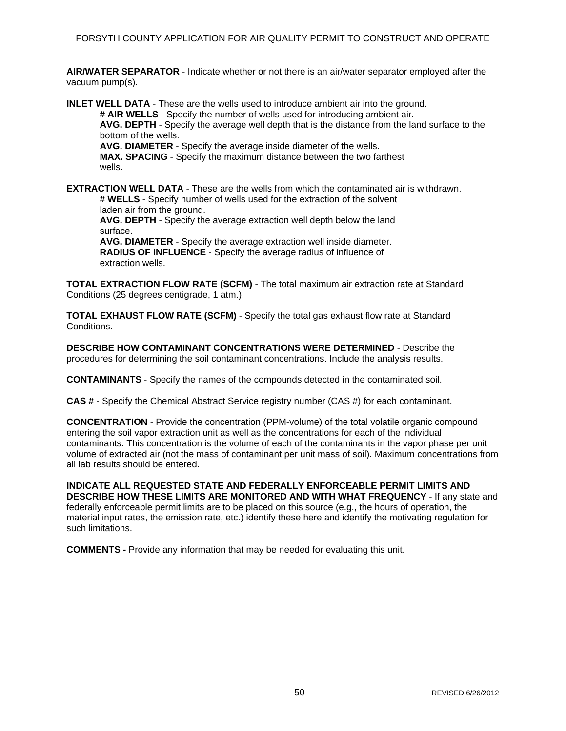**AIR/WATER SEPARATOR** - Indicate whether or not there is an air/water separator employed after the vacuum pump(s).

**INLET WELL DATA** - These are the wells used to introduce ambient air into the ground. **# AIR WELLS** - Specify the number of wells used for introducing ambient air. **AVG. DEPTH** - Specify the average well depth that is the distance from the land surface to the bottom of the wells. **AVG. DIAMETER** - Specify the average inside diameter of the wells. **MAX. SPACING** - Specify the maximum distance between the two farthest wells.

**EXTRACTION WELL DATA** - These are the wells from which the contaminated air is withdrawn. **# WELLS** - Specify number of wells used for the extraction of the solvent

laden air from the ground. **AVG. DEPTH** - Specify the average extraction well depth below the land surface. **AVG. DIAMETER** - Specify the average extraction well inside diameter.

**RADIUS OF INFLUENCE** - Specify the average radius of influence of extraction wells.

**TOTAL EXTRACTION FLOW RATE (SCFM)** - The total maximum air extraction rate at Standard Conditions (25 degrees centigrade, 1 atm.).

**TOTAL EXHAUST FLOW RATE (SCFM)** - Specify the total gas exhaust flow rate at Standard Conditions.

**DESCRIBE HOW CONTAMINANT CONCENTRATIONS WERE DETERMINED** - Describe the procedures for determining the soil contaminant concentrations. Include the analysis results.

**CONTAMINANTS** - Specify the names of the compounds detected in the contaminated soil.

**CAS #** - Specify the Chemical Abstract Service registry number (CAS #) for each contaminant.

**CONCENTRATION** - Provide the concentration (PPM-volume) of the total volatile organic compound entering the soil vapor extraction unit as well as the concentrations for each of the individual contaminants. This concentration is the volume of each of the contaminants in the vapor phase per unit volume of extracted air (not the mass of contaminant per unit mass of soil). Maximum concentrations from all lab results should be entered.

**INDICATE ALL REQUESTED STATE AND FEDERALLY ENFORCEABLE PERMIT LIMITS AND DESCRIBE HOW THESE LIMITS ARE MONITORED AND WITH WHAT FREQUENCY** - If any state and federally enforceable permit limits are to be placed on this source (e.g., the hours of operation, the material input rates, the emission rate, etc.) identify these here and identify the motivating regulation for such limitations.

**COMMENTS -** Provide any information that may be needed for evaluating this unit.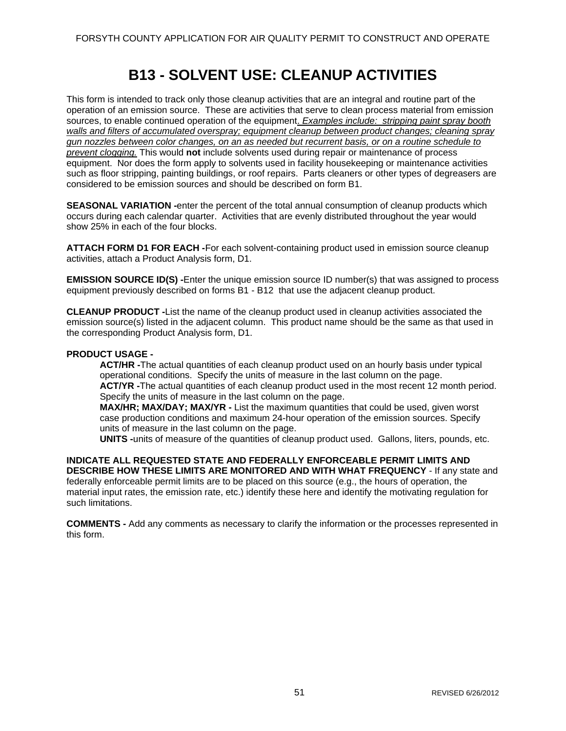## **B13 - SOLVENT USE: CLEANUP ACTIVITIES**

This form is intended to track only those cleanup activities that are an integral and routine part of the operation of an emission source. These are activities that serve to clean process material from emission sources, to enable continued operation of the equipment. *Examples include: stripping paint spray booth walls and filters of accumulated overspray; equipment cleanup between product changes; cleaning spray gun nozzles between color changes, on an as needed but recurrent basis, or on a routine schedule to prevent clogging.* This would **not** include solvents used during repair or maintenance of process equipment. Nor does the form apply to solvents used in facility housekeeping or maintenance activities such as floor stripping, painting buildings, or roof repairs. Parts cleaners or other types of degreasers are considered to be emission sources and should be described on form B1.

**SEASONAL VARIATION -**enter the percent of the total annual consumption of cleanup products which occurs during each calendar quarter. Activities that are evenly distributed throughout the year would show 25% in each of the four blocks.

**ATTACH FORM D1 FOR EACH -**For each solvent-containing product used in emission source cleanup activities, attach a Product Analysis form, D1.

**EMISSION SOURCE ID(S) -**Enter the unique emission source ID number(s) that was assigned to process equipment previously described on forms B1 - B12 that use the adjacent cleanup product.

**CLEANUP PRODUCT -**List the name of the cleanup product used in cleanup activities associated the emission source(s) listed in the adjacent column. This product name should be the same as that used in the corresponding Product Analysis form, D1.

### **PRODUCT USAGE -**

**ACT/HR -**The actual quantities of each cleanup product used on an hourly basis under typical operational conditions. Specify the units of measure in the last column on the page. **ACT/YR -**The actual quantities of each cleanup product used in the most recent 12 month period. Specify the units of measure in the last column on the page.

**MAX/HR; MAX/DAY; MAX/YR -** List the maximum quantities that could be used, given worst case production conditions and maximum 24-hour operation of the emission sources. Specify units of measure in the last column on the page.

**UNITS -**units of measure of the quantities of cleanup product used. Gallons, liters, pounds, etc.

**INDICATE ALL REQUESTED STATE AND FEDERALLY ENFORCEABLE PERMIT LIMITS AND DESCRIBE HOW THESE LIMITS ARE MONITORED AND WITH WHAT FREQUENCY** - If any state and federally enforceable permit limits are to be placed on this source (e.g., the hours of operation, the material input rates, the emission rate, etc.) identify these here and identify the motivating regulation for such limitations.

**COMMENTS -** Add any comments as necessary to clarify the information or the processes represented in this form.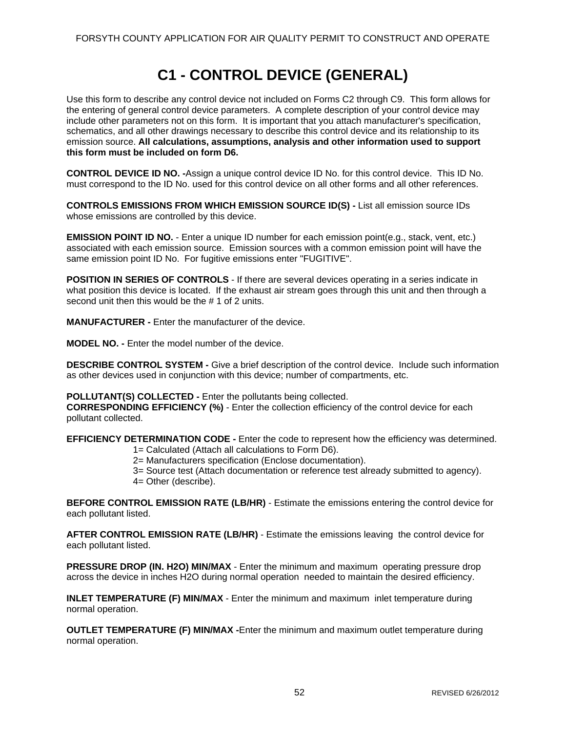# **C1 - CONTROL DEVICE (GENERAL)**

Use this form to describe any control device not included on Forms C2 through C9. This form allows for the entering of general control device parameters. A complete description of your control device may include other parameters not on this form. It is important that you attach manufacturer's specification, schematics, and all other drawings necessary to describe this control device and its relationship to its emission source. **All calculations, assumptions, analysis and other information used to support this form must be included on form D6.** 

**CONTROL DEVICE ID NO. -**Assign a unique control device ID No. for this control device. This ID No. must correspond to the ID No. used for this control device on all other forms and all other references.

**CONTROLS EMISSIONS FROM WHICH EMISSION SOURCE ID(S) -** List all emission source IDs whose emissions are controlled by this device.

**EMISSION POINT ID NO.** - Enter a unique ID number for each emission point(e.g., stack, vent, etc.) associated with each emission source. Emission sources with a common emission point will have the same emission point ID No. For fugitive emissions enter "FUGITIVE".

**POSITION IN SERIES OF CONTROLS** - If there are several devices operating in a series indicate in what position this device is located. If the exhaust air stream goes through this unit and then through a second unit then this would be the # 1 of 2 units.

**MANUFACTURER -** Enter the manufacturer of the device.

**MODEL NO. -** Enter the model number of the device.

**DESCRIBE CONTROL SYSTEM -** Give a brief description of the control device. Include such information as other devices used in conjunction with this device; number of compartments, etc.

**POLLUTANT(S) COLLECTED -** Enter the pollutants being collected.

**CORRESPONDING EFFICIENCY (%)** - Enter the collection efficiency of the control device for each pollutant collected.

**EFFICIENCY DETERMINATION CODE -** Enter the code to represent how the efficiency was determined. 1= Calculated (Attach all calculations to Form D6).

2= Manufacturers specification (Enclose documentation).

3= Source test (Attach documentation or reference test already submitted to agency).

4= Other (describe).

**BEFORE CONTROL EMISSION RATE (LB/HR)** - Estimate the emissions entering the control device for each pollutant listed.

**AFTER CONTROL EMISSION RATE (LB/HR)** - Estimate the emissions leaving the control device for each pollutant listed.

**PRESSURE DROP (IN. H2O) MIN/MAX** - Enter the minimum and maximum operating pressure drop across the device in inches H2O during normal operation needed to maintain the desired efficiency.

**INLET TEMPERATURE (F) MIN/MAX** - Enter the minimum and maximum inlet temperature during normal operation.

**OUTLET TEMPERATURE (F) MIN/MAX -**Enter the minimum and maximum outlet temperature during normal operation.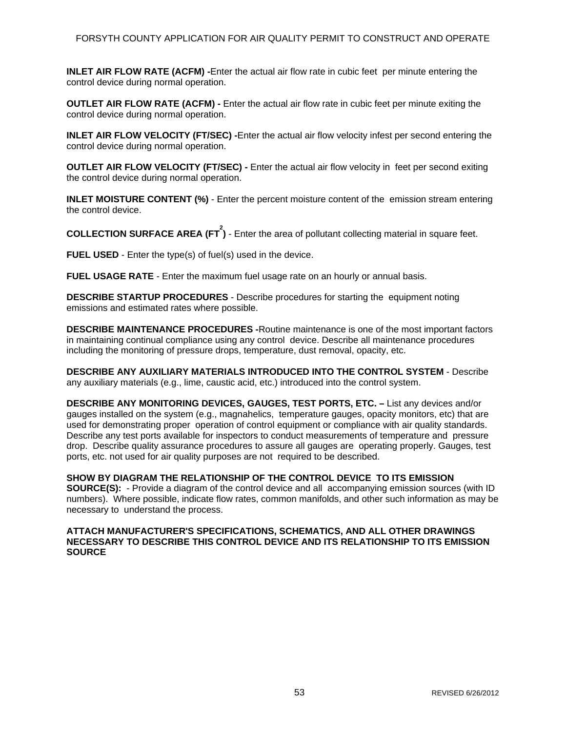**INLET AIR FLOW RATE (ACFM) -**Enter the actual air flow rate in cubic feet per minute entering the control device during normal operation.

**OUTLET AIR FLOW RATE (ACFM) -** Enter the actual air flow rate in cubic feet per minute exiting the control device during normal operation.

**INLET AIR FLOW VELOCITY (FT/SEC) -**Enter the actual air flow velocity infest per second entering the control device during normal operation.

**OUTLET AIR FLOW VELOCITY (FT/SEC) -** Enter the actual air flow velocity in feet per second exiting the control device during normal operation.

**INLET MOISTURE CONTENT (%)** - Enter the percent moisture content of the emission stream entering the control device.

**COLLECTION SURFACE AREA (FT 2 )** - Enter the area of pollutant collecting material in square feet.

**FUEL USED** - Enter the type(s) of fuel(s) used in the device.

**FUEL USAGE RATE** - Enter the maximum fuel usage rate on an hourly or annual basis.

**DESCRIBE STARTUP PROCEDURES** - Describe procedures for starting the equipment noting emissions and estimated rates where possible.

**DESCRIBE MAINTENANCE PROCEDURES -**Routine maintenance is one of the most important factors in maintaining continual compliance using any control device. Describe all maintenance procedures including the monitoring of pressure drops, temperature, dust removal, opacity, etc.

**DESCRIBE ANY AUXILIARY MATERIALS INTRODUCED INTO THE CONTROL SYSTEM** - Describe any auxiliary materials (e.g., lime, caustic acid, etc.) introduced into the control system.

**DESCRIBE ANY MONITORING DEVICES, GAUGES, TEST PORTS, ETC. –** List any devices and/or gauges installed on the system (e.g., magnahelics, temperature gauges, opacity monitors, etc) that are used for demonstrating proper operation of control equipment or compliance with air quality standards. Describe any test ports available for inspectors to conduct measurements of temperature and pressure drop. Describe quality assurance procedures to assure all gauges are operating properly. Gauges, test ports, etc. not used for air quality purposes are not required to be described.

**SHOW BY DIAGRAM THE RELATIONSHIP OF THE CONTROL DEVICE TO ITS EMISSION SOURCE(S):** - Provide a diagram of the control device and all accompanying emission sources (with ID numbers). Where possible, indicate flow rates, common manifolds, and other such information as may be necessary to understand the process.

#### **ATTACH MANUFACTURER'S SPECIFICATIONS, SCHEMATICS, AND ALL OTHER DRAWINGS NECESSARY TO DESCRIBE THIS CONTROL DEVICE AND ITS RELATIONSHIP TO ITS EMISSION SOURCE**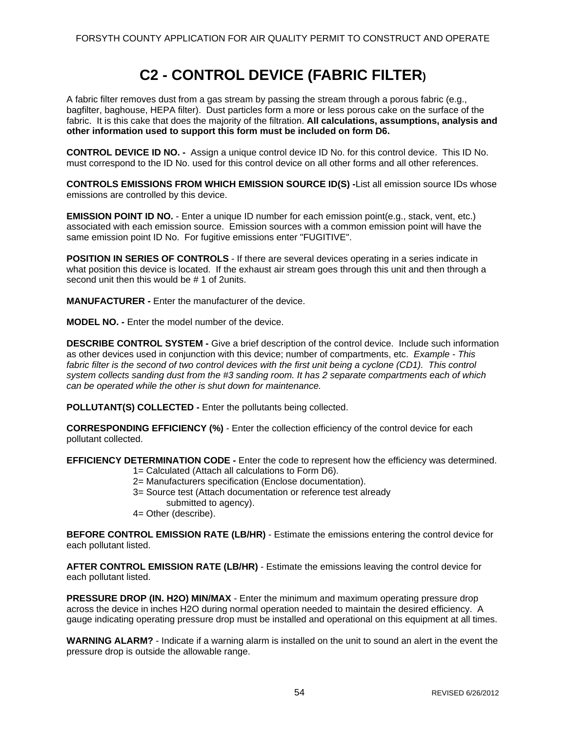# **C2 - CONTROL DEVICE (FABRIC FILTER)**

A fabric filter removes dust from a gas stream by passing the stream through a porous fabric (e.g., bagfilter, baghouse, HEPA filter). Dust particles form a more or less porous cake on the surface of the fabric. It is this cake that does the majority of the filtration. **All calculations, assumptions, analysis and other information used to support this form must be included on form D6.** 

**CONTROL DEVICE ID NO. -** Assign a unique control device ID No. for this control device. This ID No. must correspond to the ID No. used for this control device on all other forms and all other references.

**CONTROLS EMISSIONS FROM WHICH EMISSION SOURCE ID(S) -**List all emission source IDs whose emissions are controlled by this device.

**EMISSION POINT ID NO.** - Enter a unique ID number for each emission point(e.g., stack, vent, etc.) associated with each emission source. Emission sources with a common emission point will have the same emission point ID No. For fugitive emissions enter "FUGITIVE".

**POSITION IN SERIES OF CONTROLS** - If there are several devices operating in a series indicate in what position this device is located. If the exhaust air stream goes through this unit and then through a second unit then this would be # 1 of 2units.

**MANUFACTURER -** Enter the manufacturer of the device.

**MODEL NO. -** Enter the model number of the device.

**DESCRIBE CONTROL SYSTEM -** Give a brief description of the control device. Include such information as other devices used in conjunction with this device; number of compartments, etc. *Example - This fabric filter is the second of two control devices with the first unit being a cyclone (CD1). This control system collects sanding dust from the #3 sanding room. It has 2 separate compartments each of which can be operated while the other is shut down for maintenance.* 

**POLLUTANT(S) COLLECTED -** Enter the pollutants being collected.

**CORRESPONDING EFFICIENCY (%)** - Enter the collection efficiency of the control device for each pollutant collected.

**EFFICIENCY DETERMINATION CODE -** Enter the code to represent how the efficiency was determined.

- 1= Calculated (Attach all calculations to Form D6).
- 2= Manufacturers specification (Enclose documentation).
- 3= Source test (Attach documentation or reference test already
- submitted to agency).
- 4= Other (describe).

**BEFORE CONTROL EMISSION RATE (LB/HR)** - Estimate the emissions entering the control device for each pollutant listed.

**AFTER CONTROL EMISSION RATE (LB/HR)** - Estimate the emissions leaving the control device for each pollutant listed.

**PRESSURE DROP (IN. H2O) MIN/MAX** - Enter the minimum and maximum operating pressure drop across the device in inches H2O during normal operation needed to maintain the desired efficiency. A gauge indicating operating pressure drop must be installed and operational on this equipment at all times.

**WARNING ALARM?** - Indicate if a warning alarm is installed on the unit to sound an alert in the event the pressure drop is outside the allowable range.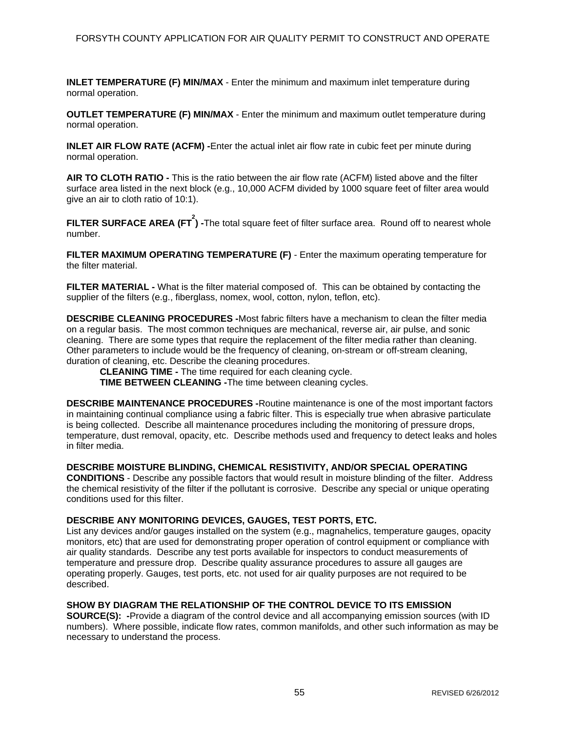**INLET TEMPERATURE (F) MIN/MAX** - Enter the minimum and maximum inlet temperature during normal operation.

**OUTLET TEMPERATURE (F) MIN/MAX** - Enter the minimum and maximum outlet temperature during normal operation.

**INLET AIR FLOW RATE (ACFM) -**Enter the actual inlet air flow rate in cubic feet per minute during normal operation.

**AIR TO CLOTH RATIO -** This is the ratio between the air flow rate (ACFM) listed above and the filter surface area listed in the next block (e.g., 10,000 ACFM divided by 1000 square feet of filter area would give an air to cloth ratio of 10:1).

**FILTER SURFACE AREA (FT 2 ) -**The total square feet of filter surface area. Round off to nearest whole number.

**FILTER MAXIMUM OPERATING TEMPERATURE (F)** - Enter the maximum operating temperature for the filter material.

**FILTER MATERIAL -** What is the filter material composed of. This can be obtained by contacting the supplier of the filters (e.g., fiberglass, nomex, wool, cotton, nylon, teflon, etc).

**DESCRIBE CLEANING PROCEDURES -**Most fabric filters have a mechanism to clean the filter media on a regular basis. The most common techniques are mechanical, reverse air, air pulse, and sonic cleaning. There are some types that require the replacement of the filter media rather than cleaning. Other parameters to include would be the frequency of cleaning, on-stream or off-stream cleaning, duration of cleaning, etc. Describe the cleaning procedures.

**CLEANING TIME -** The time required for each cleaning cycle.

**TIME BETWEEN CLEANING -**The time between cleaning cycles.

**DESCRIBE MAINTENANCE PROCEDURES -**Routine maintenance is one of the most important factors in maintaining continual compliance using a fabric filter. This is especially true when abrasive particulate is being collected. Describe all maintenance procedures including the monitoring of pressure drops, temperature, dust removal, opacity, etc. Describe methods used and frequency to detect leaks and holes in filter media.

**DESCRIBE MOISTURE BLINDING, CHEMICAL RESISTIVITY, AND/OR SPECIAL OPERATING CONDITIONS** - Describe any possible factors that would result in moisture blinding of the filter. Address the chemical resistivity of the filter if the pollutant is corrosive. Describe any special or unique operating conditions used for this filter.

## **DESCRIBE ANY MONITORING DEVICES, GAUGES, TEST PORTS, ETC.**

List any devices and/or gauges installed on the system (e.g., magnahelics, temperature gauges, opacity monitors, etc) that are used for demonstrating proper operation of control equipment or compliance with air quality standards. Describe any test ports available for inspectors to conduct measurements of temperature and pressure drop. Describe quality assurance procedures to assure all gauges are operating properly. Gauges, test ports, etc. not used for air quality purposes are not required to be described.

### **SHOW BY DIAGRAM THE RELATIONSHIP OF THE CONTROL DEVICE TO ITS EMISSION**

**SOURCE(S): -**Provide a diagram of the control device and all accompanying emission sources (with ID numbers). Where possible, indicate flow rates, common manifolds, and other such information as may be necessary to understand the process.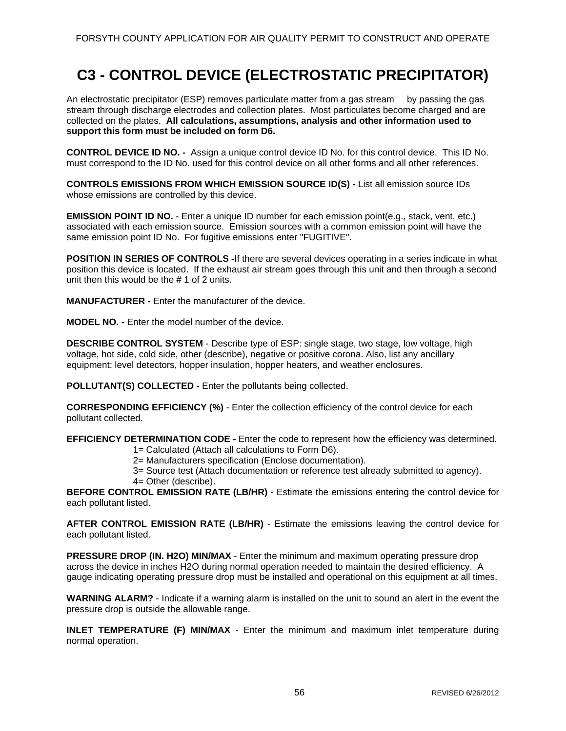## **C3 - CONTROL DEVICE (ELECTROSTATIC PRECIPITATOR)**

An electrostatic precipitator (ESP) removes particulate matter from a gas stream by passing the gas stream through discharge electrodes and collection plates. Most particulates become charged and are collected on the plates. **All calculations, assumptions, analysis and other information used to support this form must be included on form D6.** 

**CONTROL DEVICE ID NO. -** Assign a unique control device ID No. for this control device. This ID No. must correspond to the ID No. used for this control device on all other forms and all other references.

**CONTROLS EMISSIONS FROM WHICH EMISSION SOURCE ID(S) -** List all emission source IDs whose emissions are controlled by this device.

**EMISSION POINT ID NO.** - Enter a unique ID number for each emission point(e.g., stack, vent, etc.) associated with each emission source. Emission sources with a common emission point will have the same emission point ID No. For fugitive emissions enter "FUGITIVE".

**POSITION IN SERIES OF CONTROLS -**If there are several devices operating in a series indicate in what position this device is located. If the exhaust air stream goes through this unit and then through a second unit then this would be the # 1 of 2 units.

**MANUFACTURER -** Enter the manufacturer of the device.

**MODEL NO. -** Enter the model number of the device.

**DESCRIBE CONTROL SYSTEM** - Describe type of ESP: single stage, two stage, low voltage, high voltage, hot side, cold side, other (describe), negative or positive corona. Also, list any ancillary equipment: level detectors, hopper insulation, hopper heaters, and weather enclosures.

**POLLUTANT(S) COLLECTED -** Enter the pollutants being collected.

**CORRESPONDING EFFICIENCY (%)** - Enter the collection efficiency of the control device for each pollutant collected.

**EFFICIENCY DETERMINATION CODE -** Enter the code to represent how the efficiency was determined.

- 1= Calculated (Attach all calculations to Form D6).
- 2= Manufacturers specification (Enclose documentation).
- 3= Source test (Attach documentation or reference test already submitted to agency).
- 4= Other (describe).

**BEFORE CONTROL EMISSION RATE (LB/HR)** - Estimate the emissions entering the control device for each pollutant listed.

**AFTER CONTROL EMISSION RATE (LB/HR)** - Estimate the emissions leaving the control device for each pollutant listed.

**PRESSURE DROP (IN. H2O) MIN/MAX** - Enter the minimum and maximum operating pressure drop across the device in inches H2O during normal operation needed to maintain the desired efficiency. A gauge indicating operating pressure drop must be installed and operational on this equipment at all times.

**WARNING ALARM?** - Indicate if a warning alarm is installed on the unit to sound an alert in the event the pressure drop is outside the allowable range.

**INLET TEMPERATURE (F) MIN/MAX** - Enter the minimum and maximum inlet temperature during normal operation.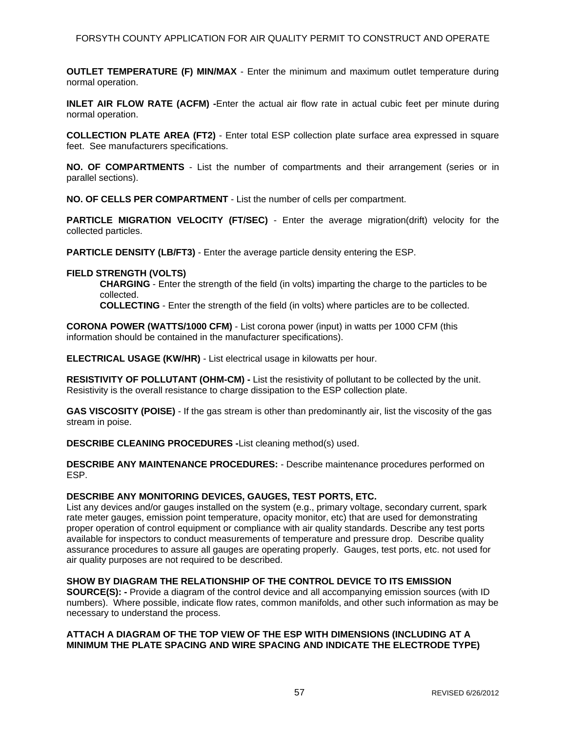**OUTLET TEMPERATURE (F) MIN/MAX** - Enter the minimum and maximum outlet temperature during normal operation.

**INLET AIR FLOW RATE (ACFM) -**Enter the actual air flow rate in actual cubic feet per minute during normal operation.

**COLLECTION PLATE AREA (FT2)** - Enter total ESP collection plate surface area expressed in square feet. See manufacturers specifications.

**NO. OF COMPARTMENTS** - List the number of compartments and their arrangement (series or in parallel sections).

**NO. OF CELLS PER COMPARTMENT** - List the number of cells per compartment.

**PARTICLE MIGRATION VELOCITY (FT/SEC)** - Enter the average migration(drift) velocity for the collected particles.

**PARTICLE DENSITY (LB/FT3)** - Enter the average particle density entering the ESP.

#### **FIELD STRENGTH (VOLTS)**

**CHARGING** - Enter the strength of the field (in volts) imparting the charge to the particles to be collected.

**COLLECTING** - Enter the strength of the field (in volts) where particles are to be collected.

**CORONA POWER (WATTS/1000 CFM)** - List corona power (input) in watts per 1000 CFM (this information should be contained in the manufacturer specifications).

**ELECTRICAL USAGE (KW/HR)** - List electrical usage in kilowatts per hour.

**RESISTIVITY OF POLLUTANT (OHM-CM) -** List the resistivity of pollutant to be collected by the unit. Resistivity is the overall resistance to charge dissipation to the ESP collection plate.

**GAS VISCOSITY (POISE)** - If the gas stream is other than predominantly air, list the viscosity of the gas stream in poise.

**DESCRIBE CLEANING PROCEDURES -**List cleaning method(s) used.

**DESCRIBE ANY MAINTENANCE PROCEDURES:** - Describe maintenance procedures performed on ESP.

#### **DESCRIBE ANY MONITORING DEVICES, GAUGES, TEST PORTS, ETC.**

List any devices and/or gauges installed on the system (e.g., primary voltage, secondary current, spark rate meter gauges, emission point temperature, opacity monitor, etc) that are used for demonstrating proper operation of control equipment or compliance with air quality standards. Describe any test ports available for inspectors to conduct measurements of temperature and pressure drop. Describe quality assurance procedures to assure all gauges are operating properly. Gauges, test ports, etc. not used for air quality purposes are not required to be described.

#### **SHOW BY DIAGRAM THE RELATIONSHIP OF THE CONTROL DEVICE TO ITS EMISSION**

**SOURCE(S): -** Provide a diagram of the control device and all accompanying emission sources (with ID numbers). Where possible, indicate flow rates, common manifolds, and other such information as may be necessary to understand the process.

### **ATTACH A DIAGRAM OF THE TOP VIEW OF THE ESP WITH DIMENSIONS (INCLUDING AT A MINIMUM THE PLATE SPACING AND WIRE SPACING AND INDICATE THE ELECTRODE TYPE)**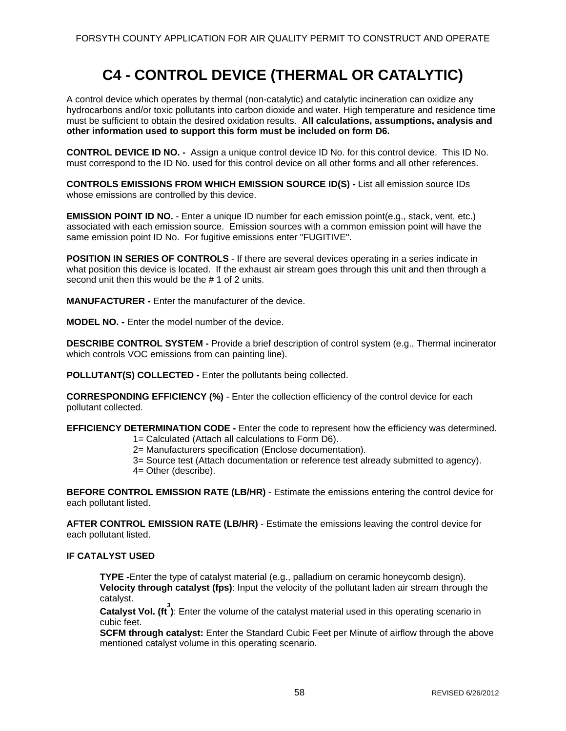# **C4 - CONTROL DEVICE (THERMAL OR CATALYTIC)**

A control device which operates by thermal (non-catalytic) and catalytic incineration can oxidize any hydrocarbons and/or toxic pollutants into carbon dioxide and water. High temperature and residence time must be sufficient to obtain the desired oxidation results. **All calculations, assumptions, analysis and other information used to support this form must be included on form D6.** 

**CONTROL DEVICE ID NO. -** Assign a unique control device ID No. for this control device. This ID No. must correspond to the ID No. used for this control device on all other forms and all other references.

**CONTROLS EMISSIONS FROM WHICH EMISSION SOURCE ID(S) -** List all emission source IDs whose emissions are controlled by this device.

**EMISSION POINT ID NO.** - Enter a unique ID number for each emission point(e.g., stack, vent, etc.) associated with each emission source. Emission sources with a common emission point will have the same emission point ID No. For fugitive emissions enter "FUGITIVE".

**POSITION IN SERIES OF CONTROLS** - If there are several devices operating in a series indicate in what position this device is located. If the exhaust air stream goes through this unit and then through a second unit then this would be the # 1 of 2 units.

**MANUFACTURER -** Enter the manufacturer of the device.

**MODEL NO. -** Enter the model number of the device.

**DESCRIBE CONTROL SYSTEM -** Provide a brief description of control system (e.g., Thermal incinerator which controls VOC emissions from can painting line).

**POLLUTANT(S) COLLECTED -** Enter the pollutants being collected.

**CORRESPONDING EFFICIENCY (%)** - Enter the collection efficiency of the control device for each pollutant collected.

**EFFICIENCY DETERMINATION CODE -** Enter the code to represent how the efficiency was determined.

- 1= Calculated (Attach all calculations to Form D6).
- 2= Manufacturers specification (Enclose documentation).

3= Source test (Attach documentation or reference test already submitted to agency).

4= Other (describe).

**BEFORE CONTROL EMISSION RATE (LB/HR)** - Estimate the emissions entering the control device for each pollutant listed.

**AFTER CONTROL EMISSION RATE (LB/HR)** - Estimate the emissions leaving the control device for each pollutant listed.

## **IF CATALYST USED**

**TYPE -**Enter the type of catalyst material (e.g., palladium on ceramic honeycomb design). **Velocity through catalyst (fps)**: Input the velocity of the pollutant laden air stream through the catalyst.

Catalyst Vol. (ft<sup>3</sup>): Enter the volume of the catalyst material used in this operating scenario in cubic feet.

**SCFM through catalyst:** Enter the Standard Cubic Feet per Minute of airflow through the above mentioned catalyst volume in this operating scenario.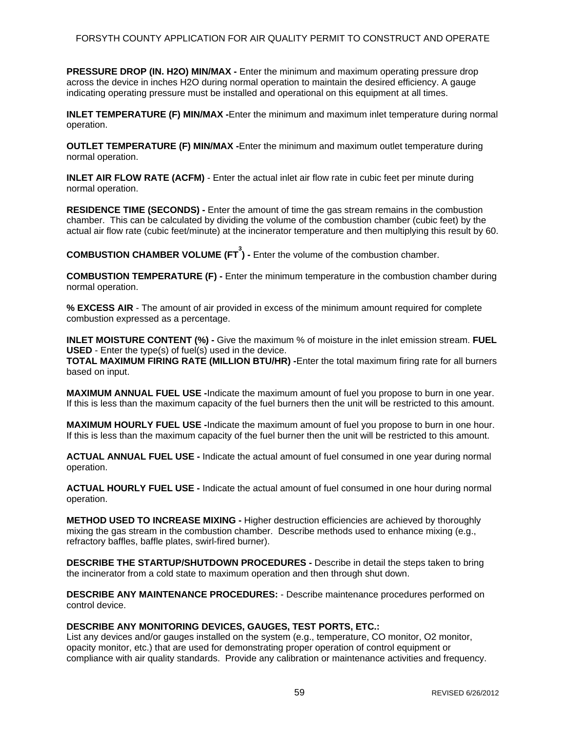**PRESSURE DROP (IN. H2O) MIN/MAX -** Enter the minimum and maximum operating pressure drop across the device in inches H2O during normal operation to maintain the desired efficiency. A gauge indicating operating pressure must be installed and operational on this equipment at all times.

**INLET TEMPERATURE (F) MIN/MAX** -Enter the minimum and maximum inlet temperature during normal operation.

**OUTLET TEMPERATURE (F) MIN/MAX -**Enter the minimum and maximum outlet temperature during normal operation.

**INLET AIR FLOW RATE (ACFM)** - Enter the actual inlet air flow rate in cubic feet per minute during normal operation.

**RESIDENCE TIME (SECONDS) -** Enter the amount of time the gas stream remains in the combustion chamber. This can be calculated by dividing the volume of the combustion chamber (cubic feet) by the actual air flow rate (cubic feet/minute) at the incinerator temperature and then multiplying this result by 60.

**COMBUSTION CHAMBER VOLUME (FT 3 ) -** Enter the volume of the combustion chamber.

**COMBUSTION TEMPERATURE (F) -** Enter the minimum temperature in the combustion chamber during normal operation.

**% EXCESS AIR** - The amount of air provided in excess of the minimum amount required for complete combustion expressed as a percentage.

**INLET MOISTURE CONTENT (%) -** Give the maximum % of moisture in the inlet emission stream. **FUEL USED** - Enter the type(s) of fuel(s) used in the device.

**TOTAL MAXIMUM FIRING RATE (MILLION BTU/HR) -**Enter the total maximum firing rate for all burners based on input.

**MAXIMUM ANNUAL FUEL USE -**Indicate the maximum amount of fuel you propose to burn in one year. If this is less than the maximum capacity of the fuel burners then the unit will be restricted to this amount.

**MAXIMUM HOURLY FUEL USE -**Indicate the maximum amount of fuel you propose to burn in one hour. If this is less than the maximum capacity of the fuel burner then the unit will be restricted to this amount.

**ACTUAL ANNUAL FUEL USE -** Indicate the actual amount of fuel consumed in one year during normal operation.

**ACTUAL HOURLY FUEL USE -** Indicate the actual amount of fuel consumed in one hour during normal operation.

**METHOD USED TO INCREASE MIXING -** Higher destruction efficiencies are achieved by thoroughly mixing the gas stream in the combustion chamber. Describe methods used to enhance mixing (e.g., refractory baffles, baffle plates, swirl-fired burner).

**DESCRIBE THE STARTUP/SHUTDOWN PROCEDURES -** Describe in detail the steps taken to bring the incinerator from a cold state to maximum operation and then through shut down.

**DESCRIBE ANY MAINTENANCE PROCEDURES:** - Describe maintenance procedures performed on control device.

#### **DESCRIBE ANY MONITORING DEVICES, GAUGES, TEST PORTS, ETC.:**

List any devices and/or gauges installed on the system (e.g., temperature, CO monitor, O2 monitor, opacity monitor, etc.) that are used for demonstrating proper operation of control equipment or compliance with air quality standards. Provide any calibration or maintenance activities and frequency.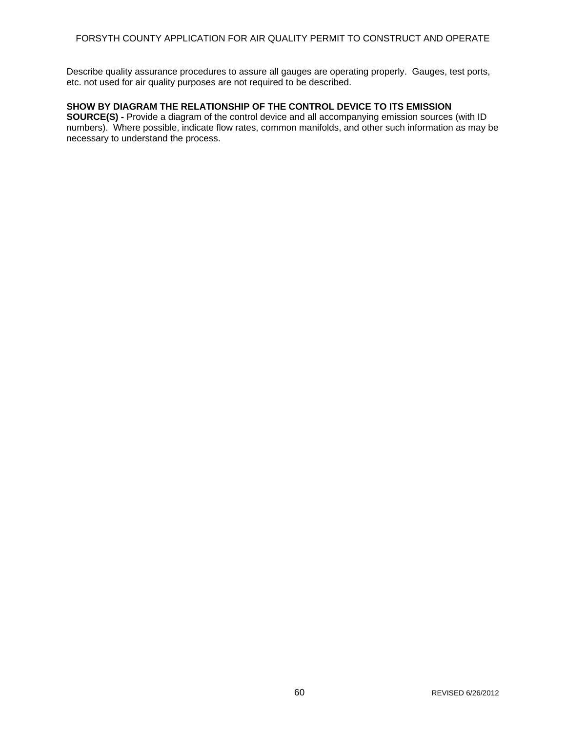Describe quality assurance procedures to assure all gauges are operating properly. Gauges, test ports, etc. not used for air quality purposes are not required to be described.

### **SHOW BY DIAGRAM THE RELATIONSHIP OF THE CONTROL DEVICE TO ITS EMISSION**

**SOURCE(S) - Provide a diagram of the control device and all accompanying emission sources (with ID** numbers). Where possible, indicate flow rates, common manifolds, and other such information as may be necessary to understand the process.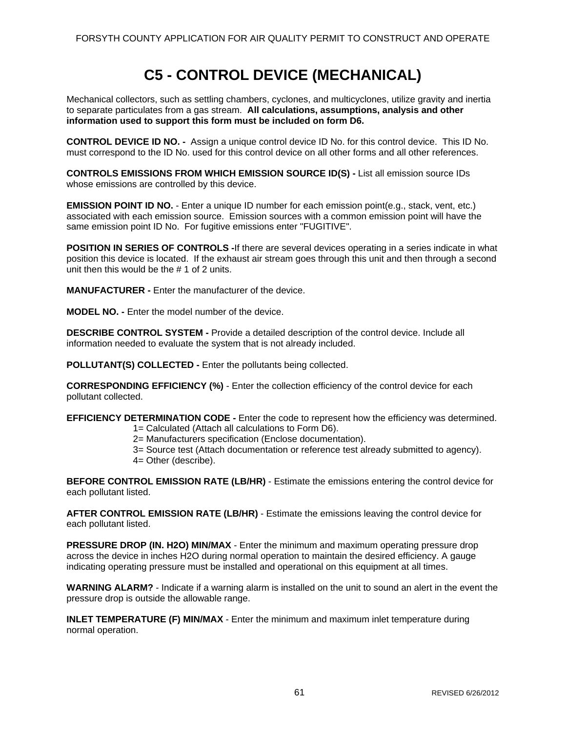# **C5 - CONTROL DEVICE (MECHANICAL)**

Mechanical collectors, such as settling chambers, cyclones, and multicyclones, utilize gravity and inertia to separate particulates from a gas stream. **All calculations, assumptions, analysis and other information used to support this form must be included on form D6.** 

**CONTROL DEVICE ID NO. -** Assign a unique control device ID No. for this control device. This ID No. must correspond to the ID No. used for this control device on all other forms and all other references.

**CONTROLS EMISSIONS FROM WHICH EMISSION SOURCE ID(S) -** List all emission source IDs whose emissions are controlled by this device.

**EMISSION POINT ID NO.** - Enter a unique ID number for each emission point(e.g., stack, vent, etc.) associated with each emission source. Emission sources with a common emission point will have the same emission point ID No. For fugitive emissions enter "FUGITIVE".

**POSITION IN SERIES OF CONTROLS -**If there are several devices operating in a series indicate in what position this device is located. If the exhaust air stream goes through this unit and then through a second unit then this would be the # 1 of 2 units.

**MANUFACTURER -** Enter the manufacturer of the device.

**MODEL NO. -** Enter the model number of the device.

**DESCRIBE CONTROL SYSTEM -** Provide a detailed description of the control device. Include all information needed to evaluate the system that is not already included.

**POLLUTANT(S) COLLECTED -** Enter the pollutants being collected.

**CORRESPONDING EFFICIENCY (%)** - Enter the collection efficiency of the control device for each pollutant collected.

**EFFICIENCY DETERMINATION CODE -** Enter the code to represent how the efficiency was determined.

1= Calculated (Attach all calculations to Form D6).

2= Manufacturers specification (Enclose documentation).

3= Source test (Attach documentation or reference test already submitted to agency).

4= Other (describe).

**BEFORE CONTROL EMISSION RATE (LB/HR)** - Estimate the emissions entering the control device for each pollutant listed.

**AFTER CONTROL EMISSION RATE (LB/HR)** - Estimate the emissions leaving the control device for each pollutant listed.

**PRESSURE DROP (IN. H2O) MIN/MAX** - Enter the minimum and maximum operating pressure drop across the device in inches H2O during normal operation to maintain the desired efficiency. A gauge indicating operating pressure must be installed and operational on this equipment at all times.

**WARNING ALARM?** - Indicate if a warning alarm is installed on the unit to sound an alert in the event the pressure drop is outside the allowable range.

**INLET TEMPERATURE (F) MIN/MAX** - Enter the minimum and maximum inlet temperature during normal operation.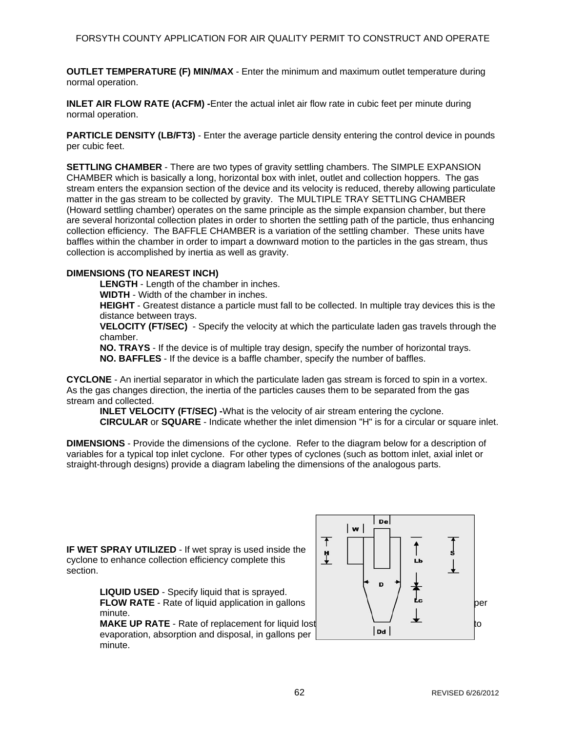**OUTLET TEMPERATURE (F) MIN/MAX** - Enter the minimum and maximum outlet temperature during normal operation.

**INLET AIR FLOW RATE (ACFM) -**Enter the actual inlet air flow rate in cubic feet per minute during normal operation.

**PARTICLE DENSITY (LB/FT3)** - Enter the average particle density entering the control device in pounds per cubic feet.

**SETTLING CHAMBER** - There are two types of gravity settling chambers. The SIMPLE EXPANSION CHAMBER which is basically a long, horizontal box with inlet, outlet and collection hoppers. The gas stream enters the expansion section of the device and its velocity is reduced, thereby allowing particulate matter in the gas stream to be collected by gravity. The MULTIPLE TRAY SETTLING CHAMBER (Howard settling chamber) operates on the same principle as the simple expansion chamber, but there are several horizontal collection plates in order to shorten the settling path of the particle, thus enhancing collection efficiency. The BAFFLE CHAMBER is a variation of the settling chamber. These units have baffles within the chamber in order to impart a downward motion to the particles in the gas stream, thus collection is accomplished by inertia as well as gravity.

## **DIMENSIONS (TO NEAREST INCH)**

**LENGTH** - Length of the chamber in inches.

**WIDTH** - Width of the chamber in inches.

**HEIGHT** - Greatest distance a particle must fall to be collected. In multiple tray devices this is the distance between trays.

**VELOCITY (FT/SEC)** - Specify the velocity at which the particulate laden gas travels through the chamber.

**NO. TRAYS** - If the device is of multiple tray design, specify the number of horizontal trays.

**NO. BAFFLES** - If the device is a baffle chamber, specify the number of baffles.

**CYCLONE** - An inertial separator in which the particulate laden gas stream is forced to spin in a vortex. As the gas changes direction, the inertia of the particles causes them to be separated from the gas stream and collected.

**INLET VELOCITY (FT/SEC) -**What is the velocity of air stream entering the cyclone. **CIRCULAR** or **SQUARE** - Indicate whether the inlet dimension "H" is for a circular or square inlet.

**DIMENSIONS** - Provide the dimensions of the cyclone. Refer to the diagram below for a description of variables for a typical top inlet cyclone. For other types of cyclones (such as bottom inlet, axial inlet or straight-through designs) provide a diagram labeling the dimensions of the analogous parts.

**IF WET SPRAY UTILIZED** - If wet spray is used inside the cyclone to enhance collection efficiency complete this section.

> **LIQUID USED** - Specify liquid that is sprayed. **FLOW RATE** - Rate of liquid application in gallons **performance** per minute.

**MAKE UP RATE** - Rate of replacement for liquid lost to the to the properties of contact to the properties of the contact of the properties of the contact of the contact of the properties of the contact of the contact of t evaporation, absorption and disposal, in gallons per minute.

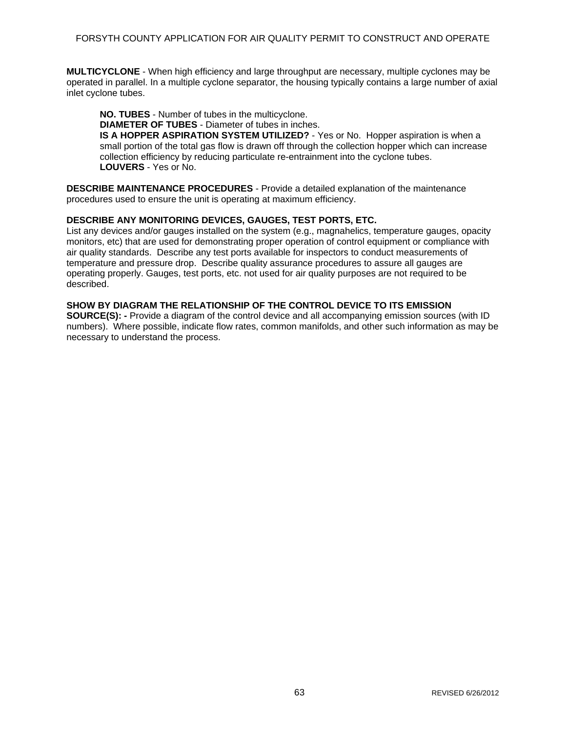**MULTICYCLONE** - When high efficiency and large throughput are necessary, multiple cyclones may be operated in parallel. In a multiple cyclone separator, the housing typically contains a large number of axial inlet cyclone tubes.

**NO. TUBES** - Number of tubes in the multicyclone.

**DIAMETER OF TUBES** - Diameter of tubes in inches.

**IS A HOPPER ASPIRATION SYSTEM UTILIZED?** - Yes or No. Hopper aspiration is when a small portion of the total gas flow is drawn off through the collection hopper which can increase collection efficiency by reducing particulate re-entrainment into the cyclone tubes. **LOUVERS** - Yes or No.

**DESCRIBE MAINTENANCE PROCEDURES** - Provide a detailed explanation of the maintenance procedures used to ensure the unit is operating at maximum efficiency.

### **DESCRIBE ANY MONITORING DEVICES, GAUGES, TEST PORTS, ETC.**

List any devices and/or gauges installed on the system (e.g., magnahelics, temperature gauges, opacity monitors, etc) that are used for demonstrating proper operation of control equipment or compliance with air quality standards. Describe any test ports available for inspectors to conduct measurements of temperature and pressure drop. Describe quality assurance procedures to assure all gauges are operating properly. Gauges, test ports, etc. not used for air quality purposes are not required to be described.

### **SHOW BY DIAGRAM THE RELATIONSHIP OF THE CONTROL DEVICE TO ITS EMISSION**

**SOURCE(S):** - Provide a diagram of the control device and all accompanying emission sources (with ID numbers). Where possible, indicate flow rates, common manifolds, and other such information as may be necessary to understand the process.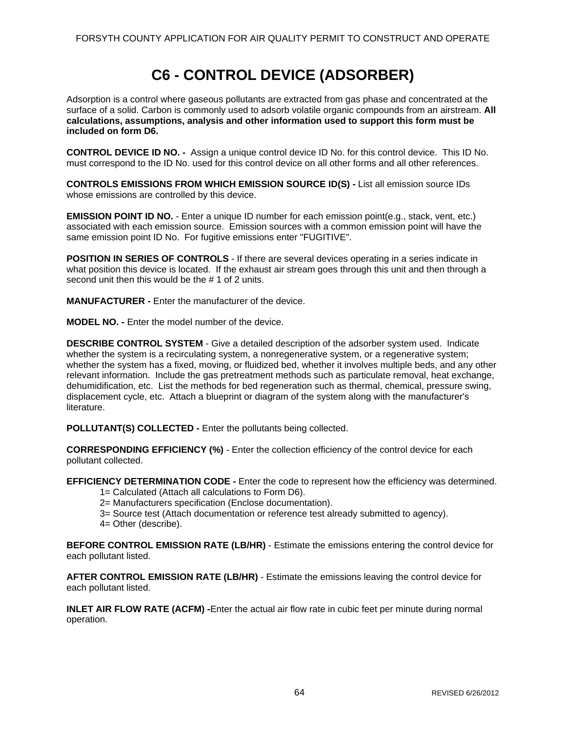# **C6 - CONTROL DEVICE (ADSORBER)**

Adsorption is a control where gaseous pollutants are extracted from gas phase and concentrated at the surface of a solid. Carbon is commonly used to adsorb volatile organic compounds from an airstream. **All calculations, assumptions, analysis and other information used to support this form must be included on form D6.** 

**CONTROL DEVICE ID NO. -** Assign a unique control device ID No. for this control device. This ID No. must correspond to the ID No. used for this control device on all other forms and all other references.

**CONTROLS EMISSIONS FROM WHICH EMISSION SOURCE ID(S) -** List all emission source IDs whose emissions are controlled by this device.

**EMISSION POINT ID NO.** - Enter a unique ID number for each emission point(e.g., stack, vent, etc.) associated with each emission source. Emission sources with a common emission point will have the same emission point ID No. For fugitive emissions enter "FUGITIVE".

**POSITION IN SERIES OF CONTROLS** - If there are several devices operating in a series indicate in what position this device is located. If the exhaust air stream goes through this unit and then through a second unit then this would be the # 1 of 2 units.

**MANUFACTURER -** Enter the manufacturer of the device.

**MODEL NO. -** Enter the model number of the device.

**DESCRIBE CONTROL SYSTEM** - Give a detailed description of the adsorber system used. Indicate whether the system is a recirculating system, a nonregenerative system, or a regenerative system; whether the system has a fixed, moving, or fluidized bed, whether it involves multiple beds, and any other relevant information. Include the gas pretreatment methods such as particulate removal, heat exchange, dehumidification, etc. List the methods for bed regeneration such as thermal, chemical, pressure swing, displacement cycle, etc. Attach a blueprint or diagram of the system along with the manufacturer's literature.

**POLLUTANT(S) COLLECTED -** Enter the pollutants being collected.

**CORRESPONDING EFFICIENCY (%)** - Enter the collection efficiency of the control device for each pollutant collected.

**EFFICIENCY DETERMINATION CODE -** Enter the code to represent how the efficiency was determined.

1= Calculated (Attach all calculations to Form D6).

2= Manufacturers specification (Enclose documentation).

- 3= Source test (Attach documentation or reference test already submitted to agency).
- 4= Other (describe).

**BEFORE CONTROL EMISSION RATE (LB/HR)** - Estimate the emissions entering the control device for each pollutant listed.

**AFTER CONTROL EMISSION RATE (LB/HR)** - Estimate the emissions leaving the control device for each pollutant listed.

**INLET AIR FLOW RATE (ACFM) -**Enter the actual air flow rate in cubic feet per minute during normal operation.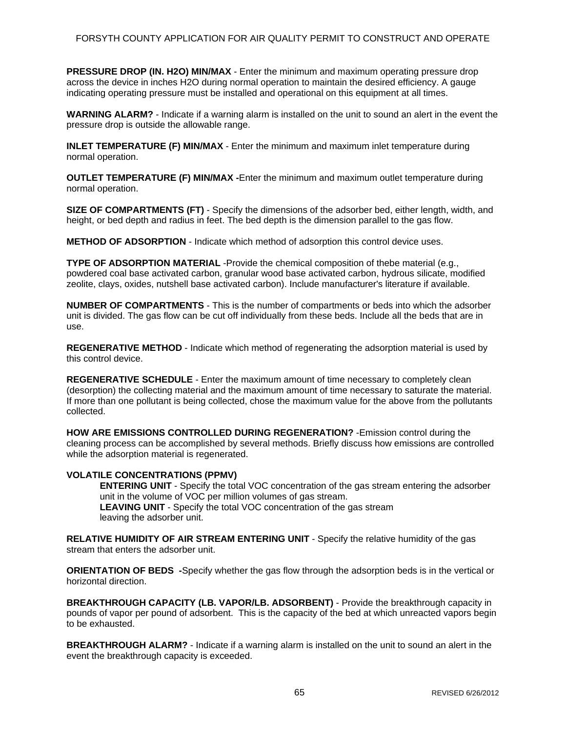**PRESSURE DROP (IN. H2O) MIN/MAX** - Enter the minimum and maximum operating pressure drop across the device in inches H2O during normal operation to maintain the desired efficiency. A gauge indicating operating pressure must be installed and operational on this equipment at all times.

**WARNING ALARM?** - Indicate if a warning alarm is installed on the unit to sound an alert in the event the pressure drop is outside the allowable range.

**INLET TEMPERATURE (F) MIN/MAX** - Enter the minimum and maximum inlet temperature during normal operation.

**OUTLET TEMPERATURE (F) MIN/MAX -**Enter the minimum and maximum outlet temperature during normal operation.

**SIZE OF COMPARTMENTS (FT)** - Specify the dimensions of the adsorber bed, either length, width, and height, or bed depth and radius in feet. The bed depth is the dimension parallel to the gas flow.

**METHOD OF ADSORPTION** - Indicate which method of adsorption this control device uses.

**TYPE OF ADSORPTION MATERIAL** -Provide the chemical composition of thebe material (e.g., powdered coal base activated carbon, granular wood base activated carbon, hydrous silicate, modified zeolite, clays, oxides, nutshell base activated carbon). Include manufacturer's literature if available.

**NUMBER OF COMPARTMENTS** - This is the number of compartments or beds into which the adsorber unit is divided. The gas flow can be cut off individually from these beds. Include all the beds that are in use.

**REGENERATIVE METHOD** - Indicate which method of regenerating the adsorption material is used by this control device.

**REGENERATIVE SCHEDULE** - Enter the maximum amount of time necessary to completely clean (desorption) the collecting material and the maximum amount of time necessary to saturate the material. If more than one pollutant is being collected, chose the maximum value for the above from the pollutants collected.

**HOW ARE EMISSIONS CONTROLLED DURING REGENERATION?** -Emission control during the cleaning process can be accomplished by several methods. Briefly discuss how emissions are controlled while the adsorption material is regenerated.

#### **VOLATILE CONCENTRATIONS (PPMV)**

**ENTERING UNIT** - Specify the total VOC concentration of the gas stream entering the adsorber unit in the volume of VOC per million volumes of gas stream. **LEAVING UNIT** - Specify the total VOC concentration of the gas stream leaving the adsorber unit.

**RELATIVE HUMIDITY OF AIR STREAM ENTERING UNIT** - Specify the relative humidity of the gas stream that enters the adsorber unit.

**ORIENTATION OF BEDS -**Specify whether the gas flow through the adsorption beds is in the vertical or horizontal direction.

**BREAKTHROUGH CAPACITY (LB. VAPOR/LB. ADSORBENT)** - Provide the breakthrough capacity in pounds of vapor per pound of adsorbent. This is the capacity of the bed at which unreacted vapors begin to be exhausted.

**BREAKTHROUGH ALARM?** - Indicate if a warning alarm is installed on the unit to sound an alert in the event the breakthrough capacity is exceeded.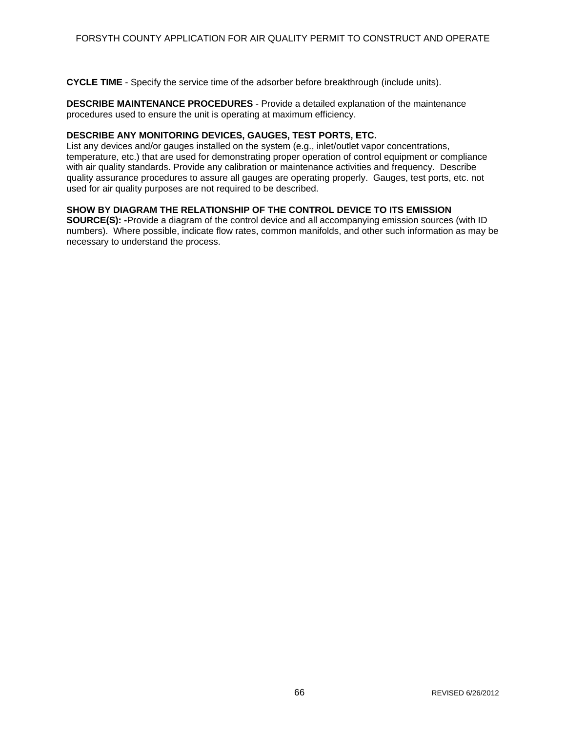**CYCLE TIME** - Specify the service time of the adsorber before breakthrough (include units).

**DESCRIBE MAINTENANCE PROCEDURES** - Provide a detailed explanation of the maintenance procedures used to ensure the unit is operating at maximum efficiency.

#### **DESCRIBE ANY MONITORING DEVICES, GAUGES, TEST PORTS, ETC.**

List any devices and/or gauges installed on the system (e.g., inlet/outlet vapor concentrations, temperature, etc.) that are used for demonstrating proper operation of control equipment or compliance with air quality standards. Provide any calibration or maintenance activities and frequency. Describe quality assurance procedures to assure all gauges are operating properly. Gauges, test ports, etc. not used for air quality purposes are not required to be described.

## **SHOW BY DIAGRAM THE RELATIONSHIP OF THE CONTROL DEVICE TO ITS EMISSION**

**SOURCE(S): -**Provide a diagram of the control device and all accompanying emission sources (with ID numbers). Where possible, indicate flow rates, common manifolds, and other such information as may be necessary to understand the process.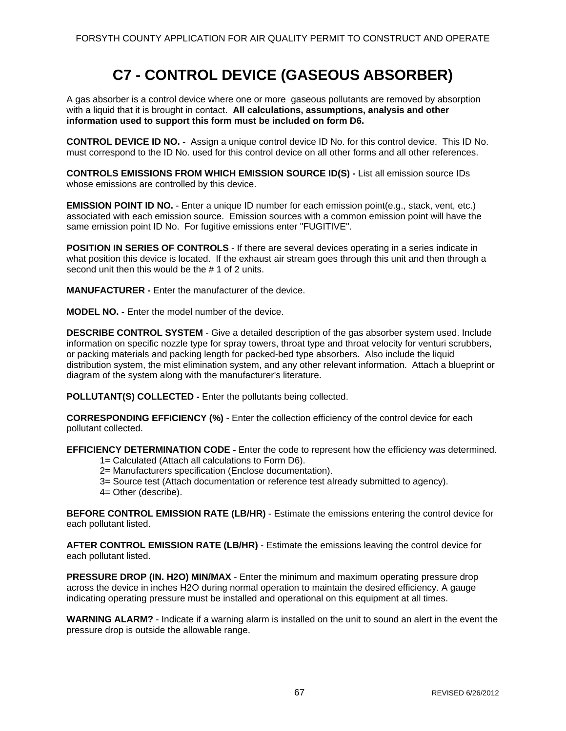# **C7 - CONTROL DEVICE (GASEOUS ABSORBER)**

A gas absorber is a control device where one or more gaseous pollutants are removed by absorption with a liquid that it is brought in contact. **All calculations, assumptions, analysis and other information used to support this form must be included on form D6.** 

**CONTROL DEVICE ID NO. -** Assign a unique control device ID No. for this control device. This ID No. must correspond to the ID No. used for this control device on all other forms and all other references.

**CONTROLS EMISSIONS FROM WHICH EMISSION SOURCE ID(S) -** List all emission source IDs whose emissions are controlled by this device.

**EMISSION POINT ID NO.** - Enter a unique ID number for each emission point(e.g., stack, vent, etc.) associated with each emission source. Emission sources with a common emission point will have the same emission point ID No. For fugitive emissions enter "FUGITIVE".

**POSITION IN SERIES OF CONTROLS** - If there are several devices operating in a series indicate in what position this device is located. If the exhaust air stream goes through this unit and then through a second unit then this would be the # 1 of 2 units.

**MANUFACTURER -** Enter the manufacturer of the device.

**MODEL NO. -** Enter the model number of the device.

**DESCRIBE CONTROL SYSTEM** - Give a detailed description of the gas absorber system used. Include information on specific nozzle type for spray towers, throat type and throat velocity for venturi scrubbers, or packing materials and packing length for packed-bed type absorbers. Also include the liquid distribution system, the mist elimination system, and any other relevant information. Attach a blueprint or diagram of the system along with the manufacturer's literature.

**POLLUTANT(S) COLLECTED -** Enter the pollutants being collected.

**CORRESPONDING EFFICIENCY (%)** - Enter the collection efficiency of the control device for each pollutant collected.

**EFFICIENCY DETERMINATION CODE -** Enter the code to represent how the efficiency was determined.

- 1= Calculated (Attach all calculations to Form D6).
- 2= Manufacturers specification (Enclose documentation).
- 3= Source test (Attach documentation or reference test already submitted to agency).
- 4= Other (describe).

**BEFORE CONTROL EMISSION RATE (LB/HR)** - Estimate the emissions entering the control device for each pollutant listed.

**AFTER CONTROL EMISSION RATE (LB/HR)** - Estimate the emissions leaving the control device for each pollutant listed.

**PRESSURE DROP (IN. H2O) MIN/MAX** - Enter the minimum and maximum operating pressure drop across the device in inches H2O during normal operation to maintain the desired efficiency. A gauge indicating operating pressure must be installed and operational on this equipment at all times.

**WARNING ALARM?** - Indicate if a warning alarm is installed on the unit to sound an alert in the event the pressure drop is outside the allowable range.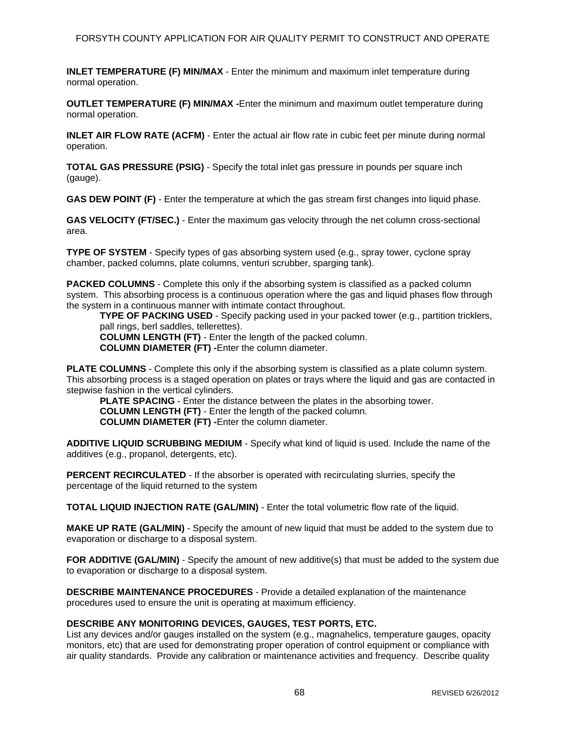**INLET TEMPERATURE (F) MIN/MAX** - Enter the minimum and maximum inlet temperature during normal operation.

**OUTLET TEMPERATURE (F) MIN/MAX -**Enter the minimum and maximum outlet temperature during normal operation.

**INLET AIR FLOW RATE (ACFM)** - Enter the actual air flow rate in cubic feet per minute during normal operation.

**TOTAL GAS PRESSURE (PSIG)** - Specify the total inlet gas pressure in pounds per square inch (gauge).

**GAS DEW POINT (F)** - Enter the temperature at which the gas stream first changes into liquid phase.

**GAS VELOCITY (FT/SEC.)** - Enter the maximum gas velocity through the net column cross-sectional area.

**TYPE OF SYSTEM** - Specify types of gas absorbing system used (e.g., spray tower, cyclone spray chamber, packed columns, plate columns, venturi scrubber, sparging tank).

**PACKED COLUMNS** - Complete this only if the absorbing system is classified as a packed column system. This absorbing process is a continuous operation where the gas and liquid phases flow through the system in a continuous manner with intimate contact throughout.

**TYPE OF PACKING USED** - Specify packing used in your packed tower (e.g., partition tricklers, pall rings, berl saddles, tellerettes).

**COLUMN LENGTH (FT)** - Enter the length of the packed column.

**COLUMN DIAMETER (FT) -**Enter the column diameter.

**PLATE COLUMNS** - Complete this only if the absorbing system is classified as a plate column system. This absorbing process is a staged operation on plates or trays where the liquid and gas are contacted in stepwise fashion in the vertical cylinders.

**PLATE SPACING** - Enter the distance between the plates in the absorbing tower. **COLUMN LENGTH (FT)** - Enter the length of the packed column. **COLUMN DIAMETER (FT) -**Enter the column diameter.

**ADDITIVE LIQUID SCRUBBING MEDIUM** - Specify what kind of liquid is used. Include the name of the additives (e.g., propanol, detergents, etc).

**PERCENT RECIRCULATED** - If the absorber is operated with recirculating slurries, specify the percentage of the liquid returned to the system

**TOTAL LIQUID INJECTION RATE (GAL/MIN)** - Enter the total volumetric flow rate of the liquid.

**MAKE UP RATE (GAL/MIN)** - Specify the amount of new liquid that must be added to the system due to evaporation or discharge to a disposal system.

**FOR ADDITIVE (GAL/MIN)** - Specify the amount of new additive(s) that must be added to the system due to evaporation or discharge to a disposal system.

**DESCRIBE MAINTENANCE PROCEDURES** - Provide a detailed explanation of the maintenance procedures used to ensure the unit is operating at maximum efficiency.

### **DESCRIBE ANY MONITORING DEVICES, GAUGES, TEST PORTS, ETC.**

List any devices and/or gauges installed on the system (e.g., magnahelics, temperature gauges, opacity monitors, etc) that are used for demonstrating proper operation of control equipment or compliance with air quality standards. Provide any calibration or maintenance activities and frequency. Describe quality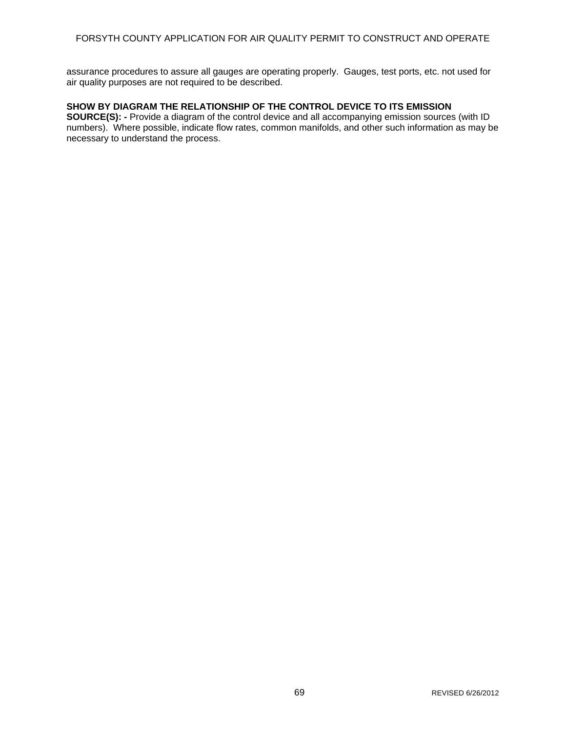assurance procedures to assure all gauges are operating properly. Gauges, test ports, etc. not used for air quality purposes are not required to be described.

### **SHOW BY DIAGRAM THE RELATIONSHIP OF THE CONTROL DEVICE TO ITS EMISSION**

**SOURCE(S): -** Provide a diagram of the control device and all accompanying emission sources (with ID numbers). Where possible, indicate flow rates, common manifolds, and other such information as may be necessary to understand the process.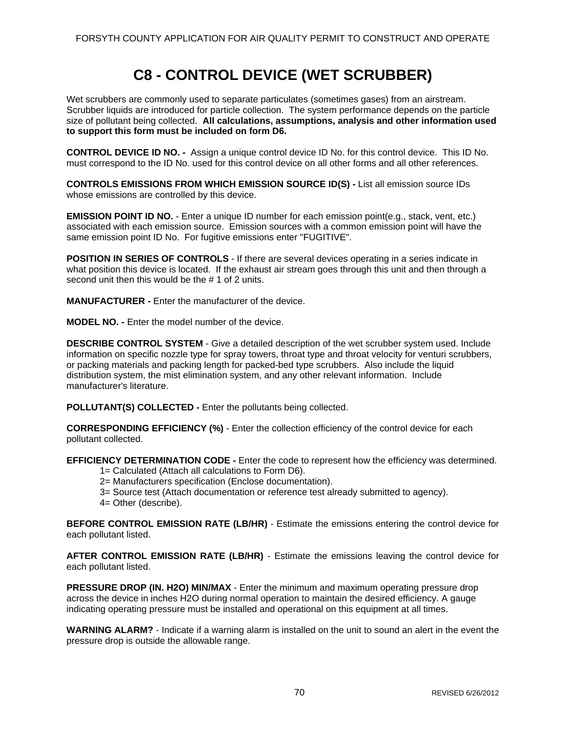# **C8 - CONTROL DEVICE (WET SCRUBBER)**

Wet scrubbers are commonly used to separate particulates (sometimes gases) from an airstream. Scrubber liquids are introduced for particle collection. The system performance depends on the particle size of pollutant being collected. **All calculations, assumptions, analysis and other information used to support this form must be included on form D6.** 

**CONTROL DEVICE ID NO. -** Assign a unique control device ID No. for this control device. This ID No. must correspond to the ID No. used for this control device on all other forms and all other references.

**CONTROLS EMISSIONS FROM WHICH EMISSION SOURCE ID(S) -** List all emission source IDs whose emissions are controlled by this device.

**EMISSION POINT ID NO.** - Enter a unique ID number for each emission point(e.g., stack, vent, etc.) associated with each emission source. Emission sources with a common emission point will have the same emission point ID No. For fugitive emissions enter "FUGITIVE".

**POSITION IN SERIES OF CONTROLS** - If there are several devices operating in a series indicate in what position this device is located. If the exhaust air stream goes through this unit and then through a second unit then this would be the # 1 of 2 units.

**MANUFACTURER -** Enter the manufacturer of the device.

**MODEL NO. -** Enter the model number of the device.

**DESCRIBE CONTROL SYSTEM** - Give a detailed description of the wet scrubber system used. Include information on specific nozzle type for spray towers, throat type and throat velocity for venturi scrubbers, or packing materials and packing length for packed-bed type scrubbers. Also include the liquid distribution system, the mist elimination system, and any other relevant information. Include manufacturer's literature.

**POLLUTANT(S) COLLECTED -** Enter the pollutants being collected.

**CORRESPONDING EFFICIENCY (%)** - Enter the collection efficiency of the control device for each pollutant collected.

**EFFICIENCY DETERMINATION CODE -** Enter the code to represent how the efficiency was determined.

- 1= Calculated (Attach all calculations to Form D6).
- 2= Manufacturers specification (Enclose documentation).
- 3= Source test (Attach documentation or reference test already submitted to agency).
- 4= Other (describe).

**BEFORE CONTROL EMISSION RATE (LB/HR)** - Estimate the emissions entering the control device for each pollutant listed.

**AFTER CONTROL EMISSION RATE (LB/HR)** - Estimate the emissions leaving the control device for each pollutant listed.

**PRESSURE DROP (IN. H2O) MIN/MAX** - Enter the minimum and maximum operating pressure drop across the device in inches H2O during normal operation to maintain the desired efficiency. A gauge indicating operating pressure must be installed and operational on this equipment at all times.

**WARNING ALARM?** - Indicate if a warning alarm is installed on the unit to sound an alert in the event the pressure drop is outside the allowable range.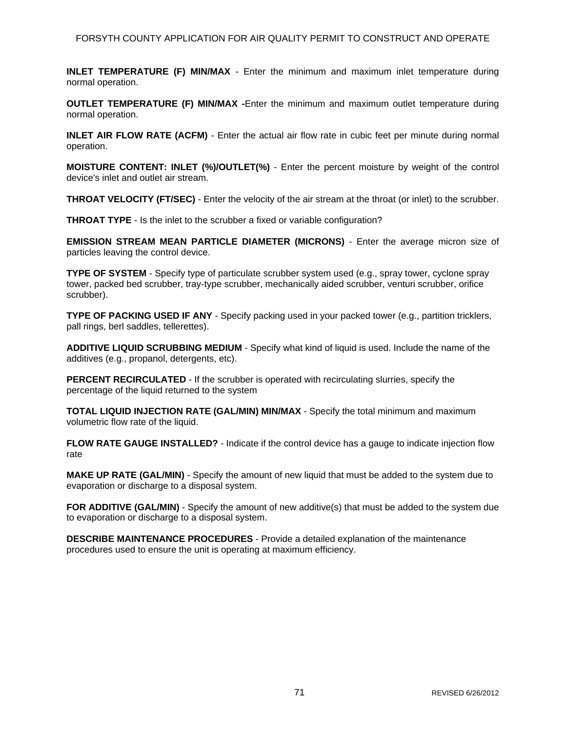**INLET TEMPERATURE (F) MIN/MAX** - Enter the minimum and maximum inlet temperature during normal operation.

**OUTLET TEMPERATURE (F) MIN/MAX -**Enter the minimum and maximum outlet temperature during normal operation.

**INLET AIR FLOW RATE (ACFM)** - Enter the actual air flow rate in cubic feet per minute during normal operation.

**MOISTURE CONTENT: INLET (%)/OUTLET(%)** - Enter the percent moisture by weight of the control device's inlet and outlet air stream.

**THROAT VELOCITY (FT/SEC)** - Enter the velocity of the air stream at the throat (or inlet) to the scrubber.

**THROAT TYPE** - Is the inlet to the scrubber a fixed or variable configuration?

**EMISSION STREAM MEAN PARTICLE DIAMETER (MICRONS)** - Enter the average micron size of particles leaving the control device.

**TYPE OF SYSTEM** - Specify type of particulate scrubber system used (e.g., spray tower, cyclone spray tower, packed bed scrubber, tray-type scrubber, mechanically aided scrubber, venturi scrubber, orifice scrubber).

**TYPE OF PACKING USED IF ANY** - Specify packing used in your packed tower (e.g., partition tricklers, pall rings, berl saddles, tellerettes).

**ADDITIVE LIQUID SCRUBBING MEDIUM** - Specify what kind of liquid is used. Include the name of the additives (e.g., propanol, detergents, etc).

**PERCENT RECIRCULATED** - If the scrubber is operated with recirculating slurries, specify the percentage of the liquid returned to the system

**TOTAL LIQUID INJECTION RATE (GAL/MIN) MIN/MAX** - Specify the total minimum and maximum volumetric flow rate of the liquid.

**FLOW RATE GAUGE INSTALLED?** - Indicate if the control device has a gauge to indicate injection flow rate

**MAKE UP RATE (GAL/MIN)** - Specify the amount of new liquid that must be added to the system due to evaporation or discharge to a disposal system.

**FOR ADDITIVE (GAL/MIN)** - Specify the amount of new additive(s) that must be added to the system due to evaporation or discharge to a disposal system.

**DESCRIBE MAINTENANCE PROCEDURES** - Provide a detailed explanation of the maintenance procedures used to ensure the unit is operating at maximum efficiency.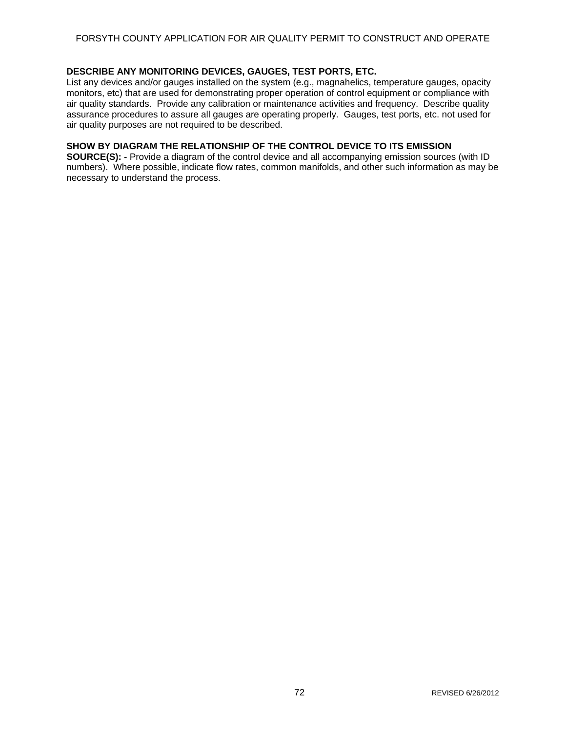### **DESCRIBE ANY MONITORING DEVICES, GAUGES, TEST PORTS, ETC.**

List any devices and/or gauges installed on the system (e.g., magnahelics, temperature gauges, opacity monitors, etc) that are used for demonstrating proper operation of control equipment or compliance with air quality standards. Provide any calibration or maintenance activities and frequency. Describe quality assurance procedures to assure all gauges are operating properly. Gauges, test ports, etc. not used for air quality purposes are not required to be described.

### **SHOW BY DIAGRAM THE RELATIONSHIP OF THE CONTROL DEVICE TO ITS EMISSION**

**SOURCE(S): -** Provide a diagram of the control device and all accompanying emission sources (with ID numbers). Where possible, indicate flow rates, common manifolds, and other such information as may be necessary to understand the process.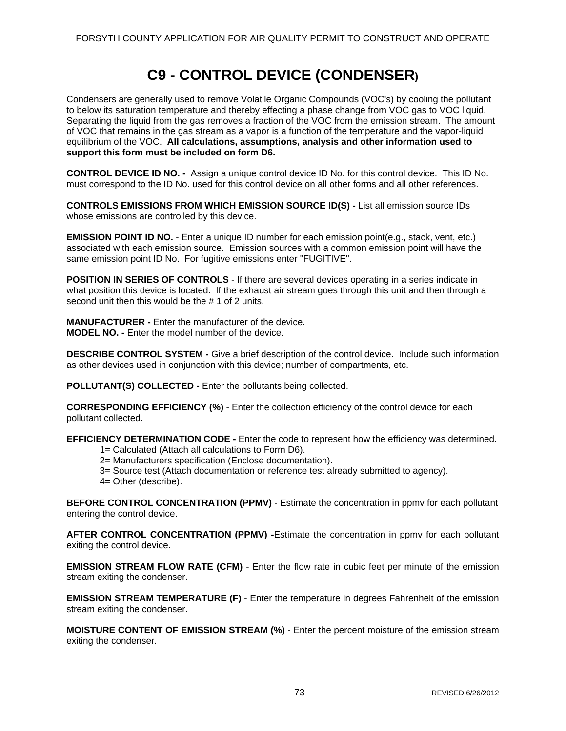# **C9 - CONTROL DEVICE (CONDENSER)**

Condensers are generally used to remove Volatile Organic Compounds (VOC's) by cooling the pollutant to below its saturation temperature and thereby effecting a phase change from VOC gas to VOC liquid. Separating the liquid from the gas removes a fraction of the VOC from the emission stream. The amount of VOC that remains in the gas stream as a vapor is a function of the temperature and the vapor-liquid equilibrium of the VOC. **All calculations, assumptions, analysis and other information used to support this form must be included on form D6.** 

**CONTROL DEVICE ID NO. -** Assign a unique control device ID No. for this control device. This ID No. must correspond to the ID No. used for this control device on all other forms and all other references.

**CONTROLS EMISSIONS FROM WHICH EMISSION SOURCE ID(S) -** List all emission source IDs whose emissions are controlled by this device.

**EMISSION POINT ID NO.** - Enter a unique ID number for each emission point(e.g., stack, vent, etc.) associated with each emission source. Emission sources with a common emission point will have the same emission point ID No. For fugitive emissions enter "FUGITIVE".

**POSITION IN SERIES OF CONTROLS** - If there are several devices operating in a series indicate in what position this device is located. If the exhaust air stream goes through this unit and then through a second unit then this would be the # 1 of 2 units.

**MANUFACTURER -** Enter the manufacturer of the device. **MODEL NO. -** Enter the model number of the device.

**DESCRIBE CONTROL SYSTEM -** Give a brief description of the control device. Include such information as other devices used in conjunction with this device; number of compartments, etc.

**POLLUTANT(S) COLLECTED -** Enter the pollutants being collected.

**CORRESPONDING EFFICIENCY (%)** - Enter the collection efficiency of the control device for each pollutant collected.

**EFFICIENCY DETERMINATION CODE -** Enter the code to represent how the efficiency was determined.

- 1= Calculated (Attach all calculations to Form D6).
- 2= Manufacturers specification (Enclose documentation).
- 3= Source test (Attach documentation or reference test already submitted to agency).
- 4= Other (describe).

**BEFORE CONTROL CONCENTRATION (PPMV)** - Estimate the concentration in ppmv for each pollutant entering the control device.

**AFTER CONTROL CONCENTRATION (PPMV) -**Estimate the concentration in ppmv for each pollutant exiting the control device.

**EMISSION STREAM FLOW RATE (CFM)** - Enter the flow rate in cubic feet per minute of the emission stream exiting the condenser.

**EMISSION STREAM TEMPERATURE (F)** - Enter the temperature in degrees Fahrenheit of the emission stream exiting the condenser.

**MOISTURE CONTENT OF EMISSION STREAM (%)** - Enter the percent moisture of the emission stream exiting the condenser.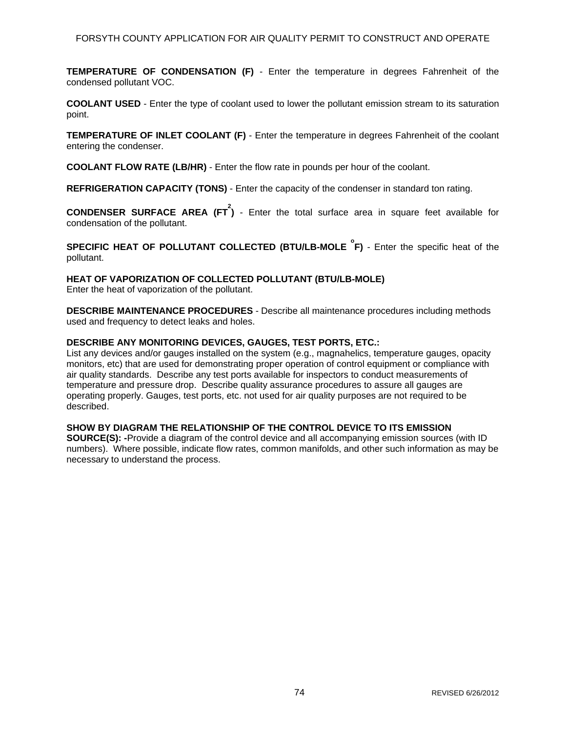**TEMPERATURE OF CONDENSATION (F)** - Enter the temperature in degrees Fahrenheit of the condensed pollutant VOC.

**COOLANT USED** - Enter the type of coolant used to lower the pollutant emission stream to its saturation point.

**TEMPERATURE OF INLET COOLANT (F)** - Enter the temperature in degrees Fahrenheit of the coolant entering the condenser.

**COOLANT FLOW RATE (LB/HR)** - Enter the flow rate in pounds per hour of the coolant.

**REFRIGERATION CAPACITY (TONS)** - Enter the capacity of the condenser in standard ton rating.

**CONDENSER SURFACE AREA (FT 2 )** - Enter the total surface area in square feet available for condensation of the pollutant.

**SPECIFIC HEAT OF POLLUTANT COLLECTED (BTU/LB-MOLE**  ${}^{\circ}$ **F) - Enter the specific heat of the** pollutant.

### **HEAT OF VAPORIZATION OF COLLECTED POLLUTANT (BTU/LB-MOLE)**

Enter the heat of vaporization of the pollutant.

**DESCRIBE MAINTENANCE PROCEDURES** - Describe all maintenance procedures including methods used and frequency to detect leaks and holes.

### **DESCRIBE ANY MONITORING DEVICES, GAUGES, TEST PORTS, ETC.:**

List any devices and/or gauges installed on the system (e.g., magnahelics, temperature gauges, opacity monitors, etc) that are used for demonstrating proper operation of control equipment or compliance with air quality standards. Describe any test ports available for inspectors to conduct measurements of temperature and pressure drop. Describe quality assurance procedures to assure all gauges are operating properly. Gauges, test ports, etc. not used for air quality purposes are not required to be described.

### **SHOW BY DIAGRAM THE RELATIONSHIP OF THE CONTROL DEVICE TO ITS EMISSION**

**SOURCE(S): -**Provide a diagram of the control device and all accompanying emission sources (with ID numbers). Where possible, indicate flow rates, common manifolds, and other such information as may be necessary to understand the process.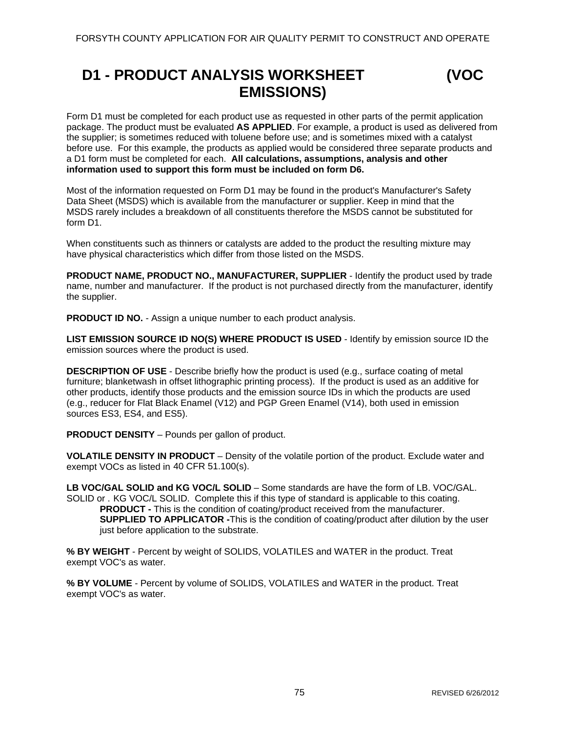# **D1 - PRODUCT ANALYSIS WORKSHEET (VOC EMISSIONS)**



Form D1 must be completed for each product use as requested in other parts of the permit application package. The product must be evaluated **AS APPLIED**. For example, a product is used as delivered from the supplier; is sometimes reduced with toluene before use; and is sometimes mixed with a catalyst before use. For this example, the products as applied would be considered three separate products and a D1 form must be completed for each. **All calculations, assumptions, analysis and other information used to support this form must be included on form D6.** 

Most of the information requested on Form D1 may be found in the product's Manufacturer's Safety Data Sheet (MSDS) which is available from the manufacturer or supplier. Keep in mind that the MSDS rarely includes a breakdown of all constituents therefore the MSDS cannot be substituted for form D1.

When constituents such as thinners or catalysts are added to the product the resulting mixture may have physical characteristics which differ from those listed on the MSDS.

**PRODUCT NAME, PRODUCT NO., MANUFACTURER, SUPPLIER** - Identify the product used by trade name, number and manufacturer. If the product is not purchased directly from the manufacturer, identify the supplier.

**PRODUCT ID NO.** - Assign a unique number to each product analysis.

**LIST EMISSION SOURCE ID NO(S) WHERE PRODUCT IS USED** - Identify by emission source ID the emission sources where the product is used.

**DESCRIPTION OF USE** - Describe briefly how the product is used (e.g., surface coating of metal furniture; blanketwash in offset lithographic printing process). If the product is used as an additive for other products, identify those products and the emission source IDs in which the products are used (e.g., reducer for Flat Black Enamel (V12) and PGP Green Enamel (V14), both used in emission sources ES3, ES4, and ES5).

**PRODUCT DENSITY** – Pounds per gallon of product.

**VOLATILE DENSITY IN PRODUCT** – Density of the volatile portion of the product. Exclude water and exempt VOCs as listed in 40 CFR 51.100(s).

LB VOC/GAL SOLID and KG VOC/L SOLID – Some standards are have the form of LB. VOC/GAL. SOLID or . KG VOC/L SOLID. Complete this if this type of standard is applicable to this coating. **PRODUCT -** This is the condition of coating/product received from the manufacturer. **SUPPLIED TO APPLICATOR -This is the condition of coating/product after dilution by the user** just before application to the substrate.

**% BY WEIGHT** - Percent by weight of SOLIDS, VOLATILES and WATER in the product. Treat exempt VOC's as water.

**% BY VOLUME** - Percent by volume of SOLIDS, VOLATILES and WATER in the product. Treat exempt VOC's as water.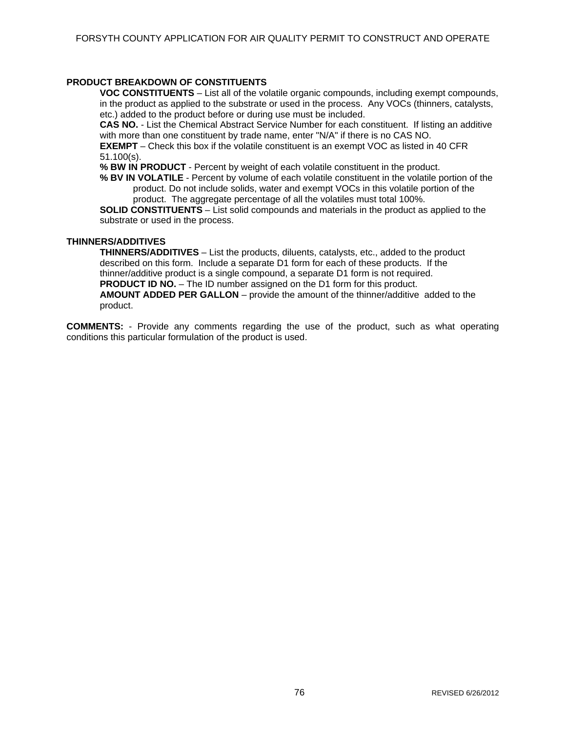### **PRODUCT BREAKDOWN OF CONSTITUENTS**

**VOC CONSTITUENTS** – List all of the volatile organic compounds, including exempt compounds, in the product as applied to the substrate or used in the process. Any VOCs (thinners, catalysts, etc.) added to the product before or during use must be included.

**CAS NO.** - List the Chemical Abstract Service Number for each constituent. If listing an additive with more than one constituent by trade name, enter "N/A" if there is no CAS NO.

**EXEMPT** – Check this box if the volatile constituent is an exempt VOC as listed in 40 CFR 51.100(s).

**% BW IN PRODUCT** - Percent by weight of each volatile constituent in the product.

**% BV IN VOLATILE** - Percent by volume of each volatile constituent in the volatile portion of the product. Do not include solids, water and exempt VOCs in this volatile portion of the product. The aggregate percentage of all the volatiles must total 100%.

**SOLID CONSTITUENTS** – List solid compounds and materials in the product as applied to the substrate or used in the process.

#### **THINNERS/ADDITIVES**

**THINNERS/ADDITIVES** – List the products, diluents, catalysts, etc., added to the product described on this form. Include a separate D1 form for each of these products. If the thinner/additive product is a single compound, a separate D1 form is not required. **PRODUCT ID NO.** – The ID number assigned on the D1 form for this product. **AMOUNT ADDED PER GALLON** – provide the amount of the thinner/additive added to the product.

**COMMENTS:** - Provide any comments regarding the use of the product, such as what operating conditions this particular formulation of the product is used.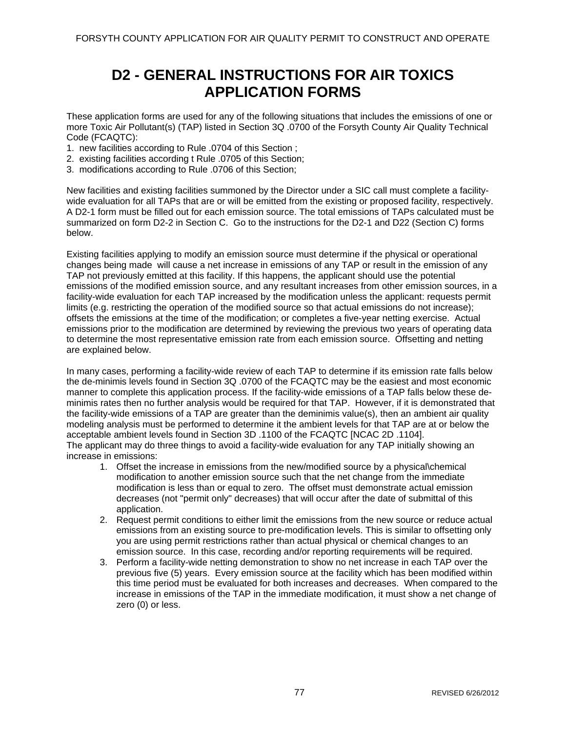### **D2 - GENERAL INSTRUCTIONS FOR AIR TOXICS APPLICATION FORMS**

These application forms are used for any of the following situations that includes the emissions of one or more Toxic Air Pollutant(s) (TAP) listed in Section 3Q .0700 of the Forsyth County Air Quality Technical Code (FCAQTC):

- 1. new facilities according to Rule .0704 of this Section ;
- 2. existing facilities according t Rule .0705 of this Section;
- 3. modifications according to Rule .0706 of this Section;

New facilities and existing facilities summoned by the Director under a SIC call must complete a facilitywide evaluation for all TAPs that are or will be emitted from the existing or proposed facility, respectively. A D2-1 form must be filled out for each emission source. The total emissions of TAPs calculated must be summarized on form D2-2 in Section C. Go to the instructions for the D2-1 and D22 (Section C) forms below.

Existing facilities applying to modify an emission source must determine if the physical or operational changes being made will cause a net increase in emissions of any TAP or result in the emission of any TAP not previously emitted at this facility. If this happens, the applicant should use the potential emissions of the modified emission source, and any resultant increases from other emission sources, in a facility-wide evaluation for each TAP increased by the modification unless the applicant: requests permit limits (e.g. restricting the operation of the modified source so that actual emissions do not increase); offsets the emissions at the time of the modification; or completes a five-year netting exercise. Actual emissions prior to the modification are determined by reviewing the previous two years of operating data to determine the most representative emission rate from each emission source. Offsetting and netting are explained below.

In many cases, performing a facility-wide review of each TAP to determine if its emission rate falls below the de-minimis levels found in Section 3Q .0700 of the FCAQTC may be the easiest and most economic manner to complete this application process. If the facility-wide emissions of a TAP falls below these deminimis rates then no further analysis would be required for that TAP. However, if it is demonstrated that the facility-wide emissions of a TAP are greater than the deminimis value(s), then an ambient air quality modeling analysis must be performed to determine it the ambient levels for that TAP are at or below the acceptable ambient levels found in Section 3D .1100 of the FCAQTC [NCAC 2D .1104]. The applicant may do three things to avoid a facility-wide evaluation for any TAP initially showing an increase in emissions:

- 1. Offset the increase in emissions from the new/modified source by a physical\chemical modification to another emission source such that the net change from the immediate modification is less than or equal to zero. The offset must demonstrate actual emission decreases (not "permit only" decreases) that will occur after the date of submittal of this application.
- 2. Request permit conditions to either limit the emissions from the new source or reduce actual emissions from an existing source to pre-modification levels. This is similar to offsetting only you are using permit restrictions rather than actual physical or chemical changes to an emission source. In this case, recording and/or reporting requirements will be required.
- 3. Perform a facility-wide netting demonstration to show no net increase in each TAP over the previous five (5) years. Every emission source at the facility which has been modified within this time period must be evaluated for both increases and decreases. When compared to the increase in emissions of the TAP in the immediate modification, it must show a net change of zero (0) or less.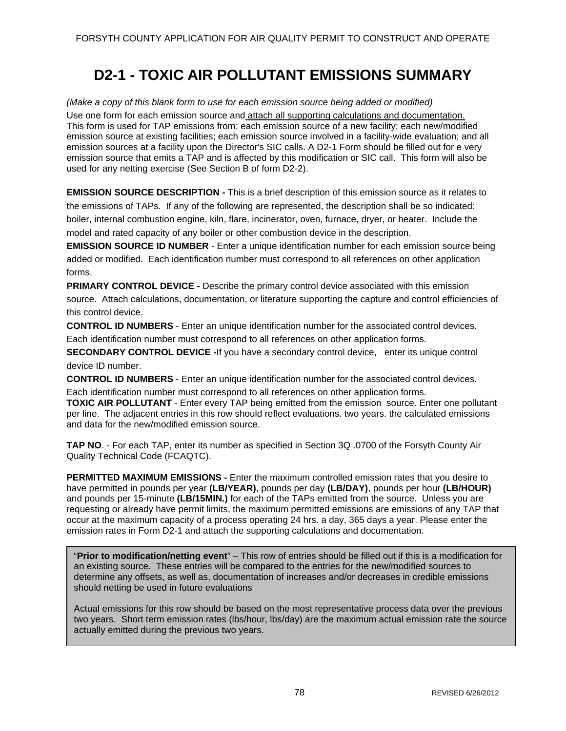# **D2-1 - TOXIC AIR POLLUTANT EMISSIONS SUMMARY**

*(Make a copy of this blank form to use for each emission source being added or modified)*  Use one form for each emission source and attach all supporting calculations and documentation. This form is used for TAP emissions from: each emission source of a new facility; each new/modified emission source at existing facilities; each emission source involved in a facility-wide evaluation; and all emission sources at a facility upon the Director's SIC calls. A D2-1 Form should be filled out for e very emission source that emits a TAP and is affected by this modification or SIC call. This form will also be used for any netting exercise (See Section B of form D2-2).

**EMISSION SOURCE DESCRIPTION -** This is a brief description of this emission source as it relates to the emissions of TAPs. If any of the following are represented, the description shall be so indicated: boiler, internal combustion engine, kiln, flare, incinerator, oven, furnace, dryer, or heater. Include the model and rated capacity of any boiler or other combustion device in the description.

**EMISSION SOURCE ID NUMBER** - Enter a unique identification number for each emission source being added or modified. Each identification number must correspond to all references on other application forms.

**PRIMARY CONTROL DEVICE -** Describe the primary control device associated with this emission source. Attach calculations, documentation, or literature supporting the capture and control efficiencies of this control device.

**CONTROL ID NUMBERS** - Enter an unique identification number for the associated control devices. Each identification number must correspond to all references on other application forms.

**SECONDARY CONTROL DEVICE -**If you have a secondary control device, enter its unique control device ID number.

**CONTROL ID NUMBERS** - Enter an unique identification number for the associated control devices.

Each identification number must correspond to all references on other application forms. **TOXIC AIR POLLUTANT** - Enter every TAP being emitted from the emission source. Enter one pollutant per line. The adjacent entries in this row should reflect evaluations. two years. the calculated emissions and data for the new/modified emission source.

**TAP NO**. - For each TAP, enter its number as specified in Section 3Q .0700 of the Forsyth County Air Quality Technical Code (FCAQTC).

**PERMITTED MAXIMUM EMISSIONS -** Enter the maximum controlled emission rates that you desire to have permitted in pounds per year **(LB/YEAR)**, pounds per day **(LB/DAY)**, pounds per hour **(LB/HOUR)** and pounds per 15-minute **(LB/15MIN.)** for each of the TAPs emitted from the source. Unless you are requesting or already have permit limits, the maximum permitted emissions are emissions of any TAP that occur at the maximum capacity of a process operating 24 hrs. a day, 365 days a year. Please enter the emission rates in Form D2-1 and attach the supporting calculations and documentation.

"**Prior to modification/netting event**" – This row of entries should be filled out if this is a modification for an existing source. These entries will be compared to the entries for the new/modified sources to determine any offsets, as well as, documentation of increases and/or decreases in credible emissions should netting be used in future evaluations

Actual emissions for this row should be based on the most representative process data over the previous two years. Short term emission rates (lbs/hour, lbs/day) are the maximum actual emission rate the source actually emitted during the previous two years.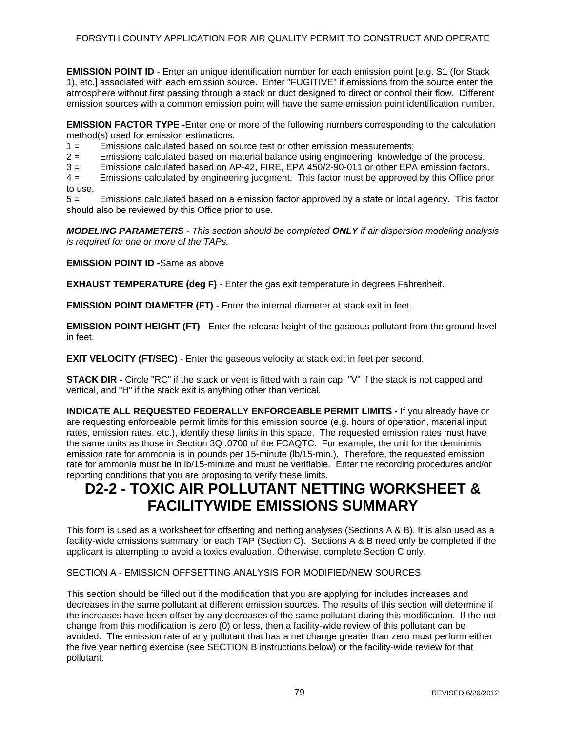**EMISSION POINT ID** - Enter an unique identification number for each emission point [e.g. S1 (for Stack 1), etc.] associated with each emission source. Enter "FUGITIVE" if emissions from the source enter the atmosphere without first passing through a stack or duct designed to direct or control their flow. Different emission sources with a common emission point will have the same emission point identification number.

**EMISSION FACTOR TYPE -**Enter one or more of the following numbers corresponding to the calculation method(s) used for emission estimations.

1 = Emissions calculated based on source test or other emission measurements;

2 = Emissions calculated based on material balance using engineering knowledge of the process.

3 = Emissions calculated based on AP-42, FIRE, EPA 450/2-90-011 or other EPA emission factors.

4 = Emissions calculated by engineering judgment. This factor must be approved by this Office prior to use.

5 = Emissions calculated based on a emission factor approved by a state or local agency. This factor should also be reviewed by this Office prior to use.

*MODELING PARAMETERS - This section should be completed ONLY if air dispersion modeling analysis is required for one or more of the TAPs.* 

**EMISSION POINT ID -**Same as above

**EXHAUST TEMPERATURE (deg F)** - Enter the gas exit temperature in degrees Fahrenheit.

**EMISSION POINT DIAMETER (FT)** - Enter the internal diameter at stack exit in feet.

**EMISSION POINT HEIGHT (FT)** - Enter the release height of the gaseous pollutant from the ground level in feet.

**EXIT VELOCITY (FT/SEC)** - Enter the gaseous velocity at stack exit in feet per second.

**STACK DIR -** Circle "RC" if the stack or vent is fitted with a rain cap, "V" if the stack is not capped and vertical, and "H" if the stack exit is anything other than vertical.

**INDICATE ALL REQUESTED FEDERALLY ENFORCEABLE PERMIT LIMITS -** If you already have or are requesting enforceable permit limits for this emission source (e.g. hours of operation, material input rates, emission rates, etc.), identify these limits in this space. The requested emission rates must have the same units as those in Section 3Q .0700 of the FCAQTC. For example, the unit for the deminimis emission rate for ammonia is in pounds per 15-minute (lb/15-min.). Therefore, the requested emission rate for ammonia must be in lb/15-minute and must be verifiable. Enter the recording procedures and/or reporting conditions that you are proposing to verify these limits.

### **D2-2 - TOXIC AIR POLLUTANT NETTING WORKSHEET & FACILITYWIDE EMISSIONS SUMMARY**

This form is used as a worksheet for offsetting and netting analyses (Sections A & B). It is also used as a facility-wide emissions summary for each TAP (Section C). Sections A & B need only be completed if the applicant is attempting to avoid a toxics evaluation. Otherwise, complete Section C only.

#### SECTION A - EMISSION OFFSETTING ANALYSIS FOR MODIFIED/NEW SOURCES

This section should be filled out if the modification that you are applying for includes increases and decreases in the same pollutant at different emission sources. The results of this section will determine if the increases have been offset by any decreases of the same pollutant during this modification. If the net change from this modification is zero (0) or less, then a facility-wide review of this pollutant can be avoided. The emission rate of any pollutant that has a net change greater than zero must perform either the five year netting exercise (see SECTION B instructions below) or the facility-wide review for that pollutant.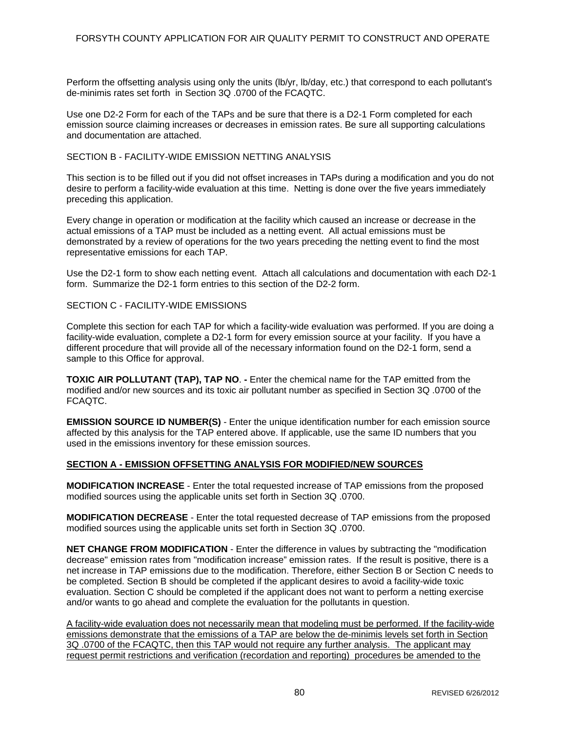Perform the offsetting analysis using only the units (lb/yr, lb/day, etc.) that correspond to each pollutant's de-minimis rates set forth in Section 3Q .0700 of the FCAQTC.

Use one D2-2 Form for each of the TAPs and be sure that there is a D2-1 Form completed for each emission source claiming increases or decreases in emission rates. Be sure all supporting calculations and documentation are attached.

#### SECTION B - FACILITY-WIDE EMISSION NETTING ANALYSIS

This section is to be filled out if you did not offset increases in TAPs during a modification and you do not desire to perform a facility-wide evaluation at this time. Netting is done over the five years immediately preceding this application.

Every change in operation or modification at the facility which caused an increase or decrease in the actual emissions of a TAP must be included as a netting event. All actual emissions must be demonstrated by a review of operations for the two years preceding the netting event to find the most representative emissions for each TAP.

Use the D2-1 form to show each netting event. Attach all calculations and documentation with each D2-1 form. Summarize the D2-1 form entries to this section of the D2-2 form.

#### SECTION C - FACILITY-WIDE EMISSIONS

Complete this section for each TAP for which a facility-wide evaluation was performed. If you are doing a facility-wide evaluation, complete a D2-1 form for every emission source at your facility. If you have a different procedure that will provide all of the necessary information found on the D2-1 form, send a sample to this Office for approval.

**TOXIC AIR POLLUTANT (TAP), TAP NO**. **-** Enter the chemical name for the TAP emitted from the modified and/or new sources and its toxic air pollutant number as specified in Section 3Q .0700 of the FCAQTC.

**EMISSION SOURCE ID NUMBER(S)** - Enter the unique identification number for each emission source affected by this analysis for the TAP entered above. If applicable, use the same ID numbers that you used in the emissions inventory for these emission sources.

#### **SECTION A - EMISSION OFFSETTING ANALYSIS FOR MODIFIED/NEW SOURCES**

**MODIFICATION INCREASE** - Enter the total requested increase of TAP emissions from the proposed modified sources using the applicable units set forth in Section 3Q .0700.

**MODIFICATION DECREASE** - Enter the total requested decrease of TAP emissions from the proposed modified sources using the applicable units set forth in Section 3Q .0700.

**NET CHANGE FROM MODIFICATION** - Enter the difference in values by subtracting the "modification decrease" emission rates from "modification increase" emission rates. If the result is positive, there is a net increase in TAP emissions due to the modification. Therefore, either Section B or Section C needs to be completed. Section B should be completed if the applicant desires to avoid a facility-wide toxic evaluation. Section C should be completed if the applicant does not want to perform a netting exercise and/or wants to go ahead and complete the evaluation for the pollutants in question.

A facility-wide evaluation does not necessarily mean that modeling must be performed. If the facility-wide emissions demonstrate that the emissions of a TAP are below the de-minimis levels set forth in Section 3Q .0700 of the FCAQTC, then this TAP would not require any further analysis. The applicant may request permit restrictions and verification (recordation and reporting) procedures be amended to the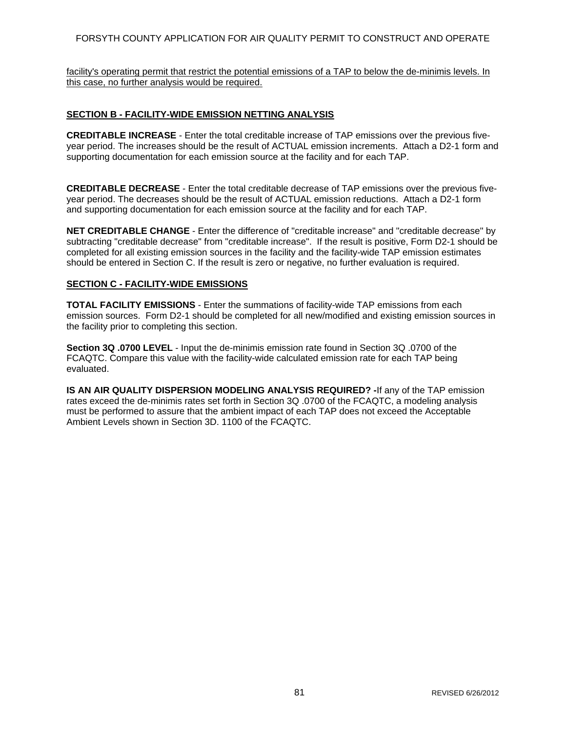### FORSYTH COUNTY APPLICATION FOR AIR QUALITY PERMIT TO CONSTRUCT AND OPERATE

facility's operating permit that restrict the potential emissions of a TAP to below the de-minimis levels. In this case, no further analysis would be required.

### **SECTION B - FACILITY-WIDE EMISSION NETTING ANALYSIS**

**CREDITABLE INCREASE** - Enter the total creditable increase of TAP emissions over the previous fiveyear period. The increases should be the result of ACTUAL emission increments. Attach a D2-1 form and supporting documentation for each emission source at the facility and for each TAP.

**CREDITABLE DECREASE** - Enter the total creditable decrease of TAP emissions over the previous fiveyear period. The decreases should be the result of ACTUAL emission reductions. Attach a D2-1 form and supporting documentation for each emission source at the facility and for each TAP.

**NET CREDITABLE CHANGE** - Enter the difference of "creditable increase" and "creditable decrease" by subtracting "creditable decrease" from "creditable increase". If the result is positive, Form D2-1 should be completed for all existing emission sources in the facility and the facility-wide TAP emission estimates should be entered in Section C. If the result is zero or negative, no further evaluation is required.

#### **SECTION C - FACILITY-WIDE EMISSIONS**

**TOTAL FACILITY EMISSIONS** - Enter the summations of facility-wide TAP emissions from each emission sources. Form D2-1 should be completed for all new/modified and existing emission sources in the facility prior to completing this section.

**Section 3Q .0700 LEVEL** - Input the de-minimis emission rate found in Section 3Q .0700 of the FCAQTC. Compare this value with the facility-wide calculated emission rate for each TAP being evaluated.

**IS AN AIR QUALITY DISPERSION MODELING ANALYSIS REQUIRED? -**If any of the TAP emission rates exceed the de-minimis rates set forth in Section 3Q .0700 of the FCAQTC, a modeling analysis must be performed to assure that the ambient impact of each TAP does not exceed the Acceptable Ambient Levels shown in Section 3D. 1100 of the FCAQTC.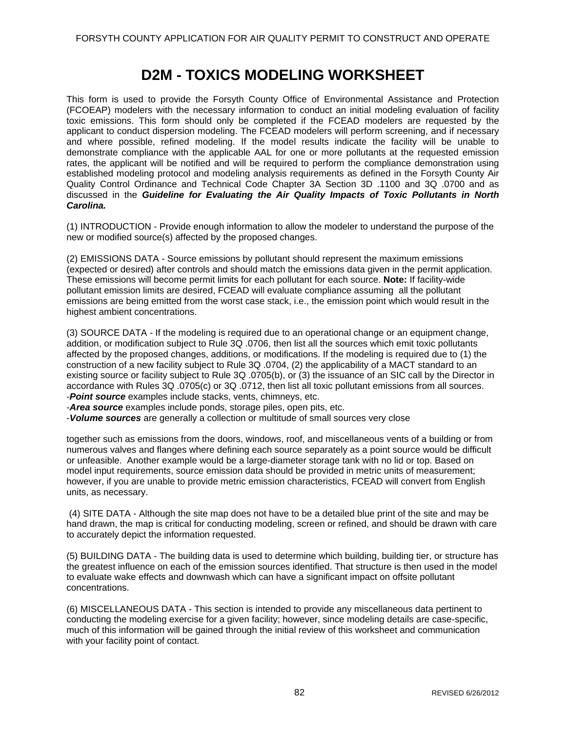### **D2M - TOXICS MODELING WORKSHEET**

This form is used to provide the Forsyth County Office of Environmental Assistance and Protection (FCOEAP) modelers with the necessary information to conduct an initial modeling evaluation of facility toxic emissions. This form should only be completed if the FCEAD modelers are requested by the applicant to conduct dispersion modeling. The FCEAD modelers will perform screening, and if necessary and where possible, refined modeling. If the model results indicate the facility will be unable to demonstrate compliance with the applicable AAL for one or more pollutants at the requested emission rates, the applicant will be notified and will be required to perform the compliance demonstration using established modeling protocol and modeling analysis requirements as defined in the Forsyth County Air Quality Control Ordinance and Technical Code Chapter 3A Section 3D .1100 and 3Q .0700 and as discussed in the *Guideline for Evaluating the Air Quality Impacts of Toxic Pollutants in North Carolina.* 

(1) INTRODUCTION - Provide enough information to allow the modeler to understand the purpose of the new or modified source(s) affected by the proposed changes.

(2) EMISSIONS DATA - Source emissions by pollutant should represent the maximum emissions (expected or desired) after controls and should match the emissions data given in the permit application. These emissions will become permit limits for each pollutant for each source. **Note:** If facility-wide pollutant emission limits are desired, FCEAD will evaluate compliance assuming all the pollutant emissions are being emitted from the worst case stack, i.e., the emission point which would result in the highest ambient concentrations.

(3) SOURCE DATA - If the modeling is required due to an operational change or an equipment change, addition, or modification subject to Rule 3Q .0706, then list all the sources which emit toxic pollutants affected by the proposed changes, additions, or modifications. If the modeling is required due to (1) the construction of a new facility subject to Rule 3Q .0704, (2) the applicability of a MACT standard to an existing source or facility subject to Rule 3Q .0705(b), or (3) the issuance of an SIC call by the Director in accordance with Rules 3Q .0705(c) or 3Q .0712, then list all toxic pollutant emissions from all sources. -*Point source* examples include stacks, vents, chimneys, etc.

-*Area source* examples include ponds, storage piles, open pits, etc.

-*Volume sources* are generally a collection or multitude of small sources very close

together such as emissions from the doors, windows, roof, and miscellaneous vents of a building or from numerous valves and flanges where defining each source separately as a point source would be difficult or unfeasible. Another example would be a large-diameter storage tank with no lid or top. Based on model input requirements, source emission data should be provided in metric units of measurement; however, if you are unable to provide metric emission characteristics, FCEAD will convert from English units, as necessary.

 (4) SITE DATA - Although the site map does not have to be a detailed blue print of the site and may be hand drawn, the map is critical for conducting modeling, screen or refined, and should be drawn with care to accurately depict the information requested.

(5) BUILDING DATA - The building data is used to determine which building, building tier, or structure has the greatest influence on each of the emission sources identified. That structure is then used in the model to evaluate wake effects and downwash which can have a significant impact on offsite pollutant concentrations.

(6) MISCELLANEOUS DATA - This section is intended to provide any miscellaneous data pertinent to conducting the modeling exercise for a given facility; however, since modeling details are case-specific, much of this information will be gained through the initial review of this worksheet and communication with your facility point of contact.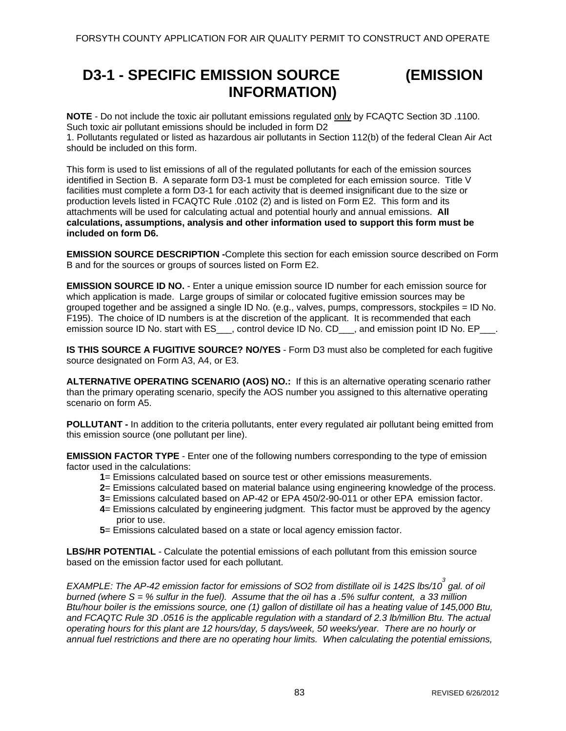### **D3-1 - SPECIFIC EMISSION SOURCE (EMISSION INFORMATION)**

**NOTE** - Do not include the toxic air pollutant emissions regulated only by FCAQTC Section 3D .1100. Such toxic air pollutant emissions should be included in form D2 1. Pollutants regulated or listed as hazardous air pollutants in Section 112(b) of the federal Clean Air Act

should be included on this form.

This form is used to list emissions of all of the regulated pollutants for each of the emission sources identified in Section B. A separate form D3-1 must be completed for each emission source. Title V facilities must complete a form D3-1 for each activity that is deemed insignificant due to the size or production levels listed in FCAQTC Rule .0102 (2) and is listed on Form E2. This form and its attachments will be used for calculating actual and potential hourly and annual emissions. **All calculations, assumptions, analysis and other information used to support this form must be included on form D6.** 

**EMISSION SOURCE DESCRIPTION -**Complete this section for each emission source described on Form B and for the sources or groups of sources listed on Form E2.

**EMISSION SOURCE ID NO.** - Enter a unique emission source ID number for each emission source for which application is made. Large groups of similar or colocated fugitive emission sources may be grouped together and be assigned a single ID No. (e.g., valves, pumps, compressors, stockpiles = ID No. F195). The choice of ID numbers is at the discretion of the applicant. It is recommended that each emission source ID No. start with ES \_\_\_, control device ID No. CD\_\_\_, and emission point ID No. EP\_\_\_.

**IS THIS SOURCE A FUGITIVE SOURCE? NO/YES** - Form D3 must also be completed for each fugitive source designated on Form A3, A4, or E3.

**ALTERNATIVE OPERATING SCENARIO (AOS) NO.:** If this is an alternative operating scenario rather than the primary operating scenario, specify the AOS number you assigned to this alternative operating scenario on form A5.

**POLLUTANT -** In addition to the criteria pollutants, enter every regulated air pollutant being emitted from this emission source (one pollutant per line).

**EMISSION FACTOR TYPE** - Enter one of the following numbers corresponding to the type of emission factor used in the calculations:

- **1**= Emissions calculated based on source test or other emissions measurements.
- **2**= Emissions calculated based on material balance using engineering knowledge of the process.
- **3**= Emissions calculated based on AP-42 or EPA 450/2-90-011 or other EPA emission factor.
- **4**= Emissions calculated by engineering judgment. This factor must be approved by the agency prior to use.
- **5**= Emissions calculated based on a state or local agency emission factor.

**LBS/HR POTENTIAL** - Calculate the potential emissions of each pollutant from this emission source based on the emission factor used for each pollutant.

*EXAMPLE: The AP-42 emission factor for emissions of SO2 from distillate oil is 142S lbs/10<sup>3</sup> gal. of oil burned (where S = % sulfur in the fuel). Assume that the oil has a .5% sulfur content, a 33 million Btu/hour boiler is the emissions source, one (1) gallon of distillate oil has a heating value of 145,000 Btu, and FCAQTC Rule 3D .0516 is the applicable regulation with a standard of 2.3 lb/million Btu. The actual operating hours for this plant are 12 hours/day, 5 days/week, 50 weeks/year. There are no hourly or annual fuel restrictions and there are no operating hour limits. When calculating the potential emissions,*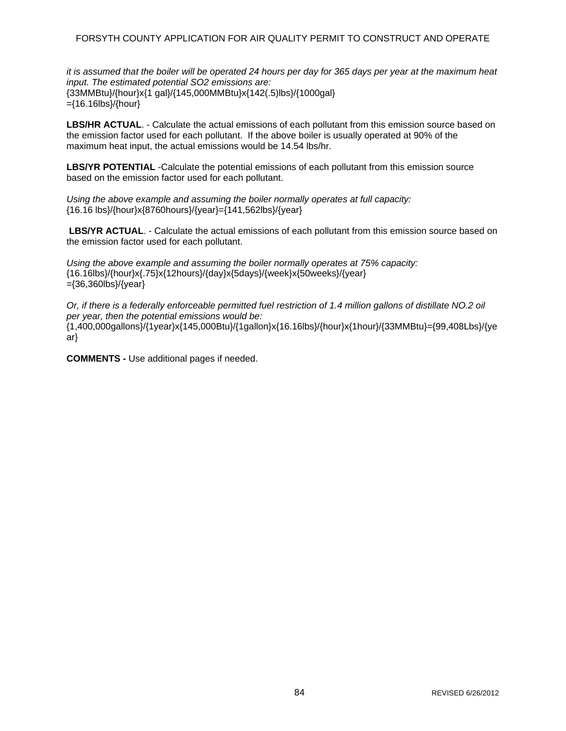### FORSYTH COUNTY APPLICATION FOR AIR QUALITY PERMIT TO CONSTRUCT AND OPERATE

*it is assumed that the boiler will be operated 24 hours per day for 365 days per year at the maximum heat input. The estimated potential SO2 emissions are:*  {33MMBtu}/{hour}x{1 gal}/{145,000MMBtu}x{142(.5)lbs}/{1000gal} ={16.16lbs}/{hour}

**LBS/HR ACTUAL**. - Calculate the actual emissions of each pollutant from this emission source based on the emission factor used for each pollutant. If the above boiler is usually operated at 90% of the maximum heat input, the actual emissions would be 14.54 lbs/hr.

**LBS/YR POTENTIAL** -Calculate the potential emissions of each pollutant from this emission source based on the emission factor used for each pollutant.

*Using the above example and assuming the boiler normally operates at full capacity:*  {16.16 lbs}/{hour}x{8760hours}/{year}={141,562lbs}/{year}

LBS/YR ACTUAL. - Calculate the actual emissions of each pollutant from this emission source based on the emission factor used for each pollutant.

*Using the above example and assuming the boiler normally operates at 75% capacity:*  {16.16lbs}/{hour}x{.75}x{12hours}/{day}x{5days}/{week}x{50weeks}/{year} ={36,360lbs}/{year}

*Or, if there is a federally enforceable permitted fuel restriction of 1.4 million gallons of distillate NO.2 oil per year, then the potential emissions would be:*  {1,400,000gallons}/{1year}x{145,000Btu}/{1gallon}x{16.16lbs}/{hour}x{1hour}/{33MMBtu}={99,408Lbs}/{ye ar}

**COMMENTS -** Use additional pages if needed.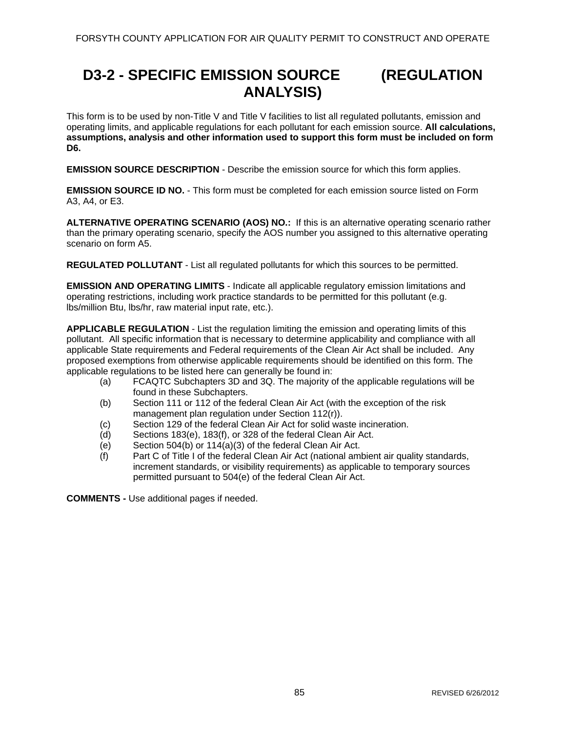# **D3-2 - SPECIFIC EMISSION SOURCE (REGULATION ANALYSIS)**

This form is to be used by non-Title V and Title V facilities to list all regulated pollutants, emission and operating limits, and applicable regulations for each pollutant for each emission source. **All calculations, assumptions, analysis and other information used to support this form must be included on form D6.** 

**EMISSION SOURCE DESCRIPTION** - Describe the emission source for which this form applies.

**EMISSION SOURCE ID NO.** - This form must be completed for each emission source listed on Form A3, A4, or E3.

**ALTERNATIVE OPERATING SCENARIO (AOS) NO.:** If this is an alternative operating scenario rather than the primary operating scenario, specify the AOS number you assigned to this alternative operating scenario on form A5.

**REGULATED POLLUTANT** - List all regulated pollutants for which this sources to be permitted.

**EMISSION AND OPERATING LIMITS** - Indicate all applicable regulatory emission limitations and operating restrictions, including work practice standards to be permitted for this pollutant (e.g. lbs/million Btu, lbs/hr, raw material input rate, etc.).

**APPLICABLE REGULATION** - List the regulation limiting the emission and operating limits of this pollutant. All specific information that is necessary to determine applicability and compliance with all applicable State requirements and Federal requirements of the Clean Air Act shall be included. Any proposed exemptions from otherwise applicable requirements should be identified on this form. The applicable regulations to be listed here can generally be found in:

- (a) FCAQTC Subchapters 3D and 3Q. The majority of the applicable regulations will be found in these Subchapters.
- (b) Section 111 or 112 of the federal Clean Air Act (with the exception of the risk management plan regulation under Section 112(r)).
- (c) Section 129 of the federal Clean Air Act for solid waste incineration.
- (d) Sections 183(e), 183(f), or 328 of the federal Clean Air Act.
- (e) Section 504(b) or 114(a)(3) of the federal Clean Air Act.
- (f) Part C of Title I of the federal Clean Air Act (national ambient air quality standards, increment standards, or visibility requirements) as applicable to temporary sources permitted pursuant to 504(e) of the federal Clean Air Act.

**COMMENTS -** Use additional pages if needed.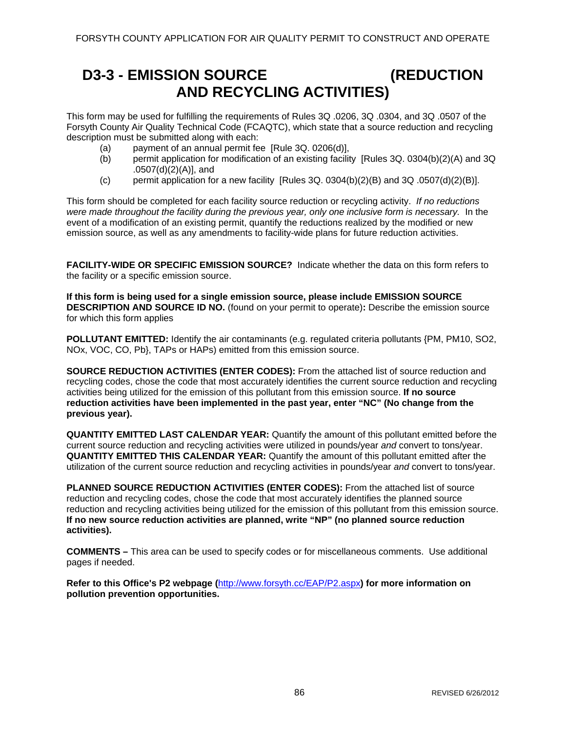### **D3-3 - EMISSION SOURCE (REDUCTION AND RECYCLING ACTIVITIES)**

This form may be used for fulfilling the requirements of Rules 3Q .0206, 3Q .0304, and 3Q .0507 of the Forsyth County Air Quality Technical Code (FCAQTC), which state that a source reduction and recycling description must be submitted along with each:

- (a) payment of an annual permit fee [Rule 3Q. 0206(d)],
- (b) permit application for modification of an existing facility [Rules 3Q. 0304(b)(2)(A) and 3Q .0507(d)(2)(A)], and
- (c) permit application for a new facility  $[Rules 3Q. 0304(b)(2)(B)$  and 3Q. 0507(d)(2)(B)].

This form should be completed for each facility source reduction or recycling activity. *If no reductions were made throughout the facility during the previous year, only one inclusive form is necessary.* In the event of a modification of an existing permit, quantify the reductions realized by the modified or new emission source, as well as any amendments to facility-wide plans for future reduction activities.

**FACILITY-WIDE OR SPECIFIC EMISSION SOURCE?** Indicate whether the data on this form refers to the facility or a specific emission source.

**If this form is being used for a single emission source, please include EMISSION SOURCE DESCRIPTION AND SOURCE ID NO.** (found on your permit to operate)**:** Describe the emission source for which this form applies

**POLLUTANT EMITTED:** Identify the air contaminants (e.g. regulated criteria pollutants {PM, PM10, SO2, NOx, VOC, CO, Pb}, TAPs or HAPs) emitted from this emission source.

**SOURCE REDUCTION ACTIVITIES (ENTER CODES):** From the attached list of source reduction and recycling codes, chose the code that most accurately identifies the current source reduction and recycling activities being utilized for the emission of this pollutant from this emission source. **If no source reduction activities have been implemented in the past year, enter "NC" (No change from the previous year).** 

**QUANTITY EMITTED LAST CALENDAR YEAR:** Quantify the amount of this pollutant emitted before the current source reduction and recycling activities were utilized in pounds/year *and* convert to tons/year. **QUANTITY EMITTED THIS CALENDAR YEAR:** Quantify the amount of this pollutant emitted after the utilization of the current source reduction and recycling activities in pounds/year *and* convert to tons/year.

**PLANNED SOURCE REDUCTION ACTIVITIES (ENTER CODES):** From the attached list of source reduction and recycling codes, chose the code that most accurately identifies the planned source reduction and recycling activities being utilized for the emission of this pollutant from this emission source. **If no new source reduction activities are planned, write "NP" (no planned source reduction activities).** 

**COMMENTS –** This area can be used to specify codes or for miscellaneous comments. Use additional pages if needed.

**Refer to this Office's P2 webpage (**<http://www.forsyth.cc/EAP/P2.aspx>**) for more information on pollution prevention opportunities.**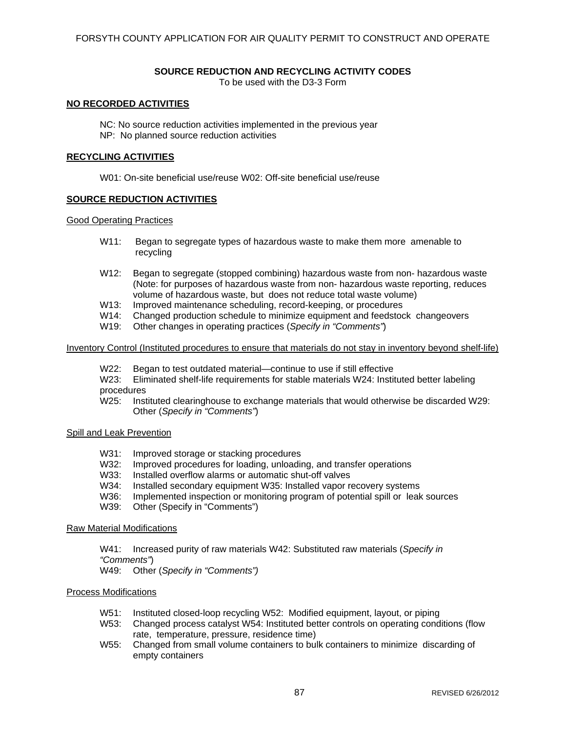#### **SOURCE REDUCTION AND RECYCLING ACTIVITY CODES**

To be used with the D3-3 Form

#### **NO RECORDED ACTIVITIES**

NC: No source reduction activities implemented in the previous year NP: No planned source reduction activities

#### **RECYCLING ACTIVITIES**

W01: On-site beneficial use/reuse W02: Off-site beneficial use/reuse

### **SOURCE REDUCTION ACTIVITIES**

#### Good Operating Practices

- W11: Began to segregate types of hazardous waste to make them more amenable to recycling
- W12: Began to segregate (stopped combining) hazardous waste from non- hazardous waste (Note: for purposes of hazardous waste from non- hazardous waste reporting, reduces volume of hazardous waste, but does not reduce total waste volume)
- W13: Improved maintenance scheduling, record-keeping, or procedures
- W14: Changed production schedule to minimize equipment and feedstock changeovers W19: Other changes in operating practices (Specify in "Comments")
- Other changes in operating practices (*Specify in "Comments"*)

#### Inventory Control (Instituted procedures to ensure that materials do not stay in inventory beyond shelf-life)

- W22: Began to test outdated material—continue to use if still effective
- W23: Eliminated shelf-life requirements for stable materials W24: Instituted better labeling procedures
- W25: Instituted clearinghouse to exchange materials that would otherwise be discarded W29: Other (*Specify in "Comments"*)

#### Spill and Leak Prevention

- W31: Improved storage or stacking procedures
- W32: Improved procedures for loading, unloading, and transfer operations
- W33: Installed overflow alarms or automatic shut-off valves
- W34: Installed secondary equipment W35: Installed vapor recovery systems
- W36: Implemented inspection or monitoring program of potential spill or leak sources
- W39: Other (Specify in "Comments")

#### Raw Material Modifications

W41: Increased purity of raw materials W42: Substituted raw materials (*Specify in "Comments"*)

W49: Other (*Specify in "Comments")* 

#### Process Modifications

- W51: Instituted closed-loop recycling W52: Modified equipment, layout, or piping
- W53: Changed process catalyst W54: Instituted better controls on operating conditions (flow rate, temperature, pressure, residence time)
- W55: Changed from small volume containers to bulk containers to minimize discarding of empty containers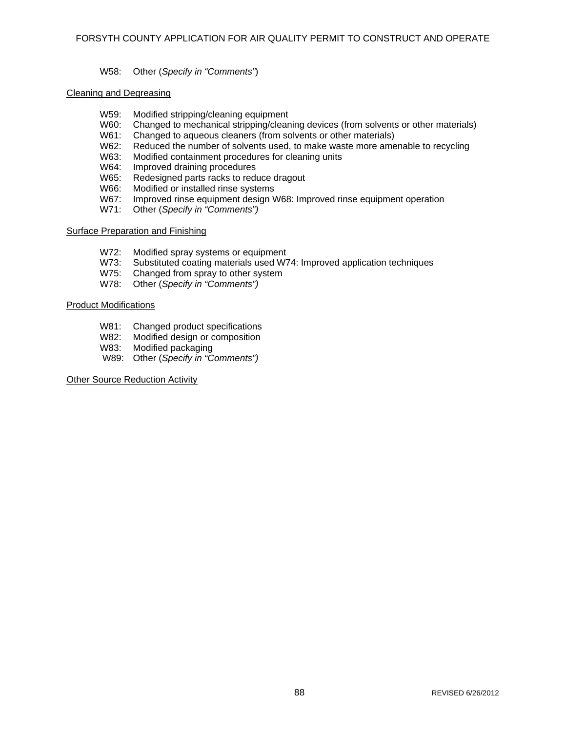### W58: Other (*Specify in "Comments"*)

#### Cleaning and Degreasing

- W59: Modified stripping/cleaning equipment
- W60: Changed to mechanical stripping/cleaning devices (from solvents or other materials)
- W61: Changed to aqueous cleaners (from solvents or other materials)
- W62: Reduced the number of solvents used, to make waste more amenable to recycling
- W63: Modified containment procedures for cleaning units
- W64: Improved draining procedures
- W65: Redesigned parts racks to reduce dragout
- W66: Modified or installed rinse systems
- W67: Improved rinse equipment design W68: Improved rinse equipment operation
- W71: Other (*Specify in "Comments")*

### Surface Preparation and Finishing

- W72: Modified spray systems or equipment
- W73: Substituted coating materials used W74: Improved application techniques
- W75: Changed from spray to other system
- W78: Other (*Specify in "Comments")*

#### Product Modifications

- W81: Changed product specifications
- W82: Modified design or composition
- W83: Modified packaging
- W89: Other (*Specify in "Comments")*

#### Other Source Reduction Activity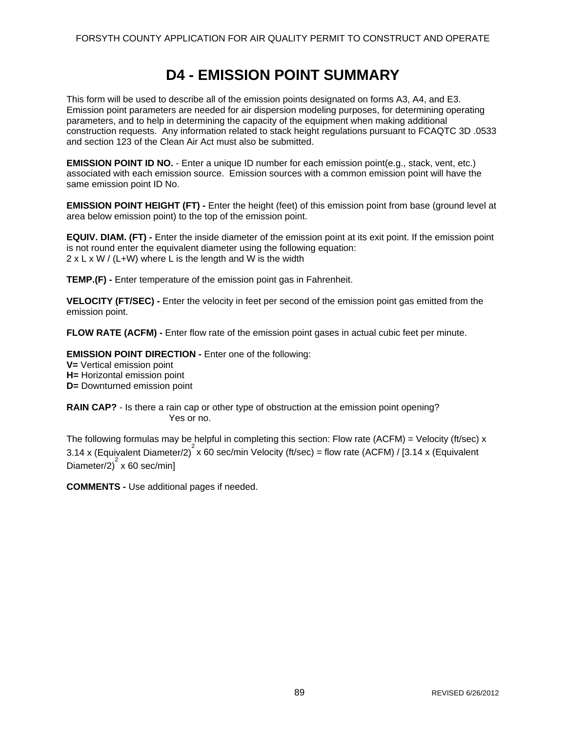## **D4 - EMISSION POINT SUMMARY**

This form will be used to describe all of the emission points designated on forms A3, A4, and E3. Emission point parameters are needed for air dispersion modeling purposes, for determining operating parameters, and to help in determining the capacity of the equipment when making additional construction requests. Any information related to stack height regulations pursuant to FCAQTC 3D .0533 and section 123 of the Clean Air Act must also be submitted.

**EMISSION POINT ID NO.** - Enter a unique ID number for each emission point(e.g., stack, vent, etc.) associated with each emission source. Emission sources with a common emission point will have the same emission point ID No.

**EMISSION POINT HEIGHT (FT) -** Enter the height (feet) of this emission point from base (ground level at area below emission point) to the top of the emission point.

**EQUIV. DIAM. (FT) -** Enter the inside diameter of the emission point at its exit point. If the emission point is not round enter the equivalent diameter using the following equation:  $2 \times L \times W$  / (L+W) where L is the length and W is the width

**TEMP.(F) -** Enter temperature of the emission point gas in Fahrenheit.

**VELOCITY (FT/SEC) -** Enter the velocity in feet per second of the emission point gas emitted from the emission point.

**FLOW RATE (ACFM) -** Enter flow rate of the emission point gases in actual cubic feet per minute.

**EMISSION POINT DIRECTION -** Enter one of the following:

**V=** Vertical emission point **H=** Horizontal emission point **D=** Downturned emission point

**RAIN CAP?** - Is there a rain cap or other type of obstruction at the emission point opening? Yes or no.

The following formulas may be helpful in completing this section: Flow rate (ACFM) = Velocity (ft/sec) x 3.14 x (Equivalent Diameter/2)<sup>2</sup> x 60 sec/min Velocity (ft/sec) = flow rate (ACFM) / [3.14 x (Equivalent Diameter/2) $2 \times 60$  sec/min]

**COMMENTS -** Use additional pages if needed.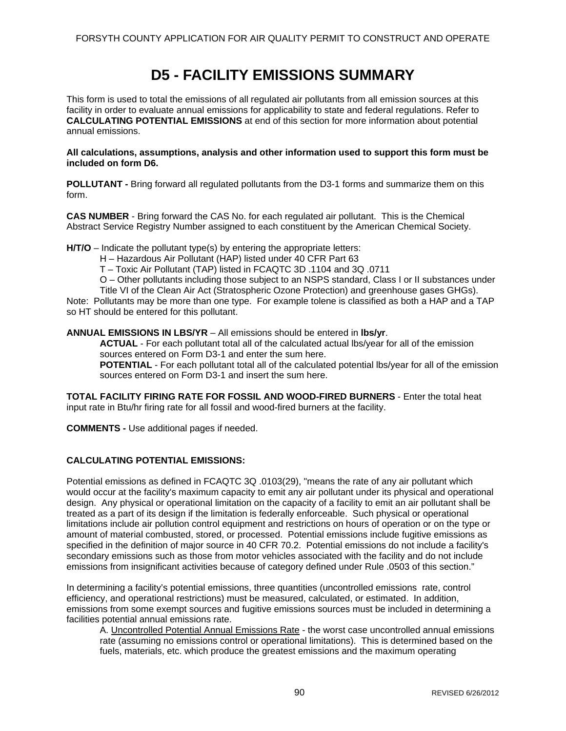# **D5 - FACILITY EMISSIONS SUMMARY**

This form is used to total the emissions of all regulated air pollutants from all emission sources at this facility in order to evaluate annual emissions for applicability to state and federal regulations. Refer to **CALCULATING POTENTIAL EMISSIONS** at end of this section for more information about potential annual emissions.

**All calculations, assumptions, analysis and other information used to support this form must be included on form D6.** 

**POLLUTANT -** Bring forward all regulated pollutants from the D3-1 forms and summarize them on this form.

**CAS NUMBER** - Bring forward the CAS No. for each regulated air pollutant. This is the Chemical Abstract Service Registry Number assigned to each constituent by the American Chemical Society.

**H/T/O** – Indicate the pollutant type(s) by entering the appropriate letters:

H – Hazardous Air Pollutant (HAP) listed under 40 CFR Part 63

T – Toxic Air Pollutant (TAP) listed in FCAQTC 3D .1104 and 3Q .0711

O – Other pollutants including those subject to an NSPS standard, Class I or II substances under

Title VI of the Clean Air Act (Stratospheric Ozone Protection) and greenhouse gases GHGs).

Note: Pollutants may be more than one type. For example tolene is classified as both a HAP and a TAP so HT should be entered for this pollutant.

**ANNUAL EMISSIONS IN LBS/YR** – All emissions should be entered in **lbs/yr**.

**ACTUAL** - For each pollutant total all of the calculated actual lbs/year for all of the emission sources entered on Form D3-1 and enter the sum here.

**POTENTIAL** - For each pollutant total all of the calculated potential lbs/year for all of the emission sources entered on Form D3-1 and insert the sum here.

**TOTAL FACILITY FIRING RATE FOR FOSSIL AND WOOD-FIRED BURNERS** - Enter the total heat input rate in Btu/hr firing rate for all fossil and wood-fired burners at the facility.

**COMMENTS -** Use additional pages if needed.

### **CALCULATING POTENTIAL EMISSIONS:**

Potential emissions as defined in FCAQTC 3Q .0103(29), "means the rate of any air pollutant which would occur at the facility's maximum capacity to emit any air pollutant under its physical and operational design. Any physical or operational limitation on the capacity of a facility to emit an air pollutant shall be treated as a part of its design if the limitation is federally enforceable. Such physical or operational limitations include air pollution control equipment and restrictions on hours of operation or on the type or amount of material combusted, stored, or processed. Potential emissions include fugitive emissions as specified in the definition of major source in 40 CFR 70.2. Potential emissions do not include a facility's secondary emissions such as those from motor vehicles associated with the facility and do not include emissions from insignificant activities because of category defined under Rule .0503 of this section."

In determining a facility's potential emissions, three quantities (uncontrolled emissions rate, control efficiency, and operational restrictions) must be measured, calculated, or estimated. In addition, emissions from some exempt sources and fugitive emissions sources must be included in determining a facilities potential annual emissions rate.

A. Uncontrolled Potential Annual Emissions Rate - the worst case uncontrolled annual emissions rate (assuming no emissions control or operational limitations). This is determined based on the fuels, materials, etc. which produce the greatest emissions and the maximum operating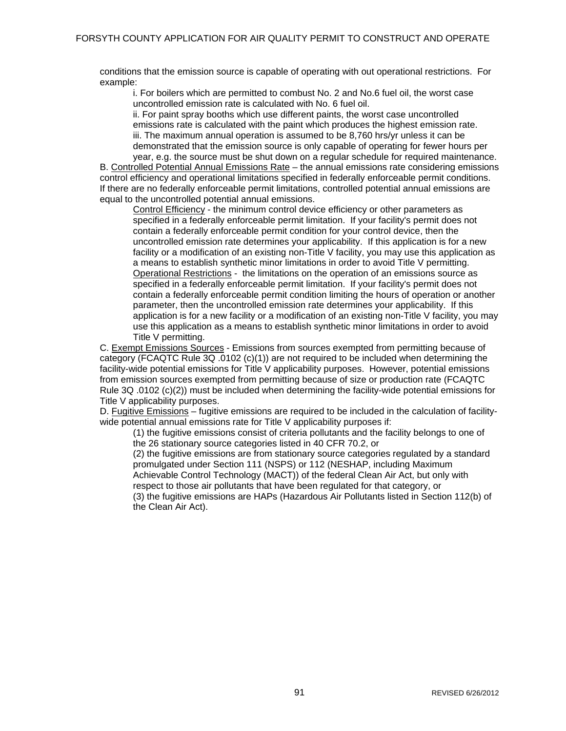conditions that the emission source is capable of operating with out operational restrictions. For example:

i. For boilers which are permitted to combust No. 2 and No.6 fuel oil, the worst case uncontrolled emission rate is calculated with No. 6 fuel oil.

ii. For paint spray booths which use different paints, the worst case uncontrolled emissions rate is calculated with the paint which produces the highest emission rate. iii. The maximum annual operation is assumed to be 8,760 hrs/yr unless it can be demonstrated that the emission source is only capable of operating for fewer hours per year, e.g. the source must be shut down on a regular schedule for required maintenance.

B. Controlled Potential Annual Emissions Rate – the annual emissions rate considering emissions control efficiency and operational limitations specified in federally enforceable permit conditions. If there are no federally enforceable permit limitations, controlled potential annual emissions are equal to the uncontrolled potential annual emissions.

Control Efficiency - the minimum control device efficiency or other parameters as specified in a federally enforceable permit limitation. If your facility's permit does not contain a federally enforceable permit condition for your control device, then the uncontrolled emission rate determines your applicability. If this application is for a new facility or a modification of an existing non-Title V facility, you may use this application as a means to establish synthetic minor limitations in order to avoid Title V permitting. Operational Restrictions - the limitations on the operation of an emissions source as specified in a federally enforceable permit limitation. If your facility's permit does not contain a federally enforceable permit condition limiting the hours of operation or another parameter, then the uncontrolled emission rate determines your applicability. If this application is for a new facility or a modification of an existing non-Title V facility, you may use this application as a means to establish synthetic minor limitations in order to avoid Title V permitting.

C. Exempt Emissions Sources - Emissions from sources exempted from permitting because of category (FCAQTC Rule 3Q .0102 (c)(1)) are not required to be included when determining the facility-wide potential emissions for Title V applicability purposes. However, potential emissions from emission sources exempted from permitting because of size or production rate (FCAQTC Rule 3Q .0102 (c)(2)) must be included when determining the facility-wide potential emissions for Title V applicability purposes.

D. Fugitive Emissions – fugitive emissions are required to be included in the calculation of facilitywide potential annual emissions rate for Title V applicability purposes if:

(1) the fugitive emissions consist of criteria pollutants and the facility belongs to one of the 26 stationary source categories listed in 40 CFR 70.2, or

(2) the fugitive emissions are from stationary source categories regulated by a standard promulgated under Section 111 (NSPS) or 112 (NESHAP, including Maximum Achievable Control Technology (MACT)) of the federal Clean Air Act, but only with respect to those air pollutants that have been regulated for that category, or (3) the fugitive emissions are HAPs (Hazardous Air Pollutants listed in Section 112(b) of

the Clean Air Act).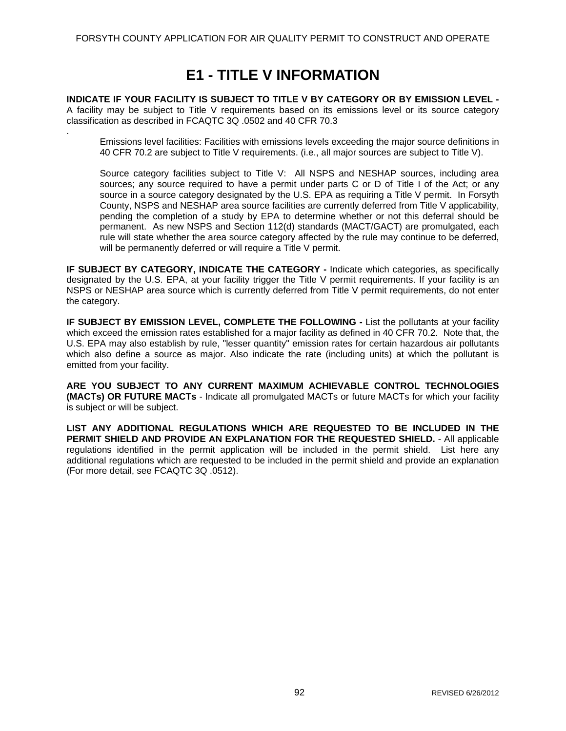# **E1 - TITLE V INFORMATION**

**INDICATE IF YOUR FACILITY IS SUBJECT TO TITLE V BY CATEGORY OR BY EMISSION LEVEL -** A facility may be subject to Title V requirements based on its emissions level or its source category classification as described in FCAQTC 3Q .0502 and 40 CFR 70.3

.

Emissions level facilities: Facilities with emissions levels exceeding the major source definitions in 40 CFR 70.2 are subject to Title V requirements. (i.e., all major sources are subject to Title V).

Source category facilities subject to Title V: All NSPS and NESHAP sources, including area sources; any source required to have a permit under parts C or D of Title I of the Act; or any source in a source category designated by the U.S. EPA as requiring a Title V permit. In Forsyth County, NSPS and NESHAP area source facilities are currently deferred from Title V applicability, pending the completion of a study by EPA to determine whether or not this deferral should be permanent. As new NSPS and Section 112(d) standards (MACT/GACT) are promulgated, each rule will state whether the area source category affected by the rule may continue to be deferred, will be permanently deferred or will require a Title V permit.

**IF SUBJECT BY CATEGORY, INDICATE THE CATEGORY - Indicate which categories, as specifically** designated by the U.S. EPA, at your facility trigger the Title V permit requirements. If your facility is an NSPS or NESHAP area source which is currently deferred from Title V permit requirements, do not enter the category.

**IF SUBJECT BY EMISSION LEVEL, COMPLETE THE FOLLOWING - List the pollutants at your facility** which exceed the emission rates established for a major facility as defined in 40 CFR 70.2. Note that, the U.S. EPA may also establish by rule, "lesser quantity" emission rates for certain hazardous air pollutants which also define a source as major. Also indicate the rate (including units) at which the pollutant is emitted from your facility.

**ARE YOU SUBJECT TO ANY CURRENT MAXIMUM ACHIEVABLE CONTROL TECHNOLOGIES (MACTs) OR FUTURE MACTs** - Indicate all promulgated MACTs or future MACTs for which your facility is subject or will be subject.

**LIST ANY ADDITIONAL REGULATIONS WHICH ARE REQUESTED TO BE INCLUDED IN THE PERMIT SHIELD AND PROVIDE AN EXPLANATION FOR THE REQUESTED SHIELD.** - All applicable regulations identified in the permit application will be included in the permit shield. List here any additional regulations which are requested to be included in the permit shield and provide an explanation (For more detail, see FCAQTC 3Q .0512).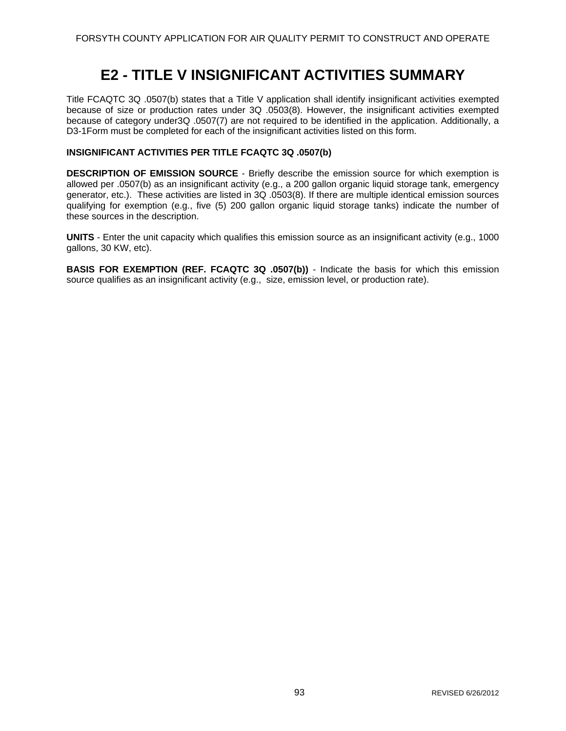# **E2 - TITLE V INSIGNIFICANT ACTIVITIES SUMMARY**

Title FCAQTC 3Q .0507(b) states that a Title V application shall identify insignificant activities exempted because of size or production rates under 3Q .0503(8). However, the insignificant activities exempted because of category under3Q .0507(7) are not required to be identified in the application. Additionally, a D3-1Form must be completed for each of the insignificant activities listed on this form.

### **INSIGNIFICANT ACTIVITIES PER TITLE FCAQTC 3Q .0507(b)**

**DESCRIPTION OF EMISSION SOURCE** - Briefly describe the emission source for which exemption is allowed per .0507(b) as an insignificant activity (e.g., a 200 gallon organic liquid storage tank, emergency generator, etc.). These activities are listed in 3Q .0503(8). If there are multiple identical emission sources qualifying for exemption (e.g., five (5) 200 gallon organic liquid storage tanks) indicate the number of these sources in the description.

**UNITS** - Enter the unit capacity which qualifies this emission source as an insignificant activity (e.g., 1000 gallons, 30 KW, etc).

**BASIS FOR EXEMPTION (REF. FCAQTC 3Q .0507(b))** - Indicate the basis for which this emission source qualifies as an insignificant activity (e.g., size, emission level, or production rate).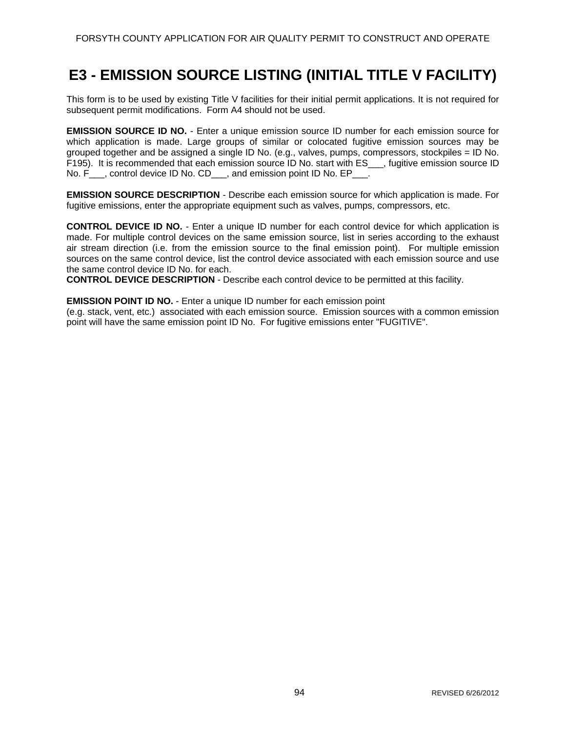## **E3 - EMISSION SOURCE LISTING (INITIAL TITLE V FACILITY)**

This form is to be used by existing Title V facilities for their initial permit applications. It is not required for subsequent permit modifications. Form A4 should not be used.

**EMISSION SOURCE ID NO.** - Enter a unique emission source ID number for each emission source for which application is made. Large groups of similar or colocated fugitive emission sources may be grouped together and be assigned a single ID No. (e.g., valves, pumps, compressors, stockpiles = ID No. F195). It is recommended that each emission source ID No. start with ES\_\_\_, fugitive emission source ID No. F<sub>\_\_\_</sub>, control device ID No. CD<sub>\_\_\_</sub>, and emission point ID No. EP<sub>\_\_\_</sub>.

**EMISSION SOURCE DESCRIPTION** - Describe each emission source for which application is made. For fugitive emissions, enter the appropriate equipment such as valves, pumps, compressors, etc.

**CONTROL DEVICE ID NO.** - Enter a unique ID number for each control device for which application is made. For multiple control devices on the same emission source, list in series according to the exhaust air stream direction (i.e. from the emission source to the final emission point). For multiple emission sources on the same control device, list the control device associated with each emission source and use the same control device ID No. for each.

**CONTROL DEVICE DESCRIPTION** - Describe each control device to be permitted at this facility.

**EMISSION POINT ID NO.** - Enter a unique ID number for each emission point

(e.g. stack, vent, etc.) associated with each emission source. Emission sources with a common emission point will have the same emission point ID No. For fugitive emissions enter "FUGITIVE".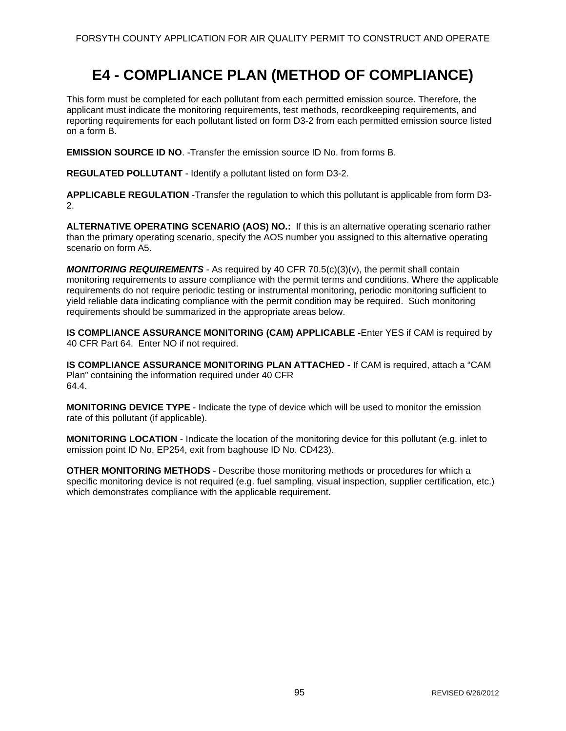# **E4 - COMPLIANCE PLAN (METHOD OF COMPLIANCE)**

This form must be completed for each pollutant from each permitted emission source. Therefore, the applicant must indicate the monitoring requirements, test methods, recordkeeping requirements, and reporting requirements for each pollutant listed on form D3-2 from each permitted emission source listed on a form B.

**EMISSION SOURCE ID NO**. -Transfer the emission source ID No. from forms B.

**REGULATED POLLUTANT** - Identify a pollutant listed on form D3-2.

**APPLICABLE REGULATION** -Transfer the regulation to which this pollutant is applicable from form D3- 2.

**ALTERNATIVE OPERATING SCENARIO (AOS) NO.:** If this is an alternative operating scenario rather than the primary operating scenario, specify the AOS number you assigned to this alternative operating scenario on form A5.

*MONITORING REQUIREMENTS* - As required by 40 CFR 70.5(c)(3)(v), the permit shall contain monitoring requirements to assure compliance with the permit terms and conditions. Where the applicable requirements do not require periodic testing or instrumental monitoring, periodic monitoring sufficient to yield reliable data indicating compliance with the permit condition may be required. Such monitoring requirements should be summarized in the appropriate areas below.

**IS COMPLIANCE ASSURANCE MONITORING (CAM) APPLICABLE -**Enter YES if CAM is required by 40 CFR Part 64. Enter NO if not required.

**IS COMPLIANCE ASSURANCE MONITORING PLAN ATTACHED -** If CAM is required, attach a "CAM Plan" containing the information required under 40 CFR 64.4.

**MONITORING DEVICE TYPE** - Indicate the type of device which will be used to monitor the emission rate of this pollutant (if applicable).

**MONITORING LOCATION** - Indicate the location of the monitoring device for this pollutant (e.g. inlet to emission point ID No. EP254, exit from baghouse ID No. CD423).

**OTHER MONITORING METHODS** - Describe those monitoring methods or procedures for which a specific monitoring device is not required (e.g. fuel sampling, visual inspection, supplier certification, etc.) which demonstrates compliance with the applicable requirement.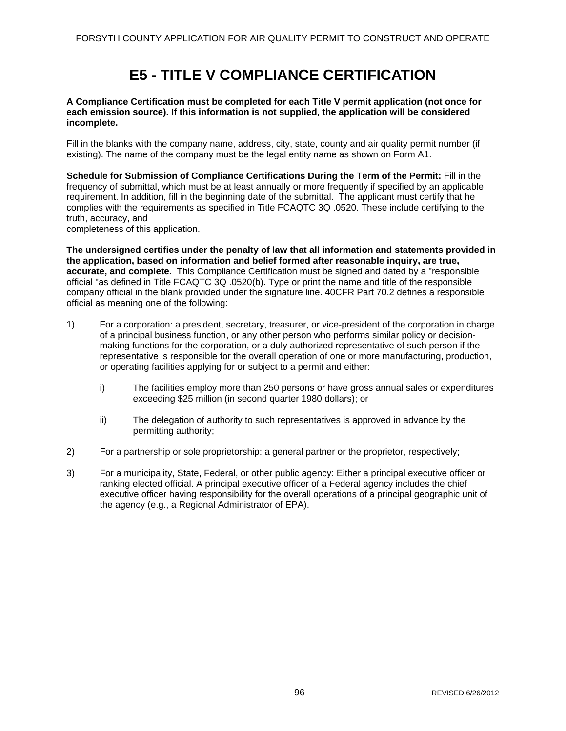# **E5 - TITLE V COMPLIANCE CERTIFICATION**

#### **A Compliance Certification must be completed for each Title V permit application (not once for each emission source). If this information is not supplied, the application will be considered incomplete.**

Fill in the blanks with the company name, address, city, state, county and air quality permit number (if existing). The name of the company must be the legal entity name as shown on Form A1.

**Schedule for Submission of Compliance Certifications During the Term of the Permit:** Fill in the frequency of submittal, which must be at least annually or more frequently if specified by an applicable requirement. In addition, fill in the beginning date of the submittal. The applicant must certify that he complies with the requirements as specified in Title FCAQTC 3Q .0520. These include certifying to the truth, accuracy, and

completeness of this application.

**The undersigned certifies under the penalty of law that all information and statements provided in the application, based on information and belief formed after reasonable inquiry, are true, accurate, and complete.** This Compliance Certification must be signed and dated by a "responsible official "as defined in Title FCAQTC 3Q .0520(b). Type or print the name and title of the responsible company official in the blank provided under the signature line. 40CFR Part 70.2 defines a responsible official as meaning one of the following:

- 1) For a corporation: a president, secretary, treasurer, or vice-president of the corporation in charge of a principal business function, or any other person who performs similar policy or decisionmaking functions for the corporation, or a duly authorized representative of such person if the representative is responsible for the overall operation of one or more manufacturing, production, or operating facilities applying for or subject to a permit and either:
	- i) The facilities employ more than 250 persons or have gross annual sales or expenditures exceeding \$25 million (in second quarter 1980 dollars); or
	- ii) The delegation of authority to such representatives is approved in advance by the permitting authority;
- 2) For a partnership or sole proprietorship: a general partner or the proprietor, respectively;
- 3) For a municipality, State, Federal, or other public agency: Either a principal executive officer or ranking elected official. A principal executive officer of a Federal agency includes the chief executive officer having responsibility for the overall operations of a principal geographic unit of the agency (e.g., a Regional Administrator of EPA).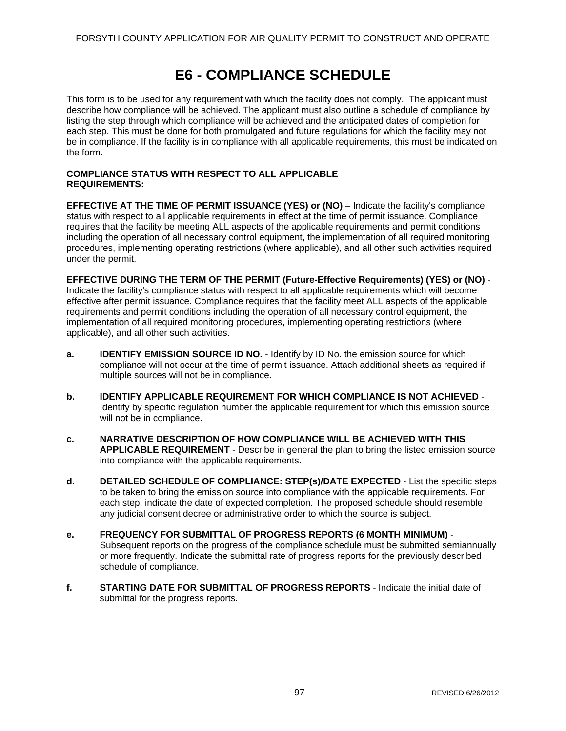# **E6 - COMPLIANCE SCHEDULE**

This form is to be used for any requirement with which the facility does not comply. The applicant must describe how compliance will be achieved. The applicant must also outline a schedule of compliance by listing the step through which compliance will be achieved and the anticipated dates of completion for each step. This must be done for both promulgated and future regulations for which the facility may not be in compliance. If the facility is in compliance with all applicable requirements, this must be indicated on the form.

#### **COMPLIANCE STATUS WITH RESPECT TO ALL APPLICABLE REQUIREMENTS:**

**EFFECTIVE AT THE TIME OF PERMIT ISSUANCE (YES) or (NO)** – Indicate the facility's compliance status with respect to all applicable requirements in effect at the time of permit issuance. Compliance requires that the facility be meeting ALL aspects of the applicable requirements and permit conditions including the operation of all necessary control equipment, the implementation of all required monitoring procedures, implementing operating restrictions (where applicable), and all other such activities required under the permit.

**EFFECTIVE DURING THE TERM OF THE PERMIT (Future-Effective Requirements) (YES) or (NO)** - Indicate the facility's compliance status with respect to all applicable requirements which will become effective after permit issuance. Compliance requires that the facility meet ALL aspects of the applicable requirements and permit conditions including the operation of all necessary control equipment, the implementation of all required monitoring procedures, implementing operating restrictions (where applicable), and all other such activities.

- **a. IDENTIFY EMISSION SOURCE ID NO.** Identify by ID No. the emission source for which compliance will not occur at the time of permit issuance. Attach additional sheets as required if multiple sources will not be in compliance.
- **b. IDENTIFY APPLICABLE REQUIREMENT FOR WHICH COMPLIANCE IS NOT ACHIEVED**  Identify by specific regulation number the applicable requirement for which this emission source will not be in compliance.
- **c. NARRATIVE DESCRIPTION OF HOW COMPLIANCE WILL BE ACHIEVED WITH THIS APPLICABLE REQUIREMENT** - Describe in general the plan to bring the listed emission source into compliance with the applicable requirements.
- **d.** DETAILED SCHEDULE OF COMPLIANCE: STEP(s)/DATE EXPECTED List the specific steps to be taken to bring the emission source into compliance with the applicable requirements. For each step, indicate the date of expected completion. The proposed schedule should resemble any judicial consent decree or administrative order to which the source is subject.
- **e. FREQUENCY FOR SUBMITTAL OF PROGRESS REPORTS (6 MONTH MINIMUM)**  Subsequent reports on the progress of the compliance schedule must be submitted semiannually or more frequently. Indicate the submittal rate of progress reports for the previously described schedule of compliance.
- **f. STARTING DATE FOR SUBMITTAL OF PROGRESS REPORTS**  Indicate the initial date of submittal for the progress reports.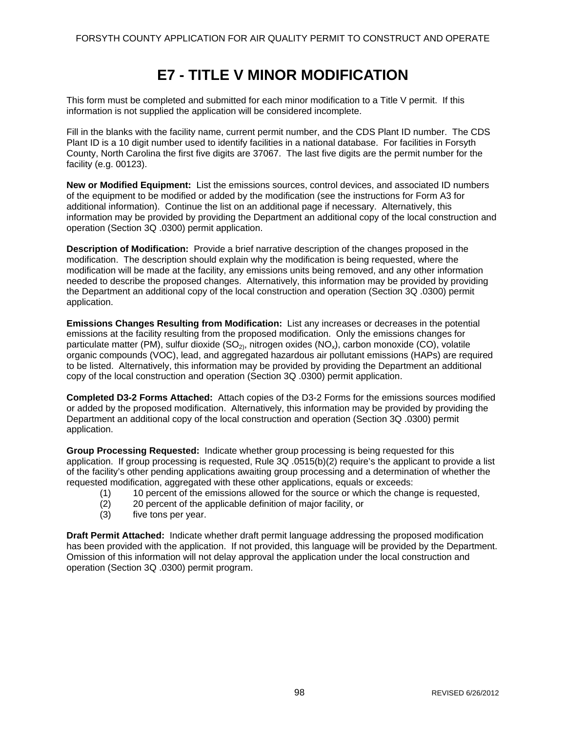# **E7 - TITLE V MINOR MODIFICATION**

This form must be completed and submitted for each minor modification to a Title V permit. If this information is not supplied the application will be considered incomplete.

Fill in the blanks with the facility name, current permit number, and the CDS Plant ID number. The CDS Plant ID is a 10 digit number used to identify facilities in a national database. For facilities in Forsyth County, North Carolina the first five digits are 37067. The last five digits are the permit number for the facility (e.g. 00123).

**New or Modified Equipment:** List the emissions sources, control devices, and associated ID numbers of the equipment to be modified or added by the modification (see the instructions for Form A3 for additional information). Continue the list on an additional page if necessary. Alternatively, this information may be provided by providing the Department an additional copy of the local construction and operation (Section 3Q .0300) permit application.

**Description of Modification:** Provide a brief narrative description of the changes proposed in the modification. The description should explain why the modification is being requested, where the modification will be made at the facility, any emissions units being removed, and any other information needed to describe the proposed changes. Alternatively, this information may be provided by providing the Department an additional copy of the local construction and operation (Section 3Q .0300) permit application.

**Emissions Changes Resulting from Modification:** List any increases or decreases in the potential emissions at the facility resulting from the proposed modification. Only the emissions changes for particulate matter (PM), sulfur dioxide  $(SO<sub>2</sub>)$ , nitrogen oxides  $(NO<sub>x</sub>)$ , carbon monoxide (CO), volatile organic compounds (VOC), lead, and aggregated hazardous air pollutant emissions (HAPs) are required to be listed. Alternatively, this information may be provided by providing the Department an additional copy of the local construction and operation (Section 3Q .0300) permit application.

**Completed D3-2 Forms Attached:** Attach copies of the D3-2 Forms for the emissions sources modified or added by the proposed modification. Alternatively, this information may be provided by providing the Department an additional copy of the local construction and operation (Section 3Q .0300) permit application.

**Group Processing Requested:** Indicate whether group processing is being requested for this application. If group processing is requested, Rule 3Q .0515(b)(2) require's the applicant to provide a list of the facility's other pending applications awaiting group processing and a determination of whether the requested modification, aggregated with these other applications, equals or exceeds:

- (1) 10 percent of the emissions allowed for the source or which the change is requested,
- (2) 20 percent of the applicable definition of major facility, or
- (3) five tons per year.

**Draft Permit Attached:** Indicate whether draft permit language addressing the proposed modification has been provided with the application. If not provided, this language will be provided by the Department. Omission of this information will not delay approval the application under the local construction and operation (Section 3Q .0300) permit program.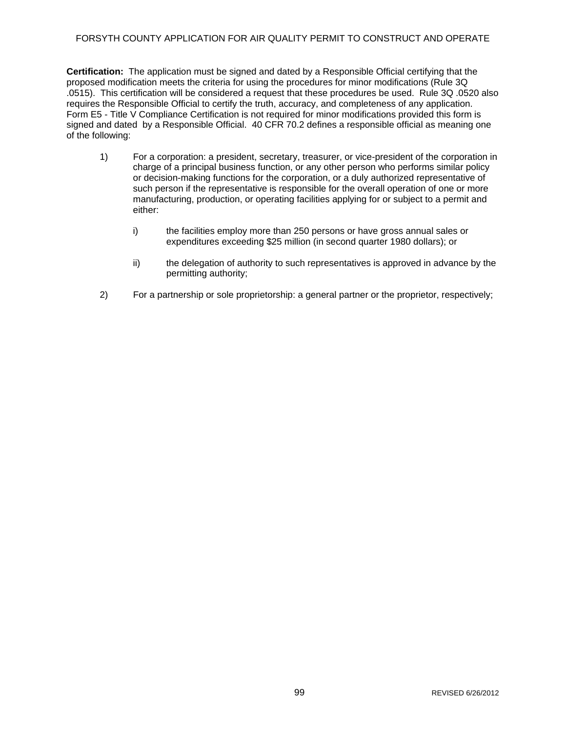### FORSYTH COUNTY APPLICATION FOR AIR QUALITY PERMIT TO CONSTRUCT AND OPERATE

**Certification:** The application must be signed and dated by a Responsible Official certifying that the proposed modification meets the criteria for using the procedures for minor modifications (Rule 3Q .0515). This certification will be considered a request that these procedures be used. Rule 3Q .0520 also requires the Responsible Official to certify the truth, accuracy, and completeness of any application. Form E5 - Title V Compliance Certification is not required for minor modifications provided this form is signed and dated by a Responsible Official. 40 CFR 70.2 defines a responsible official as meaning one of the following:

- 1) For a corporation: a president, secretary, treasurer, or vice-president of the corporation in charge of a principal business function, or any other person who performs similar policy or decision-making functions for the corporation, or a duly authorized representative of such person if the representative is responsible for the overall operation of one or more manufacturing, production, or operating facilities applying for or subject to a permit and either:
	- i) the facilities employ more than 250 persons or have gross annual sales or expenditures exceeding \$25 million (in second quarter 1980 dollars); or
	- ii) the delegation of authority to such representatives is approved in advance by the permitting authority;
- 2) For a partnership or sole proprietorship: a general partner or the proprietor, respectively;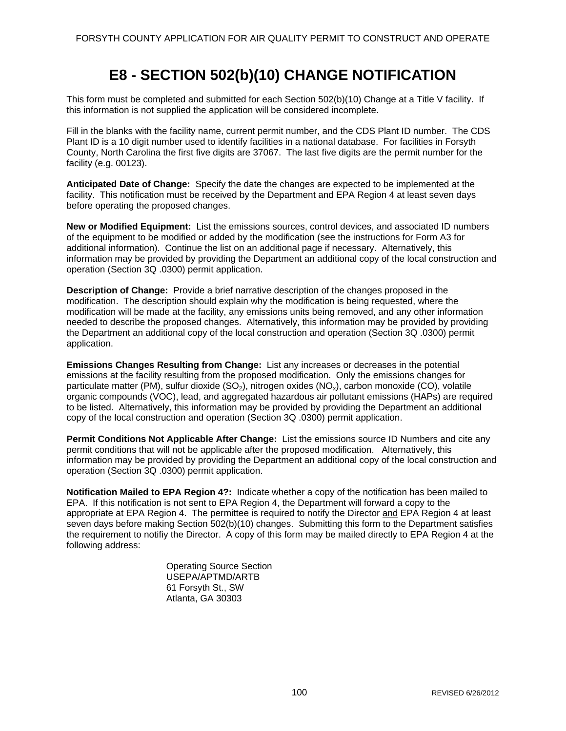# **E8 - SECTION 502(b)(10) CHANGE NOTIFICATION**

This form must be completed and submitted for each Section 502(b)(10) Change at a Title V facility. If this information is not supplied the application will be considered incomplete.

Fill in the blanks with the facility name, current permit number, and the CDS Plant ID number. The CDS Plant ID is a 10 digit number used to identify facilities in a national database. For facilities in Forsyth County, North Carolina the first five digits are 37067. The last five digits are the permit number for the facility (e.g. 00123).

**Anticipated Date of Change:** Specify the date the changes are expected to be implemented at the facility. This notification must be received by the Department and EPA Region 4 at least seven days before operating the proposed changes.

**New or Modified Equipment:** List the emissions sources, control devices, and associated ID numbers of the equipment to be modified or added by the modification (see the instructions for Form A3 for additional information). Continue the list on an additional page if necessary. Alternatively, this information may be provided by providing the Department an additional copy of the local construction and operation (Section 3Q .0300) permit application.

**Description of Change:** Provide a brief narrative description of the changes proposed in the modification. The description should explain why the modification is being requested, where the modification will be made at the facility, any emissions units being removed, and any other information needed to describe the proposed changes. Alternatively, this information may be provided by providing the Department an additional copy of the local construction and operation (Section 3Q .0300) permit application.

**Emissions Changes Resulting from Change:** List any increases or decreases in the potential emissions at the facility resulting from the proposed modification. Only the emissions changes for particulate matter (PM), sulfur dioxide  $(SO<sub>2</sub>)$ , nitrogen oxides  $(NO<sub>x</sub>)$ , carbon monoxide (CO), volatile organic compounds (VOC), lead, and aggregated hazardous air pollutant emissions (HAPs) are required to be listed. Alternatively, this information may be provided by providing the Department an additional copy of the local construction and operation (Section 3Q .0300) permit application.

**Permit Conditions Not Applicable After Change:** List the emissions source ID Numbers and cite any permit conditions that will not be applicable after the proposed modification. Alternatively, this information may be provided by providing the Department an additional copy of the local construction and operation (Section 3Q .0300) permit application.

**Notification Mailed to EPA Region 4?:** Indicate whether a copy of the notification has been mailed to EPA. If this notification is not sent to EPA Region 4, the Department will forward a copy to the appropriate at EPA Region 4. The permittee is required to notify the Director and EPA Region 4 at least seven days before making Section 502(b)(10) changes. Submitting this form to the Department satisfies the requirement to notifiy the Director. A copy of this form may be mailed directly to EPA Region 4 at the following address:

> Operating Source Section USEPA/APTMD/ARTB 61 Forsyth St., SW Atlanta, GA 30303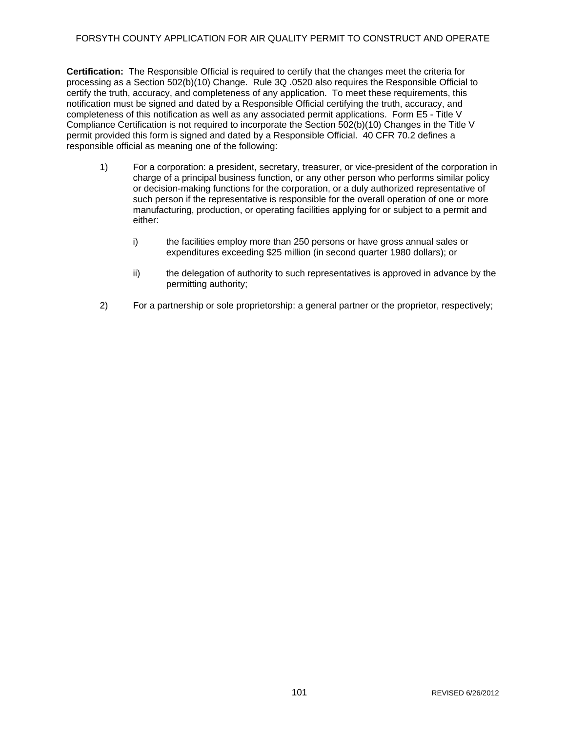### FORSYTH COUNTY APPLICATION FOR AIR QUALITY PERMIT TO CONSTRUCT AND OPERATE

**Certification:** The Responsible Official is required to certify that the changes meet the criteria for processing as a Section 502(b)(10) Change. Rule 3Q .0520 also requires the Responsible Official to certify the truth, accuracy, and completeness of any application. To meet these requirements, this notification must be signed and dated by a Responsible Official certifying the truth, accuracy, and completeness of this notification as well as any associated permit applications. Form E5 - Title V Compliance Certification is not required to incorporate the Section 502(b)(10) Changes in the Title V permit provided this form is signed and dated by a Responsible Official. 40 CFR 70.2 defines a responsible official as meaning one of the following:

- 1) For a corporation: a president, secretary, treasurer, or vice-president of the corporation in charge of a principal business function, or any other person who performs similar policy or decision-making functions for the corporation, or a duly authorized representative of such person if the representative is responsible for the overall operation of one or more manufacturing, production, or operating facilities applying for or subject to a permit and either:
	- i) the facilities employ more than 250 persons or have gross annual sales or expenditures exceeding \$25 million (in second quarter 1980 dollars); or
	- ii) the delegation of authority to such representatives is approved in advance by the permitting authority;
- 2) For a partnership or sole proprietorship: a general partner or the proprietor, respectively;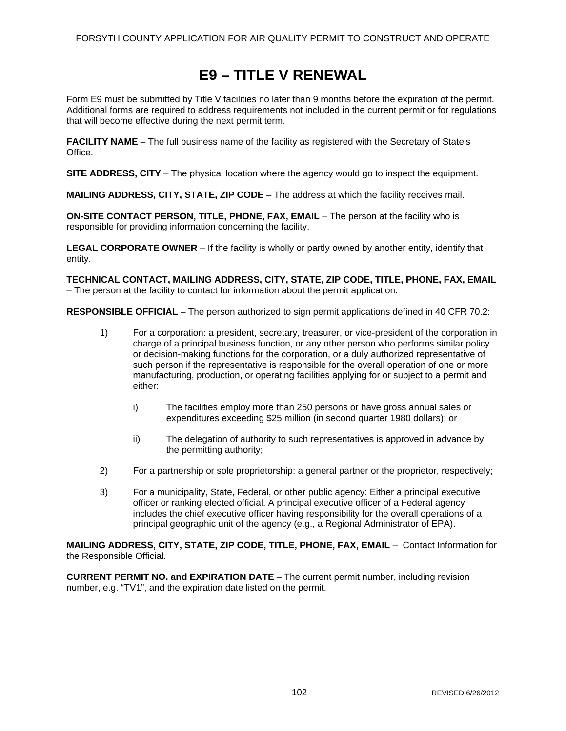# **E9 – TITLE V RENEWAL**

Form E9 must be submitted by Title V facilities no later than 9 months before the expiration of the permit. Additional forms are required to address requirements not included in the current permit or for regulations that will become effective during the next permit term.

**FACILITY NAME** – The full business name of the facility as registered with the Secretary of State's Office.

**SITE ADDRESS, CITY** – The physical location where the agency would go to inspect the equipment.

**MAILING ADDRESS, CITY, STATE, ZIP CODE** – The address at which the facility receives mail.

**ON-SITE CONTACT PERSON, TITLE, PHONE, FAX, EMAIL** – The person at the facility who is responsible for providing information concerning the facility.

**LEGAL CORPORATE OWNER** – If the facility is wholly or partly owned by another entity, identify that entity.

**TECHNICAL CONTACT, MAILING ADDRESS, CITY, STATE, ZIP CODE, TITLE, PHONE, FAX, EMAIL** – The person at the facility to contact for information about the permit application.

**RESPONSIBLE OFFICIAL** – The person authorized to sign permit applications defined in 40 CFR 70.2:

- 1) For a corporation: a president, secretary, treasurer, or vice-president of the corporation in charge of a principal business function, or any other person who performs similar policy or decision-making functions for the corporation, or a duly authorized representative of such person if the representative is responsible for the overall operation of one or more manufacturing, production, or operating facilities applying for or subject to a permit and either:
	- i) The facilities employ more than 250 persons or have gross annual sales or expenditures exceeding \$25 million (in second quarter 1980 dollars); or
	- ii) The delegation of authority to such representatives is approved in advance by the permitting authority;
- 2) For a partnership or sole proprietorship: a general partner or the proprietor, respectively;
- 3) For a municipality, State, Federal, or other public agency: Either a principal executive officer or ranking elected official. A principal executive officer of a Federal agency includes the chief executive officer having responsibility for the overall operations of a principal geographic unit of the agency (e.g., a Regional Administrator of EPA).

**MAILING ADDRESS, CITY, STATE, ZIP CODE, TITLE, PHONE, FAX, EMAIL** – Contact Information for the Responsible Official.

**CURRENT PERMIT NO. and EXPIRATION DATE** – The current permit number, including revision number, e.g. "TV1", and the expiration date listed on the permit.